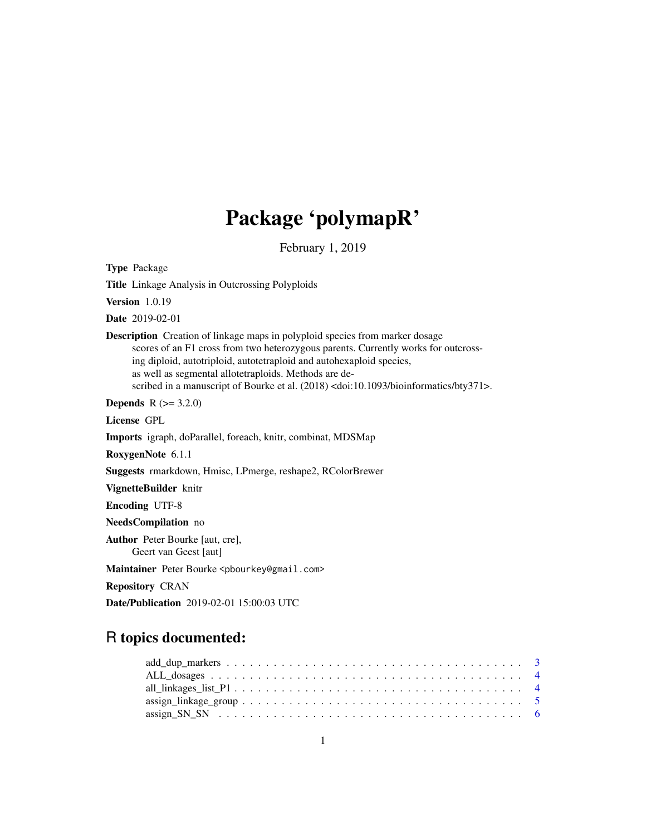# Package 'polymapR'

February 1, 2019

<span id="page-0-0"></span>Type Package

Title Linkage Analysis in Outcrossing Polyploids

Version 1.0.19

Date 2019-02-01

Description Creation of linkage maps in polyploid species from marker dosage scores of an F1 cross from two heterozygous parents. Currently works for outcrossing diploid, autotriploid, autotetraploid and autohexaploid species, as well as segmental allotetraploids. Methods are described in a manuscript of Bourke et al. (2018) <doi:10.1093/bioinformatics/bty371>.

**Depends**  $R (= 3.2.0)$ 

License GPL

Imports igraph, doParallel, foreach, knitr, combinat, MDSMap

RoxygenNote 6.1.1

Suggests rmarkdown, Hmisc, LPmerge, reshape2, RColorBrewer

VignetteBuilder knitr

Encoding UTF-8

NeedsCompilation no

Author Peter Bourke [aut, cre], Geert van Geest [aut]

Maintainer Peter Bourke <pbourkey@gmail.com>

Repository CRAN

Date/Publication 2019-02-01 15:00:03 UTC

# R topics documented:

| $assign\_linkage\_group \dots \dots \dots \dots \dots \dots \dots \dots \dots \dots \dots \dots \dots \dots \dots \dots \dots$ |  |
|--------------------------------------------------------------------------------------------------------------------------------|--|
|                                                                                                                                |  |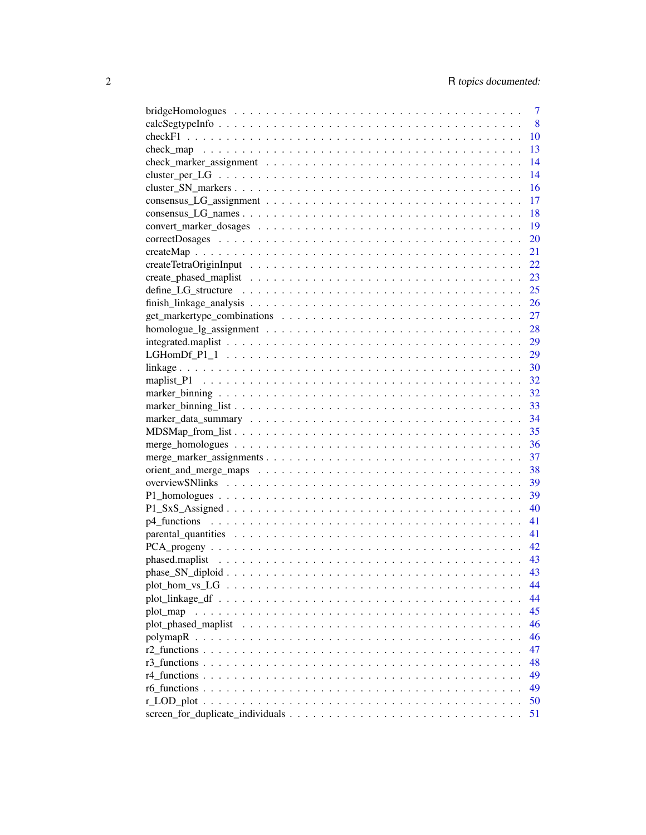| $\overline{7}$ |
|----------------|
| 8              |
| <b>10</b>      |
| 13             |
| 14             |
| 14             |
| 16             |
| 17             |
| 18             |
| 19             |
| 20             |
| 21             |
| 22             |
|                |
|                |
|                |
|                |
|                |
|                |
|                |
|                |
|                |
|                |
|                |
|                |
|                |
|                |
|                |
|                |
|                |
|                |
|                |
|                |
|                |
|                |
|                |
|                |
|                |
| 44             |
| 44             |
| 45             |
| 46             |
| 46             |
| 47             |
|                |
| 48             |
| 49             |
| 49             |
| 50             |
| 51             |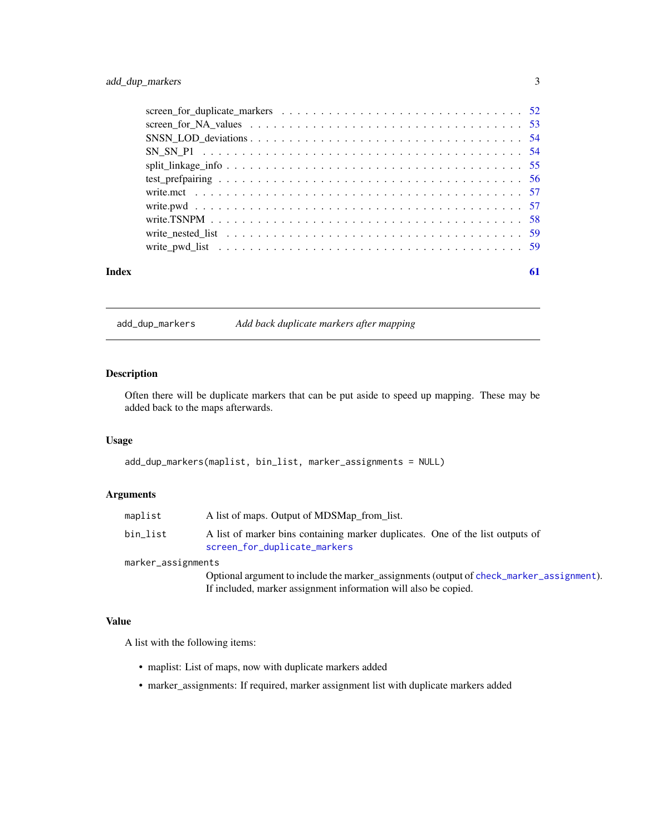<span id="page-2-0"></span>

| Index | 61 |
|-------|----|

add\_dup\_markers *Add back duplicate markers after mapping*

#### Description

Often there will be duplicate markers that can be put aside to speed up mapping. These may be added back to the maps afterwards.

# Usage

```
add_dup_markers(maplist, bin_list, marker_assignments = NULL)
```
#### Arguments

| maplist            | A list of maps. Output of MDSMap from list.                                                                    |
|--------------------|----------------------------------------------------------------------------------------------------------------|
| bin list           | A list of marker bins containing marker duplicates. One of the list outputs of<br>screen_for_duplicate_markers |
| marker assignments |                                                                                                                |

marker\_assignments

Optional argument to include the marker\_assignments (output of [check\\_marker\\_assignment](#page-13-1)). If included, marker assignment information will also be copied.

#### Value

A list with the following items:

- maplist: List of maps, now with duplicate markers added
- marker\_assignments: If required, marker assignment list with duplicate markers added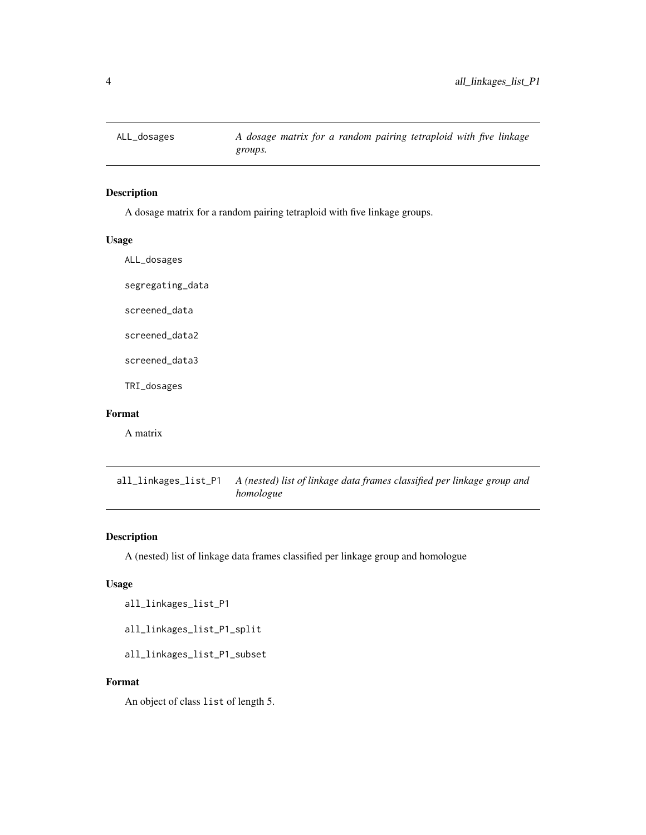<span id="page-3-0"></span>

# Description

A dosage matrix for a random pairing tetraploid with five linkage groups.

#### Usage

ALL\_dosages

segregating\_data

screened\_data

screened\_data2

screened\_data3

TRI\_dosages

# Format

A matrix

all\_linkages\_list\_P1 *A (nested) list of linkage data frames classified per linkage group and homologue*

# Description

A (nested) list of linkage data frames classified per linkage group and homologue

#### Usage

```
all_linkages_list_P1
```
all\_linkages\_list\_P1\_split

all\_linkages\_list\_P1\_subset

#### Format

An object of class list of length 5.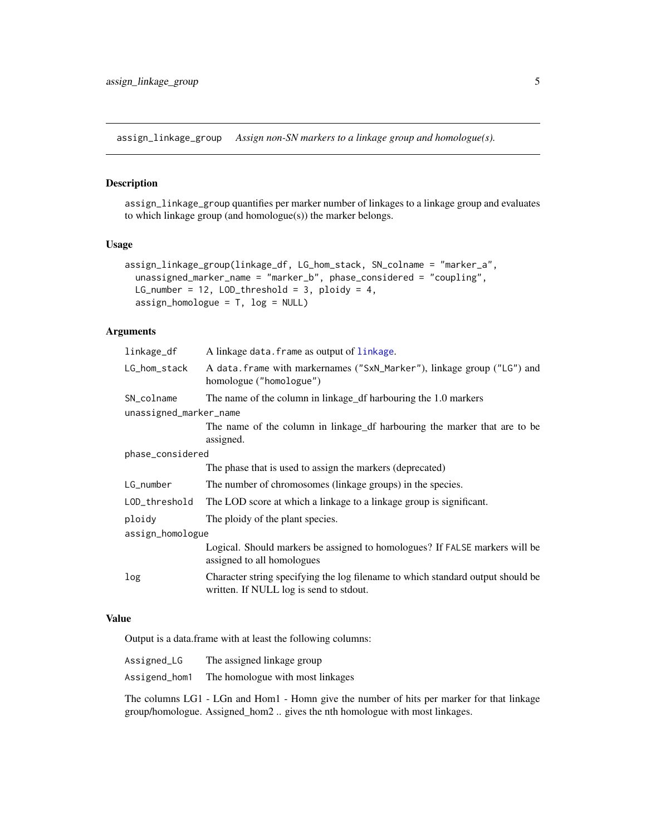<span id="page-4-1"></span><span id="page-4-0"></span>assign\_linkage\_group *Assign non-SN markers to a linkage group and homologue(s).*

#### Description

assign\_linkage\_group quantifies per marker number of linkages to a linkage group and evaluates to which linkage group (and homologue(s)) the marker belongs.

### Usage

```
assign_linkage_group(linkage_df, LG_hom_stack, SN_colname = "marker_a",
 unassigned_marker_name = "marker_b", phase_considered = "coupling",
 LG_number = 12, LOD_threshold = 3, ploidy = 4,
 assign_homologue = T, log = NULL)
```
# Arguments

| linkage_df             | A linkage data. frame as output of linkage.                                                                                |  |
|------------------------|----------------------------------------------------------------------------------------------------------------------------|--|
| LG_hom_stack           | A data. frame with markernames ("SxN_Marker"), linkage group ("LG") and<br>homologue ("homologue")                         |  |
| SN_colname             | The name of the column in linkage_df harbouring the 1.0 markers                                                            |  |
| unassigned_marker_name |                                                                                                                            |  |
|                        | The name of the column in linkage df harbouring the marker that are to be<br>assigned.                                     |  |
| phase_considered       |                                                                                                                            |  |
|                        | The phase that is used to assign the markers (deprecated)                                                                  |  |
| LG_number              | The number of chromosomes (linkage groups) in the species.                                                                 |  |
| LOD_threshold          | The LOD score at which a linkage to a linkage group is significant.                                                        |  |
| ploidy                 | The ploidy of the plant species.                                                                                           |  |
| assign_homologue       |                                                                                                                            |  |
|                        | Logical. Should markers be assigned to homologues? If FALSE markers will be<br>assigned to all homologues                  |  |
| log                    | Character string specifying the log filename to which standard output should be<br>written. If NULL log is send to stdout. |  |
|                        |                                                                                                                            |  |

#### Value

Output is a data.frame with at least the following columns:

| Assigned_LG   | The assigned linkage group                                                          |
|---------------|-------------------------------------------------------------------------------------|
| Assigend_hom1 | The homologue with most linkages                                                    |
|               | The columns LG1 - LGn and Hom1 - Homn give the number of hits per marker for that 1 |

The columns LG1 - LGn and Hom1 - Homn give the number of hits per marker for that linkage group/homologue. Assigned\_hom2 .. gives the nth homologue with most linkages.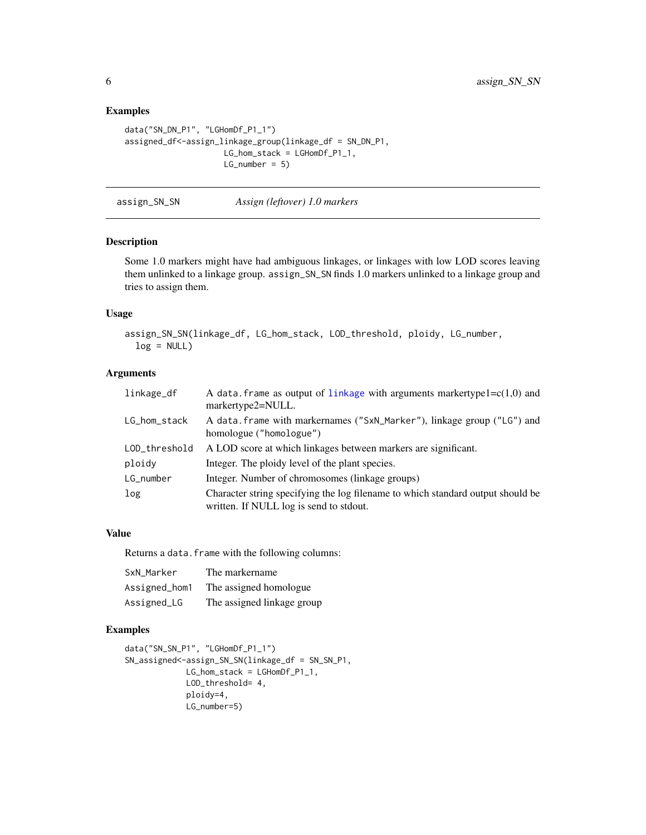# Examples

```
data("SN_DN_P1", "LGHomDf_P1_1")
assigned_df<-assign_linkage_group(linkage_df = SN_DN_P1,
                    LG_hom_stack = LGHomDf_P1_1,
                    LG_number = 5
```

| assign_SN_SN | Assign (leftover) 1.0 markers |
|--------------|-------------------------------|
|              |                               |

#### Description

Some 1.0 markers might have had ambiguous linkages, or linkages with low LOD scores leaving them unlinked to a linkage group. assign\_SN\_SN finds 1.0 markers unlinked to a linkage group and tries to assign them.

#### Usage

```
assign_SN_SN(linkage_df, LG_hom_stack, LOD_threshold, ploidy, LG_number,
  log = NULL)
```
#### Arguments

| linkage_df    | A data frame as output of linkage with arguments markertype $1 = c(1,0)$ and<br>markertype2=NULL.                          |
|---------------|----------------------------------------------------------------------------------------------------------------------------|
| LG_hom_stack  | A data. frame with markernames ("SxN_Marker"), linkage group ("LG") and<br>homologue ("homologue")                         |
| LOD_threshold | A LOD score at which linkages between markers are significant.                                                             |
| ploidy        | Integer. The ploidy level of the plant species.                                                                            |
| LG_number     | Integer. Number of chromosomes (linkage groups)                                                                            |
| log           | Character string specifying the log filename to which standard output should be<br>written. If NULL log is send to stdout. |

#### Value

Returns a data. frame with the following columns:

| SxN Marker    | The markername             |
|---------------|----------------------------|
| Assigned_hom1 | The assigned homologue.    |
| Assigned_LG   | The assigned linkage group |

```
data("SN_SN_P1", "LGHomDf_P1_1")
SN_assigned<-assign_SN_SN(linkage_df = SN_SN_P1,
            LG_hom_stack = LGHomDf_P1_1,
            LOD_threshold= 4,
            ploidy=4,
            LG_number=5)
```
<span id="page-5-0"></span>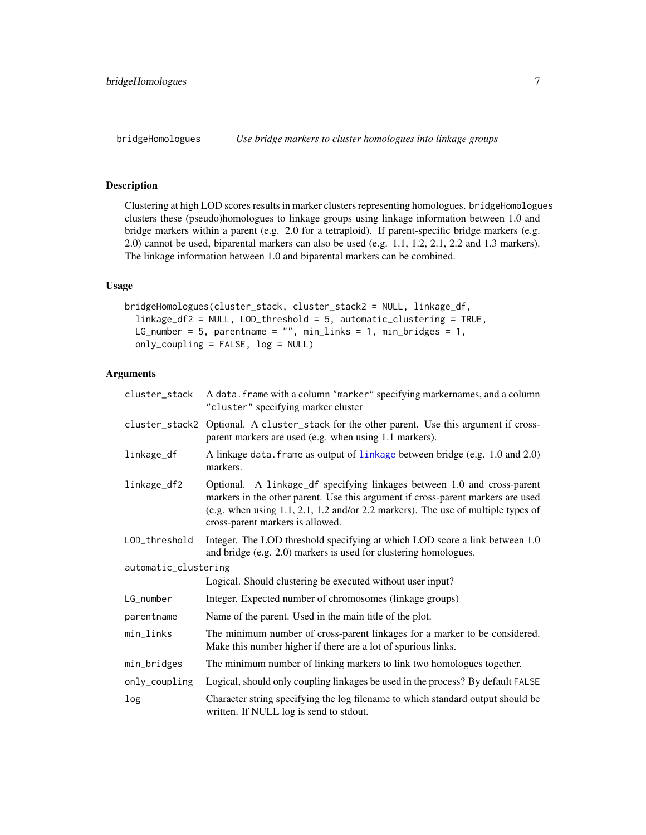# <span id="page-6-1"></span><span id="page-6-0"></span>Description

Clustering at high LOD scores results in marker clusters representing homologues. bridgeHomologues clusters these (pseudo)homologues to linkage groups using linkage information between 1.0 and bridge markers within a parent (e.g. 2.0 for a tetraploid). If parent-specific bridge markers (e.g. 2.0) cannot be used, biparental markers can also be used (e.g. 1.1, 1.2, 2.1, 2.2 and 1.3 markers). The linkage information between 1.0 and biparental markers can be combined.

#### Usage

```
bridgeHomologues(cluster_stack, cluster_stack2 = NULL, linkage_df,
  linkage_df2 = NULL, LOD_threshold = 5, automatic_clustering = TRUE,
 LG_number = 5, parentname = ", min_links = 1, min_bridges = 1,
  only_coupling = FALSE, log = NULL)
```

| cluster_stack        | A data. frame with a column "marker" specifying markernames, and a column<br>"cluster" specifying marker cluster                                                                                                                                                                             |  |
|----------------------|----------------------------------------------------------------------------------------------------------------------------------------------------------------------------------------------------------------------------------------------------------------------------------------------|--|
|                      | cluster_stack2 Optional. A cluster_stack for the other parent. Use this argument if cross-<br>parent markers are used (e.g. when using 1.1 markers).                                                                                                                                         |  |
| linkage_df           | A linkage data. frame as output of linkage between bridge (e.g. 1.0 and 2.0)<br>markers.                                                                                                                                                                                                     |  |
| linkage_df2          | Optional. A linkage_df specifying linkages between 1.0 and cross-parent<br>markers in the other parent. Use this argument if cross-parent markers are used<br>(e.g. when using $1.1$ , $2.1$ , $1.2$ and/or $2.2$ markers). The use of multiple types of<br>cross-parent markers is allowed. |  |
| LOD_threshold        | Integer. The LOD threshold specifying at which LOD score a link between 1.0<br>and bridge (e.g. 2.0) markers is used for clustering homologues.                                                                                                                                              |  |
| automatic_clustering |                                                                                                                                                                                                                                                                                              |  |
|                      | Logical. Should clustering be executed without user input?                                                                                                                                                                                                                                   |  |
| LG_number            | Integer. Expected number of chromosomes (linkage groups)                                                                                                                                                                                                                                     |  |
| parentname           | Name of the parent. Used in the main title of the plot.                                                                                                                                                                                                                                      |  |
| min_links            | The minimum number of cross-parent linkages for a marker to be considered.<br>Make this number higher if there are a lot of spurious links.                                                                                                                                                  |  |
| min_bridges          | The minimum number of linking markers to link two homologues together.                                                                                                                                                                                                                       |  |
| only_coupling        | Logical, should only coupling linkages be used in the process? By default FALSE                                                                                                                                                                                                              |  |
| log                  | Character string specifying the log filename to which standard output should be<br>written. If NULL log is send to stdout.                                                                                                                                                                   |  |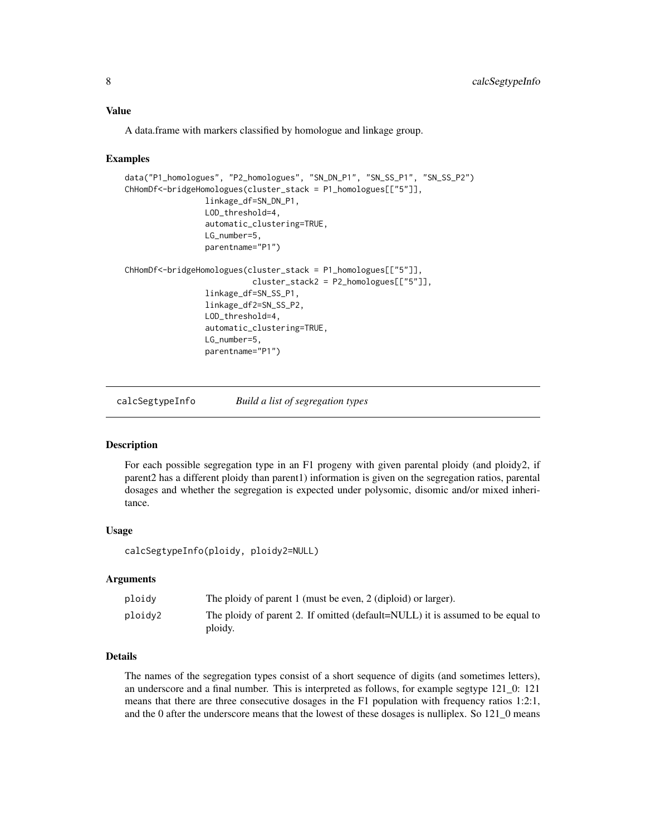<span id="page-7-0"></span>A data.frame with markers classified by homologue and linkage group.

#### Examples

```
data("P1_homologues", "P2_homologues", "SN_DN_P1", "SN_SS_P1", "SN_SS_P2")
ChHomDf<-bridgeHomologues(cluster_stack = P1_homologues[["5"]],
                 linkage_df=SN_DN_P1,
                 LOD_threshold=4,
                 automatic_clustering=TRUE,
                 LG_number=5,
                 parentname="P1")
ChHomDf<-bridgeHomologues(cluster_stack = P1_homologues[["5"]],
                           cluster_stack2 = P2_homologues[["5"]],
                 linkage_df=SN_SS_P1,
                 linkage_df2=SN_SS_P2,
                 LOD_threshold=4,
                 automatic_clustering=TRUE,
                 LG_number=5,
                 parentname="P1")
```
calcSegtypeInfo *Build a list of segregation types*

#### Description

For each possible segregation type in an F1 progeny with given parental ploidy (and ploidy2, if parent2 has a different ploidy than parent1) information is given on the segregation ratios, parental dosages and whether the segregation is expected under polysomic, disomic and/or mixed inheritance.

#### Usage

calcSegtypeInfo(ploidy, ploidy2=NULL)

#### Arguments

| ploidy  | The ploidy of parent 1 (must be even, 2 (diploid) or larger).                             |
|---------|-------------------------------------------------------------------------------------------|
| ploidy2 | The ploidy of parent 2. If omitted (default=NULL) it is assumed to be equal to<br>ploidy. |

### Details

The names of the segregation types consist of a short sequence of digits (and sometimes letters), an underscore and a final number. This is interpreted as follows, for example segtype 121\_0: 121 means that there are three consecutive dosages in the F1 population with frequency ratios 1:2:1, and the 0 after the underscore means that the lowest of these dosages is nulliplex. So 121\_0 means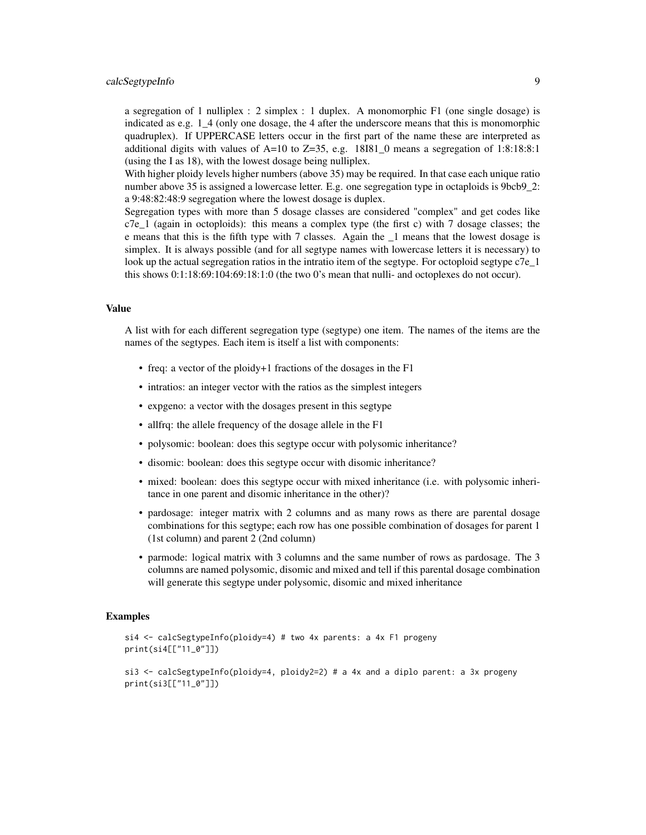#### calcSegtypeInfo 9

a segregation of 1 nulliplex : 2 simplex : 1 duplex. A monomorphic F1 (one single dosage) is indicated as e.g. 1\_4 (only one dosage, the 4 after the underscore means that this is monomorphic quadruplex). If UPPERCASE letters occur in the first part of the name these are interpreted as additional digits with values of  $A=10$  to  $Z=35$ , e.g. 18I81\_0 means a segregation of 1:8:18:8:1 (using the I as 18), with the lowest dosage being nulliplex.

With higher ploidy levels higher numbers (above 35) may be required. In that case each unique ratio number above 35 is assigned a lowercase letter. E.g. one segregation type in octaploids is 9bcb9 2: a 9:48:82:48:9 segregation where the lowest dosage is duplex.

Segregation types with more than 5 dosage classes are considered "complex" and get codes like c7e\_1 (again in octoploids): this means a complex type (the first c) with 7 dosage classes; the e means that this is the fifth type with 7 classes. Again the \_1 means that the lowest dosage is simplex. It is always possible (and for all segtype names with lowercase letters it is necessary) to look up the actual segregation ratios in the intratio item of the segtype. For octoploid segtype  $C7e_{1}$ this shows 0:1:18:69:104:69:18:1:0 (the two 0's mean that nulli- and octoplexes do not occur).

#### Value

A list with for each different segregation type (segtype) one item. The names of the items are the names of the segtypes. Each item is itself a list with components:

- freq: a vector of the ploidy+1 fractions of the dosages in the F1
- intratios: an integer vector with the ratios as the simplest integers
- expgeno: a vector with the dosages present in this segtype
- allfrq: the allele frequency of the dosage allele in the F1
- polysomic: boolean: does this segtype occur with polysomic inheritance?
- disomic: boolean: does this segtype occur with disomic inheritance?
- mixed: boolean: does this segtype occur with mixed inheritance (i.e. with polysomic inheritance in one parent and disomic inheritance in the other)?
- pardosage: integer matrix with 2 columns and as many rows as there are parental dosage combinations for this segtype; each row has one possible combination of dosages for parent 1 (1st column) and parent 2 (2nd column)
- parmode: logical matrix with 3 columns and the same number of rows as pardosage. The 3 columns are named polysomic, disomic and mixed and tell if this parental dosage combination will generate this segtype under polysomic, disomic and mixed inheritance

```
si4 <- calcSegtypeInfo(ploidy=4) # two 4x parents: a 4x F1 progeny
print(si4[["11_0"]])
```

```
si3 <- calcSegtypeInfo(ploidy=4, ploidy2=2) # a 4x and a diplo parent: a 3x progeny
print(si3[["11_0"]])
```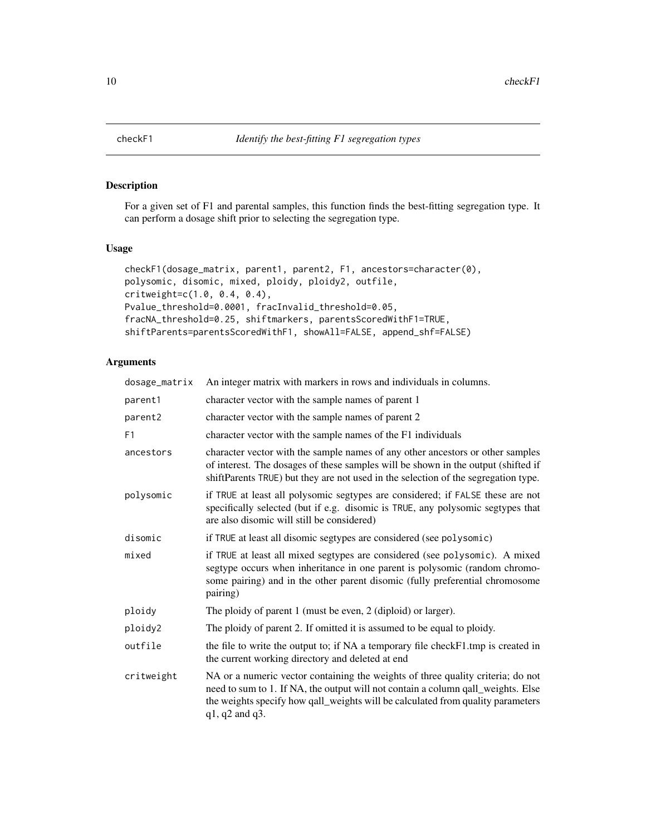<span id="page-9-0"></span>

# Description

For a given set of F1 and parental samples, this function finds the best-fitting segregation type. It can perform a dosage shift prior to selecting the segregation type.

# Usage

```
checkF1(dosage_matrix, parent1, parent2, F1, ancestors=character(0),
polysomic, disomic, mixed, ploidy, ploidy2, outfile,
critweight=c(1.0, 0.4, 0.4),
Pvalue_threshold=0.0001, fracInvalid_threshold=0.05,
fracNA_threshold=0.25, shiftmarkers, parentsScoredWithF1=TRUE,
shiftParents=parentsScoredWithF1, showAll=FALSE, append_shf=FALSE)
```

| dosage_matrix  | An integer matrix with markers in rows and individuals in columns.                                                                                                                                                                                                               |
|----------------|----------------------------------------------------------------------------------------------------------------------------------------------------------------------------------------------------------------------------------------------------------------------------------|
| parent1        | character vector with the sample names of parent 1                                                                                                                                                                                                                               |
| parent2        | character vector with the sample names of parent 2                                                                                                                                                                                                                               |
| F <sub>1</sub> | character vector with the sample names of the F1 individuals                                                                                                                                                                                                                     |
| ancestors      | character vector with the sample names of any other ancestors or other samples<br>of interest. The dosages of these samples will be shown in the output (shifted if<br>shiftParents TRUE) but they are not used in the selection of the segregation type.                        |
| polysomic      | if TRUE at least all polysomic segtypes are considered; if FALSE these are not<br>specifically selected (but if e.g. disomic is TRUE, any polysomic segtypes that<br>are also disomic will still be considered)                                                                  |
| disomic        | if TRUE at least all disomic segtypes are considered (see polysomic)                                                                                                                                                                                                             |
| mixed          | if TRUE at least all mixed segtypes are considered (see polysomic). A mixed<br>segtype occurs when inheritance in one parent is polysomic (random chromo-<br>some pairing) and in the other parent disomic (fully preferential chromosome<br>pairing)                            |
| ploidy         | The ploidy of parent 1 (must be even, 2 (diploid) or larger).                                                                                                                                                                                                                    |
| ploidy2        | The ploidy of parent 2. If omitted it is assumed to be equal to ploidy.                                                                                                                                                                                                          |
| outfile        | the file to write the output to; if NA a temporary file checkF1.tmp is created in<br>the current working directory and deleted at end                                                                                                                                            |
| critweight     | NA or a numeric vector containing the weights of three quality criteria; do not<br>need to sum to 1. If NA, the output will not contain a column qall_weights. Else<br>the weights specify how qall_weights will be calculated from quality parameters<br>$q1$ , $q2$ and $q3$ . |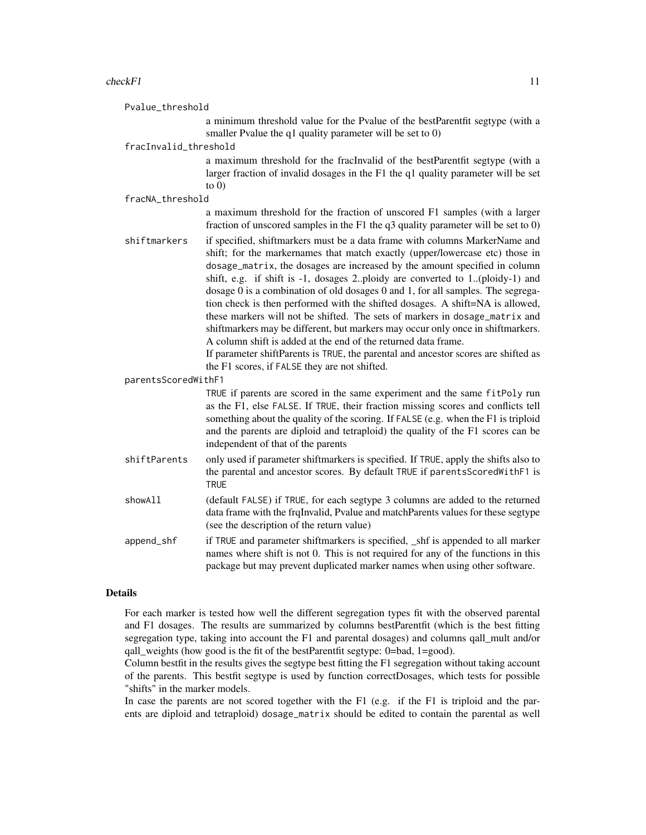#### $checkF1$  11

Pvalue\_threshold

a minimum threshold value for the Pvalue of the bestParentfit segtype (with a smaller Pvalue the q1 quality parameter will be set to 0)

#### fracInvalid\_threshold

a maximum threshold for the fracInvalid of the bestParentfit segtype (with a larger fraction of invalid dosages in the F1 the q1 quality parameter will be set to  $0)$ 

#### fracNA\_threshold

|                     | a maximum threshold for the fraction of unscored F1 samples (with a larger<br>fraction of unscored samples in the $F1$ the q3 quality parameter will be set to 0)                                                                                                                                                                                                                                                                                                                                                                                                                                                                                                                                                                                                                                                       |
|---------------------|-------------------------------------------------------------------------------------------------------------------------------------------------------------------------------------------------------------------------------------------------------------------------------------------------------------------------------------------------------------------------------------------------------------------------------------------------------------------------------------------------------------------------------------------------------------------------------------------------------------------------------------------------------------------------------------------------------------------------------------------------------------------------------------------------------------------------|
| shiftmarkers        | if specified, shiftmarkers must be a data frame with columns MarkerName and<br>shift; for the markernames that match exactly (upper/lowercase etc) those in<br>dosage_matrix, the dosages are increased by the amount specified in column<br>shift, e.g. if shift is -1, dosages 2ploidy are converted to 1(ploidy-1) and<br>dosage 0 is a combination of old dosages 0 and 1, for all samples. The segrega-<br>tion check is then performed with the shifted dosages. A shift=NA is allowed,<br>these markers will not be shifted. The sets of markers in dosage_matrix and<br>shiftmarkers may be different, but markers may occur only once in shiftmarkers.<br>A column shift is added at the end of the returned data frame.<br>If parameter shiftParents is TRUE, the parental and ancestor scores are shifted as |
| parentsScoredWithF1 | the F1 scores, if FALSE they are not shifted.                                                                                                                                                                                                                                                                                                                                                                                                                                                                                                                                                                                                                                                                                                                                                                           |
|                     | TRUE if parents are scored in the same experiment and the same fitPoly run<br>as the F1, else FALSE. If TRUE, their fraction missing scores and conflicts tell<br>something about the quality of the scoring. If FALSE (e.g. when the F1 is triploid<br>and the parents are diploid and tetraploid) the quality of the F1 scores can be<br>independent of that of the parents                                                                                                                                                                                                                                                                                                                                                                                                                                           |
| shiftParents        | only used if parameter shiftmarkers is specified. If TRUE, apply the shifts also to<br>the parental and ancestor scores. By default TRUE if parentsScoredWithF1 is<br><b>TRUE</b>                                                                                                                                                                                                                                                                                                                                                                                                                                                                                                                                                                                                                                       |
| showAll             | (default FALSE) if TRUE, for each segtype 3 columns are added to the returned<br>data frame with the frqInvalid, Pvalue and matchParents values for these segtype<br>(see the description of the return value)                                                                                                                                                                                                                                                                                                                                                                                                                                                                                                                                                                                                          |
| append_shf          | if TRUE and parameter shiftmarkers is specified, _shf is appended to all marker<br>names where shift is not 0. This is not required for any of the functions in this<br>package but may prevent duplicated marker names when using other software.                                                                                                                                                                                                                                                                                                                                                                                                                                                                                                                                                                      |

#### Details

For each marker is tested how well the different segregation types fit with the observed parental and F1 dosages. The results are summarized by columns bestParentfit (which is the best fitting segregation type, taking into account the F1 and parental dosages) and columns qall\_mult and/or qall weights (how good is the fit of the bestParentfit segtype:  $0=$ bad,  $1=$ good).

Column bestfit in the results gives the segtype best fitting the F1 segregation without taking account of the parents. This bestfit segtype is used by function correctDosages, which tests for possible "shifts" in the marker models.

In case the parents are not scored together with the F1 (e.g. if the F1 is triploid and the parents are diploid and tetraploid) dosage\_matrix should be edited to contain the parental as well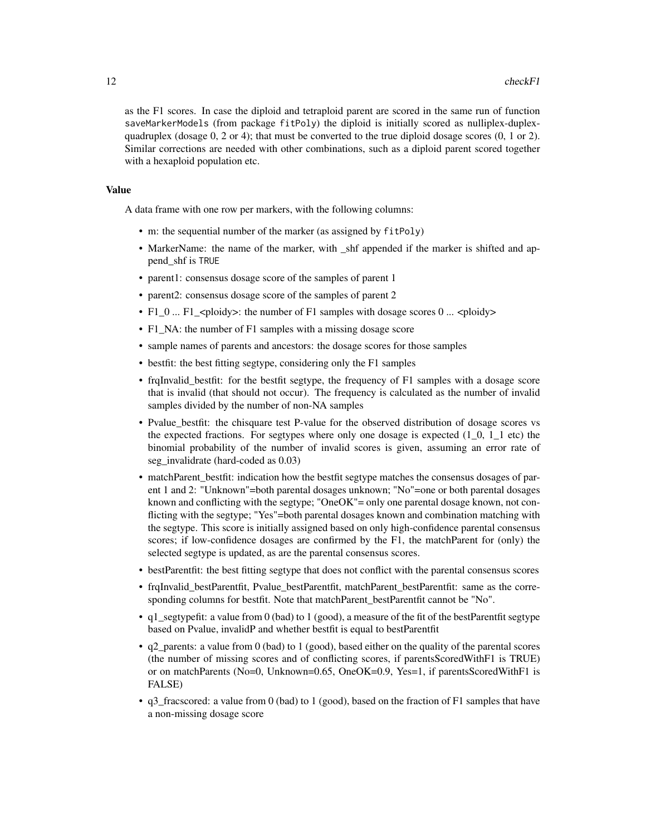as the F1 scores. In case the diploid and tetraploid parent are scored in the same run of function saveMarkerModels (from package fitPoly) the diploid is initially scored as nulliplex-duplexquadruplex (dosage  $0, 2$  or 4); that must be converted to the true diploid dosage scores  $(0, 1 \text{ or } 2)$ . Similar corrections are needed with other combinations, such as a diploid parent scored together with a hexaploid population etc.

#### Value

A data frame with one row per markers, with the following columns:

- m: the sequential number of the marker (as assigned by fitPoly)
- MarkerName: the name of the marker, with \_shf appended if the marker is shifted and append\_shf is TRUE
- parent1: consensus dosage score of the samples of parent 1
- parent2: consensus dosage score of the samples of parent 2
- F1\_0 ... F1\_<ploidy>: the number of F1 samples with dosage scores 0 ... <ploidy>
- F1\_NA: the number of F1 samples with a missing dosage score
- sample names of parents and ancestors: the dosage scores for those samples
- bestfit: the best fitting segtype, considering only the F1 samples
- frqInvalid\_bestfit: for the bestfit segtype, the frequency of F1 samples with a dosage score that is invalid (that should not occur). The frequency is calculated as the number of invalid samples divided by the number of non-NA samples
- Pvalue\_bestfit: the chisquare test P-value for the observed distribution of dosage scores vs the expected fractions. For segtypes where only one dosage is expected  $(1_0, 1_1)$  etc) the binomial probability of the number of invalid scores is given, assuming an error rate of seg\_invalidrate (hard-coded as 0.03)
- matchParent\_bestfit: indication how the bestfit segtype matches the consensus dosages of parent 1 and 2: "Unknown"=both parental dosages unknown; "No"=one or both parental dosages known and conflicting with the segtype; "OneOK"= only one parental dosage known, not conflicting with the segtype; "Yes"=both parental dosages known and combination matching with the segtype. This score is initially assigned based on only high-confidence parental consensus scores; if low-confidence dosages are confirmed by the F1, the matchParent for (only) the selected segtype is updated, as are the parental consensus scores.
- bestParentfit: the best fitting segtype that does not conflict with the parental consensus scores
- frqInvalid bestParentfit, Pvalue bestParentfit, matchParent bestParentfit: same as the corresponding columns for bestfit. Note that matchParent\_bestParentfit cannot be "No".
- q1 segtypefit: a value from 0 (bad) to 1 (good), a measure of the fit of the bestParentfit segtype based on Pvalue, invalidP and whether bestfit is equal to bestParentfit
- q2\_parents: a value from 0 (bad) to 1 (good), based either on the quality of the parental scores (the number of missing scores and of conflicting scores, if parentsScoredWithF1 is TRUE) or on matchParents (No=0, Unknown=0.65, OneOK=0.9, Yes=1, if parentsScoredWithF1 is FALSE)
- q3 fracscored: a value from 0 (bad) to 1 (good), based on the fraction of F1 samples that have a non-missing dosage score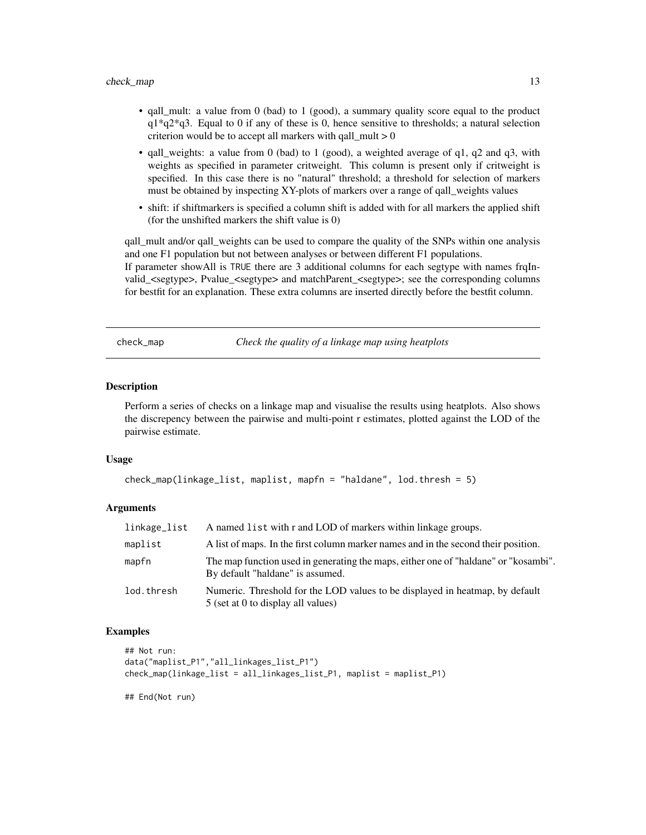- <span id="page-12-0"></span>• qall\_mult: a value from 0 (bad) to 1 (good), a summary quality score equal to the product  $q1*q2*q3$ . Equal to 0 if any of these is 0, hence sensitive to thresholds; a natural selection criterion would be to accept all markers with qall  $mult > 0$
- qall\_weights: a value from 0 (bad) to 1 (good), a weighted average of q1, q2 and q3, with weights as specified in parameter critweight. This column is present only if critweight is specified. In this case there is no "natural" threshold; a threshold for selection of markers must be obtained by inspecting XY-plots of markers over a range of qall\_weights values
- shift: if shiftmarkers is specified a column shift is added with for all markers the applied shift (for the unshifted markers the shift value is 0)

qall\_mult and/or qall\_weights can be used to compare the quality of the SNPs within one analysis and one F1 population but not between analyses or between different F1 populations. If parameter showAll is TRUE there are 3 additional columns for each segtype with names frqInvalid\_<segtype>, Pvalue\_<segtype> and matchParent\_<segtype>; see the corresponding columns for bestfit for an explanation. These extra columns are inserted directly before the bestfit column.

check\_map *Check the quality of a linkage map using heatplots*

# Description

Perform a series of checks on a linkage map and visualise the results using heatplots. Also shows the discrepency between the pairwise and multi-point r estimates, plotted against the LOD of the pairwise estimate.

#### Usage

```
check_map(linkage_list, maplist, mapfn = "haldane", lod.thresh = 5)
```
#### **Arguments**

| linkage_list | A named list with r and LOD of markers within linkage groups.                                                           |
|--------------|-------------------------------------------------------------------------------------------------------------------------|
| maplist      | A list of maps. In the first column marker names and in the second their position.                                      |
| mapfn        | The map function used in generating the maps, either one of "haldane" or "kosambi".<br>By default "haldane" is assumed. |
| lod.thresh   | Numeric. Threshold for the LOD values to be displayed in heatmap, by default<br>5 (set at 0 to display all values)      |

#### Examples

```
## Not run:
data("maplist_P1","all_linkages_list_P1")
check_map(linkage_list = all_linkages_list_P1, maplist = maplist_P1)
```
## End(Not run)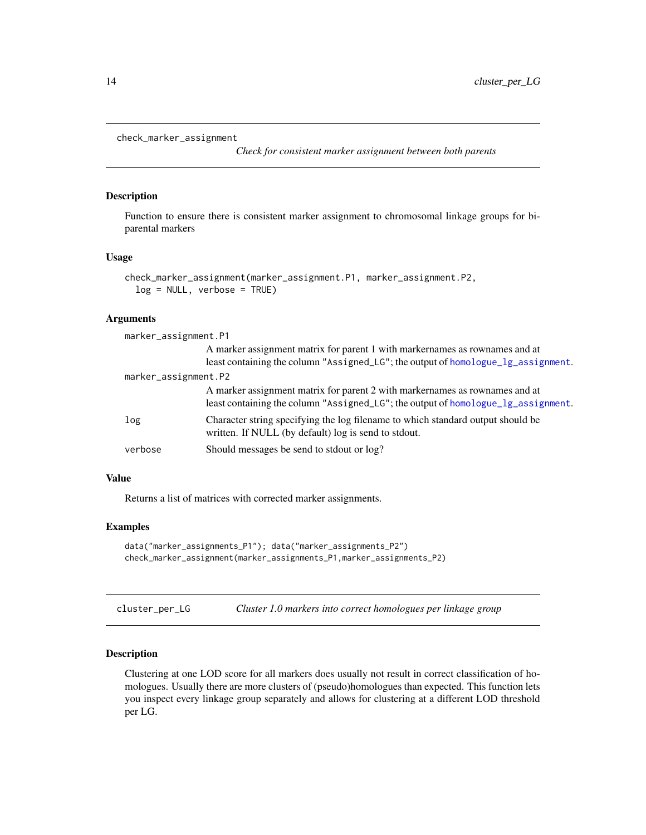```
check_marker_assignment
```
*Check for consistent marker assignment between both parents*

#### Description

Function to ensure there is consistent marker assignment to chromosomal linkage groups for biparental markers

#### Usage

```
check_marker_assignment(marker_assignment.P1, marker_assignment.P2,
  log = NULL, verbose = TRUE)
```
# Arguments

| marker_assignment.P1 |                                                                                   |  |
|----------------------|-----------------------------------------------------------------------------------|--|
|                      | A marker assignment matrix for parent 1 with markernames as rownames and at       |  |
|                      | least containing the column "Assigned_LG"; the output of homologue_lg_assignment. |  |
| marker_assignment.P2 |                                                                                   |  |
|                      | A marker assignment matrix for parent 2 with markernames as rownames and at       |  |
|                      | least containing the column "Assigned_LG"; the output of homologue_lg_assignment. |  |
| log                  | Character string specifying the log filename to which standard output should be   |  |
|                      | written. If NULL (by default) log is send to stdout.                              |  |
| verbose              | Should messages be send to stdout or log?                                         |  |
|                      |                                                                                   |  |

#### Value

Returns a list of matrices with corrected marker assignments.

#### Examples

```
data("marker_assignments_P1"); data("marker_assignments_P2")
check_marker_assignment(marker_assignments_P1,marker_assignments_P2)
```
cluster\_per\_LG *Cluster 1.0 markers into correct homologues per linkage group*

#### Description

Clustering at one LOD score for all markers does usually not result in correct classification of homologues. Usually there are more clusters of (pseudo)homologues than expected. This function lets you inspect every linkage group separately and allows for clustering at a different LOD threshold per LG.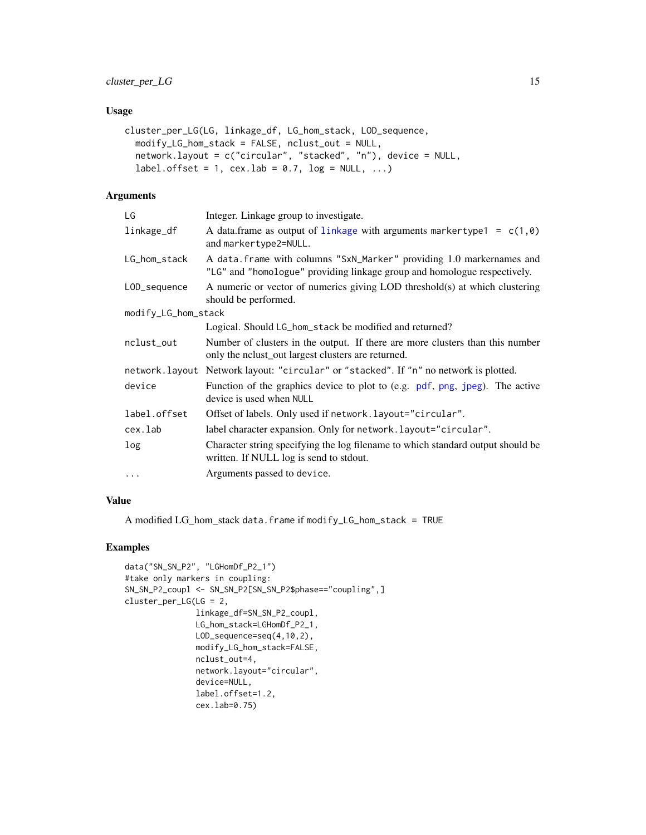# <span id="page-14-0"></span>Usage

```
cluster_per_LG(LG, linkage_df, LG_hom_stack, LOD_sequence,
 modify_LG_hom_stack = FALSE, nclust_out = NULL,
 network.layout = c("circular", "stacked", "n"), device = NULL,
  label.offset = 1, cex.lab = 0.7, log = NULL, ...)
```
#### Arguments

| LG                  | Integer. Linkage group to investigate.                                                                                                            |
|---------------------|---------------------------------------------------------------------------------------------------------------------------------------------------|
| linkage_df          | A data.frame as output of linkage with arguments markertype1 = $c(1, \theta)$<br>and markertype2=NULL.                                            |
| LG_hom_stack        | A data. frame with columns "SxN_Marker" providing 1.0 markernames and<br>"LG" and "homologue" providing linkage group and homologue respectively. |
| LOD_sequence        | A numeric or vector of numerics giving LOD threshold(s) at which clustering<br>should be performed.                                               |
| modify_LG_hom_stack |                                                                                                                                                   |
|                     | Logical. Should LG_hom_stack be modified and returned?                                                                                            |
| nclust_out          | Number of clusters in the output. If there are more clusters than this number<br>only the not not largest clusters are returned.                  |
|                     | network.layout Network layout: "circular" or "stacked". If "n" no network is plotted.                                                             |
| device              | Function of the graphics device to plot to (e.g. pdf, png, jpeg). The active<br>device is used when NULL                                          |
| label.offset        | Offset of labels. Only used if network. layout="circular".                                                                                        |
| cex.lab             | label character expansion. Only for network. layout="circular".                                                                                   |
| log                 | Character string specifying the log filename to which standard output should be<br>written. If NULL log is send to stdout.                        |
| $\ddots$            | Arguments passed to device.                                                                                                                       |
|                     |                                                                                                                                                   |

# Value

A modified LG\_hom\_stack data.frame if modify\_LG\_hom\_stack = TRUE

```
data("SN_SN_P2", "LGHomDf_P2_1")
#take only markers in coupling:
SN_SN_P2_coupl <- SN_SN_P2[SN_SN_P2$phase=="coupling",]
cluster_per_LG(LG = 2,
              linkage_df=SN_SN_P2_coupl,
               LG_hom_stack=LGHomDf_P2_1,
               LOD_sequence=seq(4,10,2),
               modify_LG_hom_stack=FALSE,
               nclust_out=4,
               network.layout="circular",
               device=NULL,
               label.offset=1.2,
               cex.lab=0.75)
```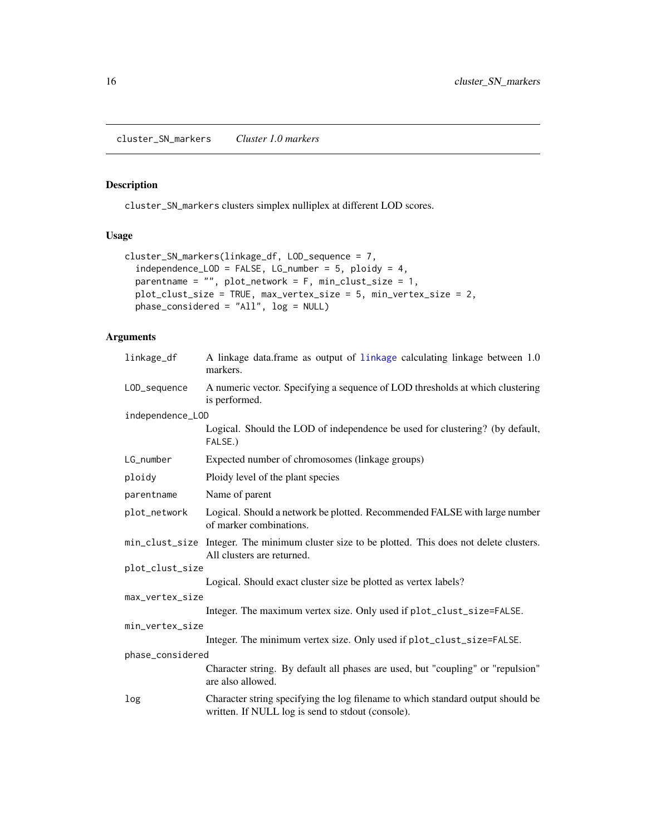<span id="page-15-0"></span>cluster\_SN\_markers *Cluster 1.0 markers*

# Description

cluster\_SN\_markers clusters simplex nulliplex at different LOD scores.

#### Usage

```
cluster_SN_markers(linkage_df, LOD_sequence = 7,
  independence\_LOD = FALSE, LG_number = 5, ploidy = 4,parentname = "", plot_network = F, min_clust_size = 1,
 plot_clust_size = TRUE, max_vertex_size = 5, min_vertex_size = 2,
 phase_considered = "All", log = NULL)
```

| linkage_df       | A linkage data.frame as output of linkage calculating linkage between 1.0<br>markers.                                                |
|------------------|--------------------------------------------------------------------------------------------------------------------------------------|
| LOD_sequence     | A numeric vector. Specifying a sequence of LOD thresholds at which clustering<br>is performed.                                       |
| independence_LOD |                                                                                                                                      |
|                  | Logical. Should the LOD of independence be used for clustering? (by default,<br>FALSE.)                                              |
| LG_number        | Expected number of chromosomes (linkage groups)                                                                                      |
| ploidy           | Ploidy level of the plant species                                                                                                    |
| parentname       | Name of parent                                                                                                                       |
| plot_network     | Logical. Should a network be plotted. Recommended FALSE with large number<br>of marker combinations.                                 |
|                  | min_clust_size Integer. The minimum cluster size to be plotted. This does not delete clusters.<br>All clusters are returned.         |
| plot_clust_size  |                                                                                                                                      |
|                  | Logical. Should exact cluster size be plotted as vertex labels?                                                                      |
| max_vertex_size  |                                                                                                                                      |
|                  | Integer. The maximum vertex size. Only used if plot_clust_size=FALSE.                                                                |
| min_vertex_size  |                                                                                                                                      |
|                  | Integer. The minimum vertex size. Only used if plot_clust_size=FALSE.                                                                |
| phase_considered |                                                                                                                                      |
|                  | Character string. By default all phases are used, but "coupling" or "repulsion"<br>are also allowed.                                 |
| log              | Character string specifying the log filename to which standard output should be<br>written. If NULL log is send to stdout (console). |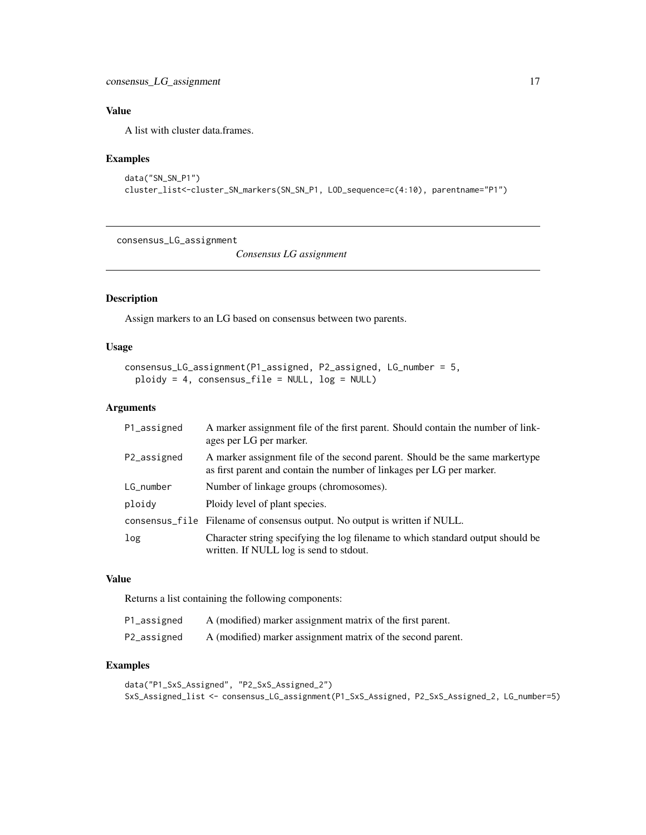<span id="page-16-0"></span>A list with cluster data.frames.

# Examples

```
data("SN_SN_P1")
cluster_list<-cluster_SN_markers(SN_SN_P1, LOD_sequence=c(4:10), parentname="P1")
```
consensus\_LG\_assignment

*Consensus LG assignment*

# Description

Assign markers to an LG based on consensus between two parents.

#### Usage

```
consensus_LG_assignment(P1_assigned, P2_assigned, LG_number = 5,
 ploidy = 4, consensus_file = NULL, log = NULL)
```
#### Arguments

| P1_assigned | A marker assignment file of the first parent. Should contain the number of link-<br>ages per LG per marker.                                           |
|-------------|-------------------------------------------------------------------------------------------------------------------------------------------------------|
| P2_assigned | A marker assignment file of the second parent. Should be the same markertype<br>as first parent and contain the number of linkages per LG per marker. |
| LG_number   | Number of linkage groups (chromosomes).                                                                                                               |
| ploidy      | Ploidy level of plant species.                                                                                                                        |
|             | consensus_file Filename of consensus output. No output is written if NULL.                                                                            |
| log         | Character string specifying the log filename to which standard output should be<br>written. If NULL log is send to stdout.                            |

#### Value

Returns a list containing the following components:

| P1_assigned | A (modified) marker assignment matrix of the first parent.  |
|-------------|-------------------------------------------------------------|
| P2_assigned | A (modified) marker assignment matrix of the second parent. |

```
data("P1_SxS_Assigned", "P2_SxS_Assigned_2")
SxS_Assigned_list <- consensus_LG_assignment(P1_SxS_Assigned, P2_SxS_Assigned_2, LG_number=5)
```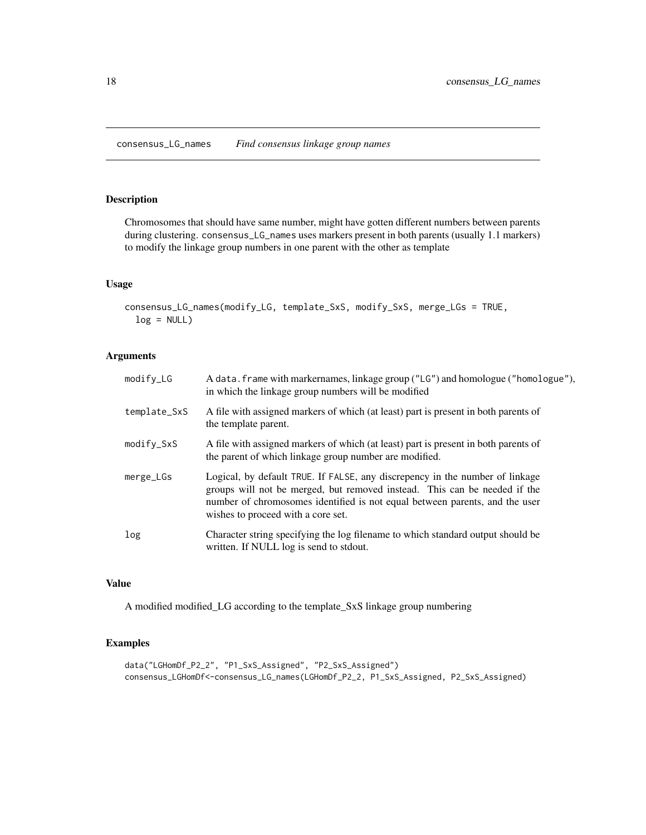<span id="page-17-0"></span>consensus\_LG\_names *Find consensus linkage group names*

#### Description

Chromosomes that should have same number, might have gotten different numbers between parents during clustering. consensus\_LG\_names uses markers present in both parents (usually 1.1 markers) to modify the linkage group numbers in one parent with the other as template

#### Usage

```
consensus_LG_names(modify_LG, template_SxS, modify_SxS, merge_LGs = TRUE,
  log = NULL)
```
# Arguments

| $modifv_LG$  | A data. frame with markernames, linkage group ("LG") and homologue ("homologue"),<br>in which the linkage group numbers will be modified                                                                                                                                       |
|--------------|--------------------------------------------------------------------------------------------------------------------------------------------------------------------------------------------------------------------------------------------------------------------------------|
| template_SxS | A file with assigned markers of which (at least) part is present in both parents of<br>the template parent.                                                                                                                                                                    |
| modify_SxS   | A file with assigned markers of which (at least) part is present in both parents of<br>the parent of which linkage group number are modified.                                                                                                                                  |
| merge_LGs    | Logical, by default TRUE. If FALSE, any discrepency in the number of linkage<br>groups will not be merged, but removed instead. This can be needed if the<br>number of chromosomes identified is not equal between parents, and the user<br>wishes to proceed with a core set. |
| log          | Character string specifying the log filename to which standard output should be<br>written. If NULL log is send to stdout.                                                                                                                                                     |

#### Value

A modified modified\_LG according to the template\_SxS linkage group numbering

```
data("LGHomDf_P2_2", "P1_SxS_Assigned", "P2_SxS_Assigned")
consensus_LGHomDf<-consensus_LG_names(LGHomDf_P2_2, P1_SxS_Assigned, P2_SxS_Assigned)
```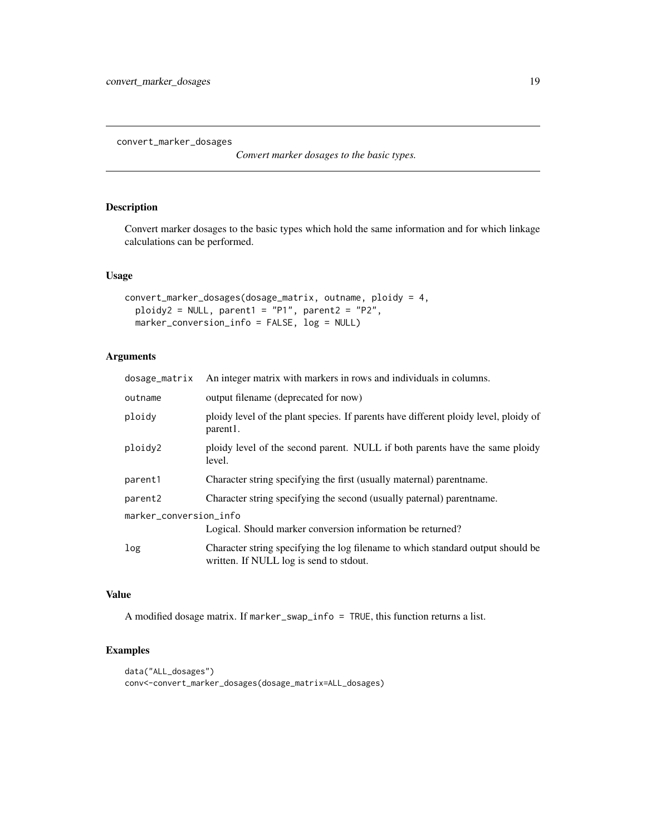<span id="page-18-1"></span><span id="page-18-0"></span>convert\_marker\_dosages

*Convert marker dosages to the basic types.*

# Description

Convert marker dosages to the basic types which hold the same information and for which linkage calculations can be performed.

#### Usage

```
convert_marker_dosages(dosage_matrix, outname, ploidy = 4,
 ploidy2 = NULL, parent1 = "P1", parent2 = "P2",marker_conversion_info = FALSE, log = NULL)
```
# Arguments

| dosage_matrix          | An integer matrix with markers in rows and individuals in columns.                                                         |  |
|------------------------|----------------------------------------------------------------------------------------------------------------------------|--|
| outname                | output filename (deprecated for now)                                                                                       |  |
| ploidy                 | ploidy level of the plant species. If parents have different ploidy level, ploidy of<br>parent1.                           |  |
| ploidy2                | ploidy level of the second parent. NULL if both parents have the same ploidy<br>level.                                     |  |
| parent1                | Character string specifying the first (usually maternal) parent name.                                                      |  |
| parent2                | Character string specifying the second (usually paternal) parent name.                                                     |  |
| marker_conversion_info |                                                                                                                            |  |
|                        | Logical. Should marker conversion information be returned?                                                                 |  |
| log                    | Character string specifying the log filename to which standard output should be<br>written. If NULL log is send to stdout. |  |

#### Value

A modified dosage matrix. If marker\_swap\_info = TRUE, this function returns a list.

```
data("ALL_dosages")
conv<-convert_marker_dosages(dosage_matrix=ALL_dosages)
```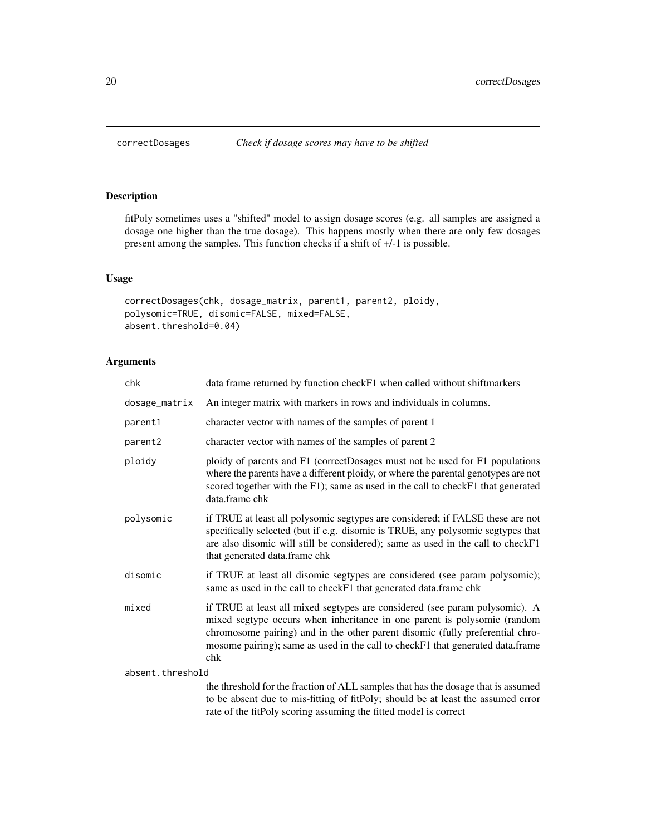# Description

fitPoly sometimes uses a "shifted" model to assign dosage scores (e.g. all samples are assigned a dosage one higher than the true dosage). This happens mostly when there are only few dosages present among the samples. This function checks if a shift of +/-1 is possible.

#### Usage

```
correctDosages(chk, dosage_matrix, parent1, parent2, ploidy,
polysomic=TRUE, disomic=FALSE, mixed=FALSE,
absent.threshold=0.04)
```
#### Arguments

| chk                 | data frame returned by function check F1 when called without shiftmarkers                                                                                                                                                                                                                                                         |
|---------------------|-----------------------------------------------------------------------------------------------------------------------------------------------------------------------------------------------------------------------------------------------------------------------------------------------------------------------------------|
| dosage_matrix       | An integer matrix with markers in rows and individuals in columns.                                                                                                                                                                                                                                                                |
| parent1             | character vector with names of the samples of parent 1                                                                                                                                                                                                                                                                            |
| parent <sub>2</sub> | character vector with names of the samples of parent 2                                                                                                                                                                                                                                                                            |
| ploidy              | ploidy of parents and F1 (correctDosages must not be used for F1 populations<br>where the parents have a different ploidy, or where the parental genotypes are not<br>scored together with the F1); same as used in the call to checkF1 that generated<br>data.frame chk                                                          |
| polysomic           | if TRUE at least all polysomic segtypes are considered; if FALSE these are not<br>specifically selected (but if e.g. disomic is TRUE, any polysomic segtypes that<br>are also disomic will still be considered); same as used in the call to checkF1<br>that generated data.frame chk                                             |
| disomic             | if TRUE at least all disomic segtypes are considered (see param polysomic);<br>same as used in the call to checkF1 that generated data.frame chk                                                                                                                                                                                  |
| mixed               | if TRUE at least all mixed segtypes are considered (see param polysomic). A<br>mixed segtype occurs when inheritance in one parent is polysomic (random<br>chromosome pairing) and in the other parent disomic (fully preferential chro-<br>mosome pairing); same as used in the call to checkF1 that generated data.frame<br>chk |
| absent.threshold    |                                                                                                                                                                                                                                                                                                                                   |
|                     | the threshold for the fraction of ALL samples that has the dosage that is assumed                                                                                                                                                                                                                                                 |

to be absent due to mis-fitting of fitPoly; should be at least the assumed error rate of the fitPoly scoring assuming the fitted model is correct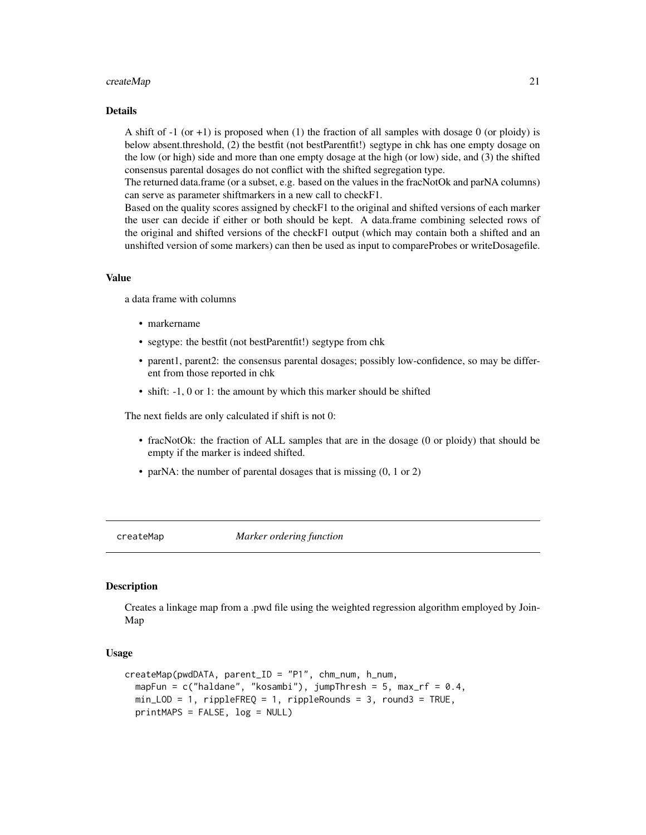#### <span id="page-20-0"></span> $\emph{createMap}$  21

#### Details

A shift of  $-1$  (or  $+1$ ) is proposed when (1) the fraction of all samples with dosage 0 (or ploidy) is below absent.threshold, (2) the bestfit (not bestParentfit!) segtype in chk has one empty dosage on the low (or high) side and more than one empty dosage at the high (or low) side, and (3) the shifted consensus parental dosages do not conflict with the shifted segregation type.

The returned data.frame (or a subset, e.g. based on the values in the fracNotOk and parNA columns) can serve as parameter shiftmarkers in a new call to checkF1.

Based on the quality scores assigned by checkF1 to the original and shifted versions of each marker the user can decide if either or both should be kept. A data.frame combining selected rows of the original and shifted versions of the checkF1 output (which may contain both a shifted and an unshifted version of some markers) can then be used as input to compareProbes or writeDosagefile.

#### Value

a data frame with columns

- markername
- segtype: the bestfit (not bestParentfit!) segtype from chk
- parent1, parent2: the consensus parental dosages; possibly low-confidence, so may be different from those reported in chk
- shift:  $-1$ , 0 or 1: the amount by which this marker should be shifted

The next fields are only calculated if shift is not 0:

- fracNotOk: the fraction of ALL samples that are in the dosage (0 or ploidy) that should be empty if the marker is indeed shifted.
- parNA: the number of parental dosages that is missing  $(0, 1 \text{ or } 2)$

createMap *Marker ordering function*

#### Description

Creates a linkage map from a .pwd file using the weighted regression algorithm employed by Join-Map

#### Usage

```
createMap(pwdDATA, parent_ID = "P1", chm_num, h_num,
   mapFun = c("haldane", "kosambi"), jumpThresh = 5, max_rf = 0.4,
  min\_LOD = 1, right <math>F = 1</math>, <math>right <math>F = 1</math>, <math>right <math>F = 1</math>, <math>right <math>F = 2</math>, <math>over = 3</math>, <math>round3 = TRUE</math>,printMAPS = FALSE, log = NULL)
```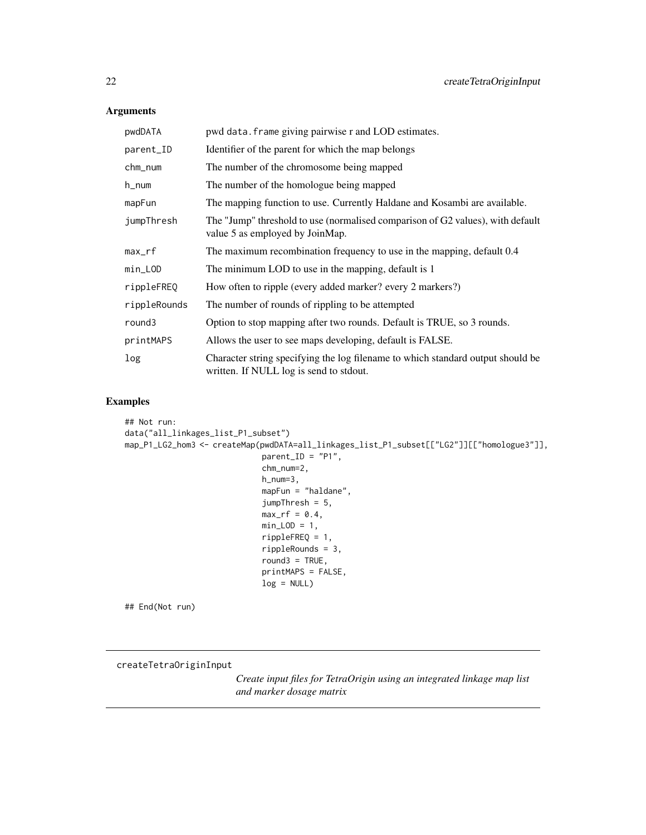# Arguments

| pwdDATA      | pwd data. frame giving pairwise r and LOD estimates.                                                                       |
|--------------|----------------------------------------------------------------------------------------------------------------------------|
| parent_ID    | Identifier of the parent for which the map belongs                                                                         |
| chm_num      | The number of the chromosome being mapped                                                                                  |
| h_num        | The number of the homologue being mapped                                                                                   |
| mapFun       | The mapping function to use. Currently Haldane and Kosambi are available.                                                  |
| jumpThresh   | The "Jump" threshold to use (normalised comparison of G2 values), with default<br>value 5 as employed by JoinMap.          |
| $max\_rf$    | The maximum recombination frequency to use in the mapping, default 0.4                                                     |
| min_LOD      | The minimum LOD to use in the mapping, default is 1                                                                        |
| rippleFREQ   | How often to ripple (every added marker? every 2 markers?)                                                                 |
| rippleRounds | The number of rounds of rippling to be attempted                                                                           |
| round3       | Option to stop mapping after two rounds. Default is TRUE, so 3 rounds.                                                     |
| printMAPS    | Allows the user to see maps developing, default is FALSE.                                                                  |
| log          | Character string specifying the log filename to which standard output should be<br>written. If NULL log is send to stdout. |

# Examples

```
## Not run:
data("all_linkages_list_P1_subset")
map_P1_LG2_hom3 <- createMap(pwdDATA=all_linkages_list_P1_subset[["LG2"]][["homologue3"]],
                             parent_ID = "P1",
                             chm_num=2,
                             h_num=3,
                             mapFun = "haldane",
                             jumpThresh = 5,
                             max\_rf = 0.4,
                             min\_LOD = 1,
                             rippleFREQ = 1,
                             rippleRounds = 3,
                             round3 = TRUE,
                             printMAPS = FALSE,
                             log = NULL)
```
## End(Not run)

#### createTetraOriginInput

*Create input files for TetraOrigin using an integrated linkage map list and marker dosage matrix*

<span id="page-21-0"></span>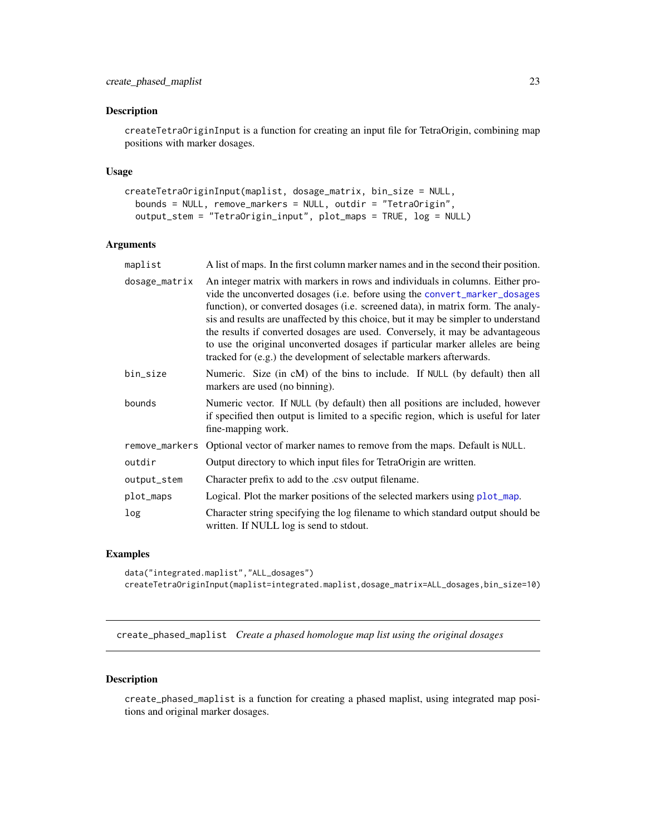#### <span id="page-22-0"></span>Description

createTetraOriginInput is a function for creating an input file for TetraOrigin, combining map positions with marker dosages.

#### Usage

```
createTetraOriginInput(maplist, dosage_matrix, bin_size = NULL,
 bounds = NULL, remove_markers = NULL, outdir = "TetraOrigin",
  output_stem = "TetraOrigin_input", plot_maps = TRUE, log = NULL)
```
# Arguments

| maplist        | A list of maps. In the first column marker names and in the second their position.                                                                                                                                                                                                                                                                                                                                                                                                                                                                                                |
|----------------|-----------------------------------------------------------------------------------------------------------------------------------------------------------------------------------------------------------------------------------------------------------------------------------------------------------------------------------------------------------------------------------------------------------------------------------------------------------------------------------------------------------------------------------------------------------------------------------|
| dosage_matrix  | An integer matrix with markers in rows and individuals in columns. Either pro-<br>vide the unconverted dosages (i.e. before using the convert_marker_dosages<br>function), or converted dosages (i.e. screened data), in matrix form. The analy-<br>sis and results are unaffected by this choice, but it may be simpler to understand<br>the results if converted dosages are used. Conversely, it may be advantageous<br>to use the original unconverted dosages if particular marker alleles are being<br>tracked for (e.g.) the development of selectable markers afterwards. |
| bin_size       | Numeric. Size (in cM) of the bins to include. If NULL (by default) then all<br>markers are used (no binning).                                                                                                                                                                                                                                                                                                                                                                                                                                                                     |
| bounds         | Numeric vector. If NULL (by default) then all positions are included, however<br>if specified then output is limited to a specific region, which is useful for later<br>fine-mapping work.                                                                                                                                                                                                                                                                                                                                                                                        |
| remove_markers | Optional vector of marker names to remove from the maps. Default is NULL.                                                                                                                                                                                                                                                                                                                                                                                                                                                                                                         |
| outdir         | Output directory to which input files for TetraOrigin are written.                                                                                                                                                                                                                                                                                                                                                                                                                                                                                                                |
| output_stem    | Character prefix to add to the .csv output filename.                                                                                                                                                                                                                                                                                                                                                                                                                                                                                                                              |
| plot_maps      | Logical. Plot the marker positions of the selected markers using plot_map.                                                                                                                                                                                                                                                                                                                                                                                                                                                                                                        |
| log            | Character string specifying the log filename to which standard output should be<br>written. If NULL log is send to stdout.                                                                                                                                                                                                                                                                                                                                                                                                                                                        |

#### Examples

```
data("integrated.maplist","ALL_dosages")
createTetraOriginInput(maplist=integrated.maplist,dosage_matrix=ALL_dosages,bin_size=10)
```
<span id="page-22-1"></span>create\_phased\_maplist *Create a phased homologue map list using the original dosages*

#### Description

create\_phased\_maplist is a function for creating a phased maplist, using integrated map positions and original marker dosages.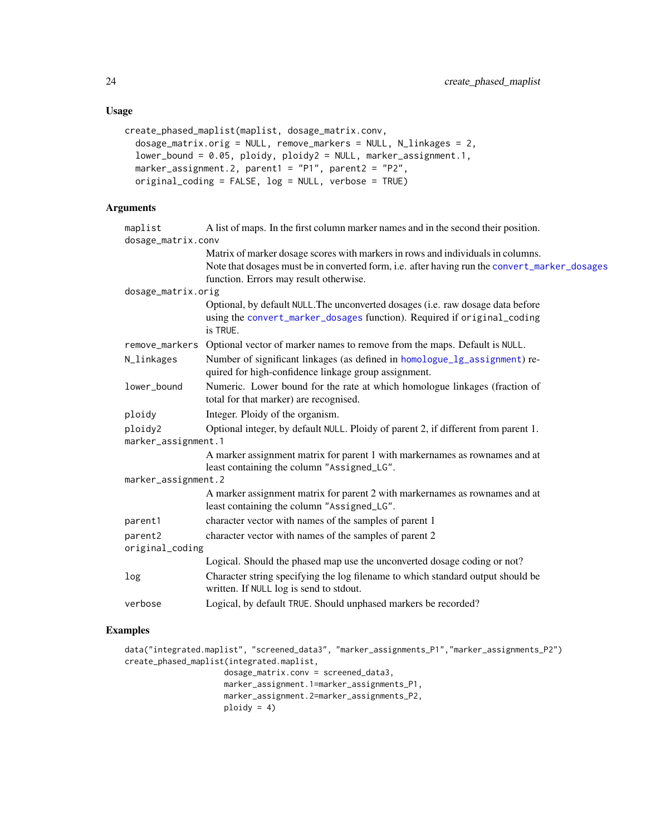# <span id="page-23-0"></span>Usage

```
create_phased_maplist(maplist, dosage_matrix.conv,
  dosage_matrix.orig = NULL, remove_markers = NULL, N_linkages = 2,
  lower_bound = 0.05, ploidy, ploidy2 = NULL, marker_assignment.1,
 marker_assignment.2, parent1 = "P1", parent2 = "P2",
 original_coding = FALSE, log = NULL, verbose = TRUE)
```
# Arguments

| maplist                        | A list of maps. In the first column marker names and in the second their position.                                                                                                                                         |  |
|--------------------------------|----------------------------------------------------------------------------------------------------------------------------------------------------------------------------------------------------------------------------|--|
| dosage_matrix.conv             | Matrix of marker dosage scores with markers in rows and individuals in columns.<br>Note that dosages must be in converted form, i.e. after having run the convert_marker_dosages<br>function. Errors may result otherwise. |  |
| dosage_matrix.orig             |                                                                                                                                                                                                                            |  |
|                                | Optional, by default NULL. The unconverted dosages (i.e. raw dosage data before<br>using the convert_marker_dosages function). Required if original_coding<br>is TRUE.                                                     |  |
|                                | remove_markers Optional vector of marker names to remove from the maps. Default is NULL.                                                                                                                                   |  |
| N_linkages                     | Number of significant linkages (as defined in homologue_lg_assignment) re-<br>quired for high-confidence linkage group assignment.                                                                                         |  |
| lower_bound                    | Numeric. Lower bound for the rate at which homologue linkages (fraction of<br>total for that marker) are recognised.                                                                                                       |  |
| ploidy                         | Integer. Ploidy of the organism.                                                                                                                                                                                           |  |
| ploidy2<br>marker_assignment.1 | Optional integer, by default NULL. Ploidy of parent 2, if different from parent 1.                                                                                                                                         |  |
|                                | A marker assignment matrix for parent 1 with markernames as rownames and at<br>least containing the column "Assigned_LG".                                                                                                  |  |
| marker_assignment.2            |                                                                                                                                                                                                                            |  |
|                                | A marker assignment matrix for parent 2 with markernames as rownames and at<br>least containing the column "Assigned_LG".                                                                                                  |  |
| parent1                        | character vector with names of the samples of parent 1                                                                                                                                                                     |  |
| parent2<br>original_coding     | character vector with names of the samples of parent 2                                                                                                                                                                     |  |
|                                | Logical. Should the phased map use the unconverted dosage coding or not?                                                                                                                                                   |  |
| log                            | Character string specifying the log filename to which standard output should be<br>written. If NULL log is send to stdout.                                                                                                 |  |
| verbose                        | Logical, by default TRUE. Should unphased markers be recorded?                                                                                                                                                             |  |
|                                |                                                                                                                                                                                                                            |  |

```
data("integrated.maplist", "screened_data3", "marker_assignments_P1","marker_assignments_P2")
create_phased_maplist(integrated.maplist,
                     dosage_matrix.conv = screened_data3,
                     marker_assignment.1=marker_assignments_P1,
                     marker_assignment.2=marker_assignments_P2,
                     ploidy = 4)
```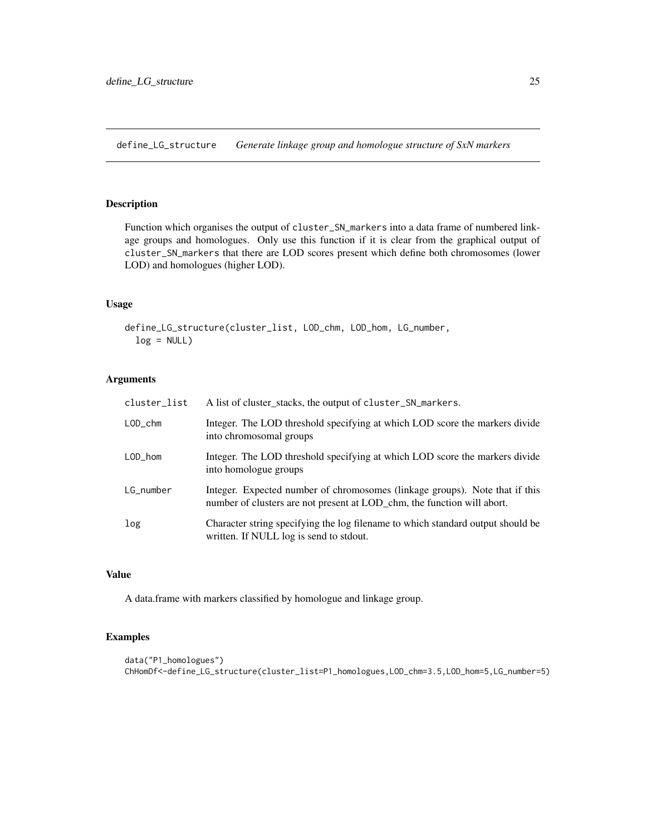<span id="page-24-1"></span><span id="page-24-0"></span>define\_LG\_structure *Generate linkage group and homologue structure of SxN markers*

#### Description

Function which organises the output of cluster\_SN\_markers into a data frame of numbered linkage groups and homologues. Only use this function if it is clear from the graphical output of cluster\_SN\_markers that there are LOD scores present which define both chromosomes (lower LOD) and homologues (higher LOD).

#### Usage

```
define_LG_structure(cluster_list, LOD_chm, LOD_hom, LG_number,
  log = NULL)
```
#### Arguments

| cluster_list      | A list of cluster stacks, the output of cluster_SN_markers.                                                                                            |
|-------------------|--------------------------------------------------------------------------------------------------------------------------------------------------------|
| $LOD_{c}$ chm     | Integer. The LOD threshold specifying at which LOD score the markers divide<br>into chromosomal groups                                                 |
| $LOD_{\perp}$ hom | Integer. The LOD threshold specifying at which LOD score the markers divide<br>into homologue groups                                                   |
| LG_number         | Integer. Expected number of chromosomes (linkage groups). Note that if this<br>number of clusters are not present at LOD chm, the function will abort. |
| log               | Character string specifying the log filename to which standard output should be<br>written. If NULL log is send to stdout.                             |

#### Value

A data.frame with markers classified by homologue and linkage group.

```
data("P1_homologues")
ChHomDf<-define_LG_structure(cluster_list=P1_homologues,LOD_chm=3.5,LOD_hom=5,LG_number=5)
```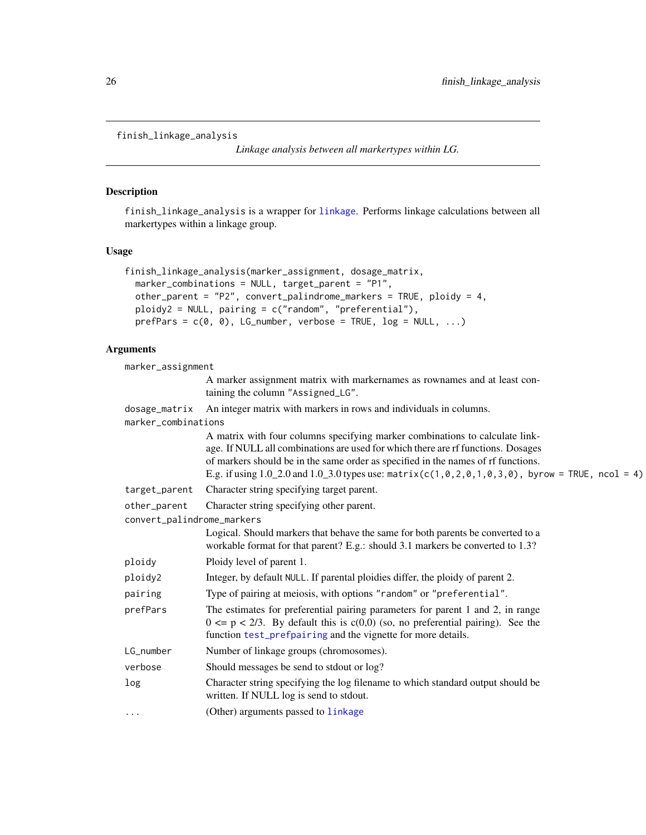```
finish_linkage_analysis
```
*Linkage analysis between all markertypes within LG.*

# Description

finish\_linkage\_analysis is a wrapper for [linkage](#page-29-1). Performs linkage calculations between all markertypes within a linkage group.

#### Usage

```
finish_linkage_analysis(marker_assignment, dosage_matrix,
 marker_combinations = NULL, target_parent = "P1",
 other_parent = "P2", convert_palindrome_markers = TRUE, ploidy = 4,
 ploidy2 = NULL, pairing = c("random", "preferential"),
 prefParse = c(0, 0), LG_number, verbose = TRUE, log = NULL, ...)
```

| marker_assignment          |                                                                                                                                                                                                                                                                                                                                                                           |
|----------------------------|---------------------------------------------------------------------------------------------------------------------------------------------------------------------------------------------------------------------------------------------------------------------------------------------------------------------------------------------------------------------------|
|                            | A marker assignment matrix with markernames as rownames and at least con-<br>taining the column "Assigned_LG".                                                                                                                                                                                                                                                            |
| dosage_matrix              | An integer matrix with markers in rows and individuals in columns.                                                                                                                                                                                                                                                                                                        |
| marker_combinations        |                                                                                                                                                                                                                                                                                                                                                                           |
|                            | A matrix with four columns specifying marker combinations to calculate link-<br>age. If NULL all combinations are used for which there are rf functions. Dosages<br>of markers should be in the same order as specified in the names of rf functions.<br>E.g. if using $1.0\_2.0$ and $1.0\_3.0$ types use: matrix( $c(1, 0, 2, 0, 1, 0, 3, 0)$ , byrow = TRUE, ncol = 4) |
| target_parent              | Character string specifying target parent.                                                                                                                                                                                                                                                                                                                                |
| other_parent               | Character string specifying other parent.                                                                                                                                                                                                                                                                                                                                 |
| convert_palindrome_markers |                                                                                                                                                                                                                                                                                                                                                                           |
|                            | Logical. Should markers that behave the same for both parents be converted to a<br>workable format for that parent? E.g.: should 3.1 markers be converted to 1.3?                                                                                                                                                                                                         |
| ploidy                     | Ploidy level of parent 1.                                                                                                                                                                                                                                                                                                                                                 |
| ploidy2                    | Integer, by default NULL. If parental ploidies differ, the ploidy of parent 2.                                                                                                                                                                                                                                                                                            |
| pairing                    | Type of pairing at meiosis, with options "random" or "preferential".                                                                                                                                                                                                                                                                                                      |
| prefPars                   | The estimates for preferential pairing parameters for parent 1 and 2, in range<br>$0 \le p \le 2/3$ . By default this is $c(0,0)$ (so, no preferential pairing). See the<br>function test_prefpairing and the vignette for more details.                                                                                                                                  |
| LG_number                  | Number of linkage groups (chromosomes).                                                                                                                                                                                                                                                                                                                                   |
| verbose                    | Should messages be send to stdout or log?                                                                                                                                                                                                                                                                                                                                 |
| log                        | Character string specifying the log filename to which standard output should be<br>written. If NULL log is send to stdout.                                                                                                                                                                                                                                                |
| $\cdots$                   | (Other) arguments passed to linkage                                                                                                                                                                                                                                                                                                                                       |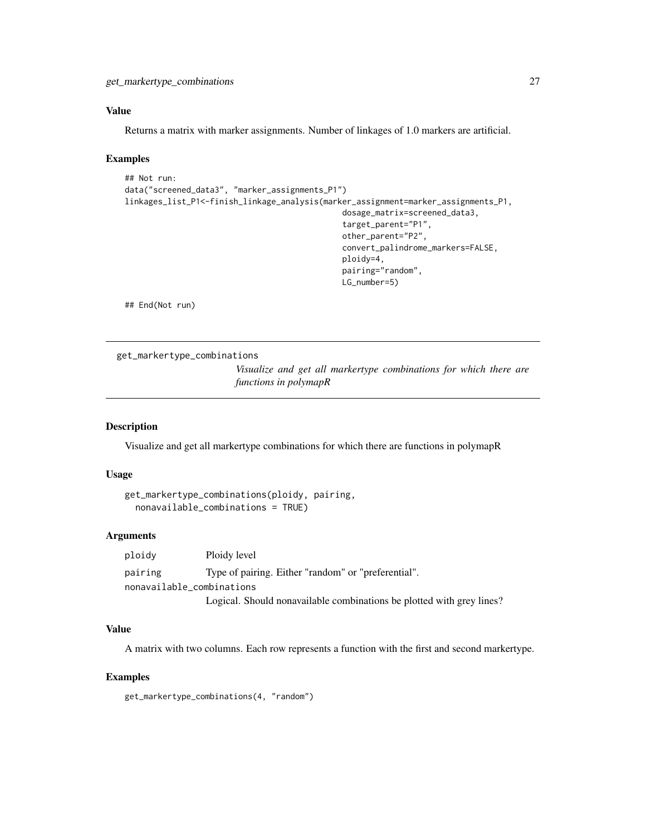<span id="page-26-0"></span>Returns a matrix with marker assignments. Number of linkages of 1.0 markers are artificial.

#### Examples

```
## Not run:
data("screened_data3", "marker_assignments_P1")
linkages_list_P1<-finish_linkage_analysis(marker_assignment=marker_assignments_P1,
                                              dosage_matrix=screened_data3,
                                               target_parent="P1",
                                               other_parent="P2",
                                               convert_palindrome_markers=FALSE,
                                               ploidy=4,
                                               pairing="random",
                                               LG_number=5)
```
## End(Not run)

get\_markertype\_combinations

*Visualize and get all markertype combinations for which there are functions in polymapR*

#### Description

Visualize and get all markertype combinations for which there are functions in polymapR

# Usage

```
get_markertype_combinations(ploidy, pairing,
 nonavailable_combinations = TRUE)
```
#### Arguments

ploidy Ploidy level pairing Type of pairing. Either "random" or "preferential". nonavailable\_combinations Logical. Should nonavailable combinations be plotted with grey lines?

#### Value

A matrix with two columns. Each row represents a function with the first and second markertype.

# Examples

get\_markertype\_combinations(4, "random")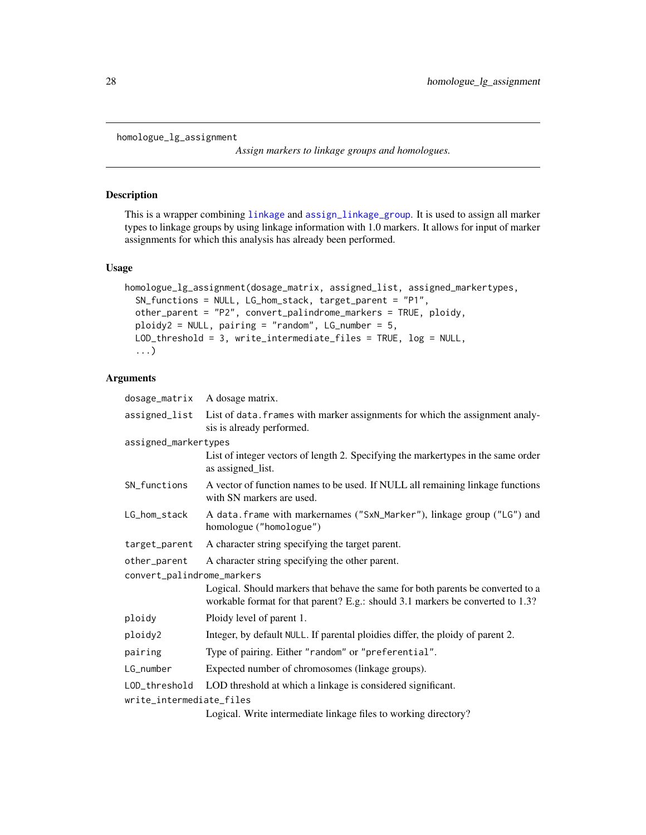```
homologue_lg_assignment
```
*Assign markers to linkage groups and homologues.*

#### Description

This is a wrapper combining [linkage](#page-29-1) and [assign\\_linkage\\_group](#page-4-1). It is used to assign all marker types to linkage groups by using linkage information with 1.0 markers. It allows for input of marker assignments for which this analysis has already been performed.

#### Usage

```
homologue_lg_assignment(dosage_matrix, assigned_list, assigned_markertypes,
  SN_functions = NULL, LG_hom_stack, target_parent = "P1",
  other_parent = "P2", convert_palindrome_markers = TRUE, ploidy,
 ploidy2 = NULL, pairing = "random", LG_number = 5,
 LOD_threshold = 3, write_intermediate_files = TRUE, log = NULL,
  ...)
```
# Arguments

| dosage_matrix              | A dosage matrix.                                                                                                                                                  |  |
|----------------------------|-------------------------------------------------------------------------------------------------------------------------------------------------------------------|--|
| assigned_list              | List of data. frames with marker assignments for which the assignment analy-<br>sis is already performed.                                                         |  |
| assigned_markertypes       |                                                                                                                                                                   |  |
|                            | List of integer vectors of length 2. Specifying the markertypes in the same order<br>as assigned_list.                                                            |  |
| SN_functions               | A vector of function names to be used. If NULL all remaining linkage functions<br>with SN markers are used.                                                       |  |
| LG_hom_stack               | A data. frame with markernames ("SxN_Marker"), linkage group ("LG") and<br>homologue ("homologue")                                                                |  |
| target_parent              | A character string specifying the target parent.                                                                                                                  |  |
| other_parent               | A character string specifying the other parent.                                                                                                                   |  |
| convert_palindrome_markers |                                                                                                                                                                   |  |
|                            | Logical. Should markers that behave the same for both parents be converted to a<br>workable format for that parent? E.g.: should 3.1 markers be converted to 1.3? |  |
| ploidy                     | Ploidy level of parent 1.                                                                                                                                         |  |
| ploidy2                    | Integer, by default NULL. If parental ploidies differ, the ploidy of parent 2.                                                                                    |  |
| pairing                    | Type of pairing. Either "random" or "preferential".                                                                                                               |  |
| LG_number                  | Expected number of chromosomes (linkage groups).                                                                                                                  |  |
| LOD_threshold              | LOD threshold at which a linkage is considered significant.                                                                                                       |  |
| write_intermediate_files   |                                                                                                                                                                   |  |
|                            | Logical Write intermediate linkage files to working directory?                                                                                                    |  |

Logical. Write intermediate linkage files to working directory?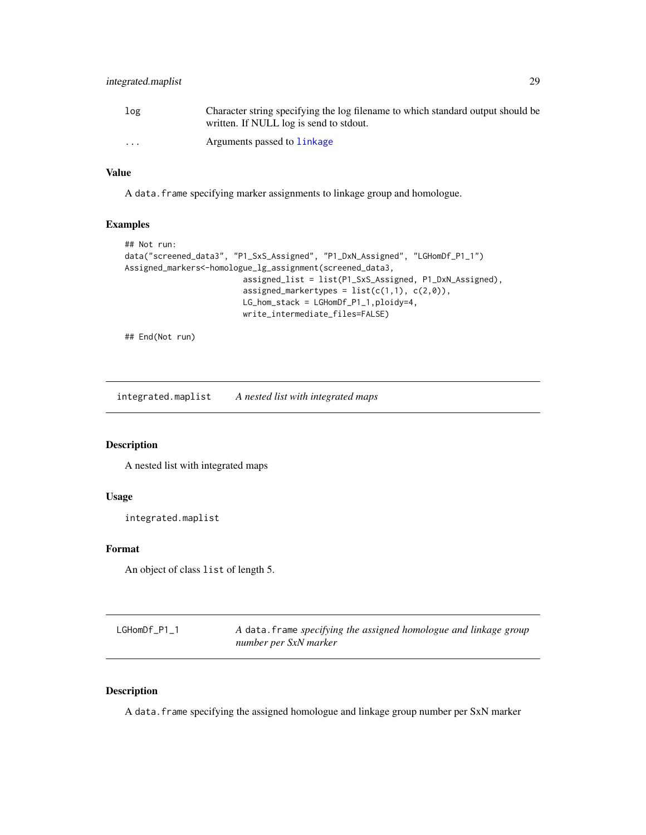# <span id="page-28-0"></span>integrated.maplist 29

| log                     | Character string specifying the log filename to which standard output should be<br>written. If NULL log is send to stdout. |
|-------------------------|----------------------------------------------------------------------------------------------------------------------------|
| $\cdot$ $\cdot$ $\cdot$ | Arguments passed to linkage                                                                                                |

#### Value

A data.frame specifying marker assignments to linkage group and homologue.

#### Examples

```
## Not run:
data("screened_data3", "P1_SxS_Assigned", "P1_DxN_Assigned", "LGHomDf_P1_1")
Assigned_markers<-homologue_lg_assignment(screened_data3,
                        assigned_list = list(P1_SxS_Assigned, P1_DxN_Assigned),
                        assigned_markertypes = list(c(1,1), c(2,0)),LG_hom_stack = LGHomDf_P1_1,ploidy=4,
                        write_intermediate_files=FALSE)
```
## End(Not run)

integrated.maplist *A nested list with integrated maps*

#### Description

A nested list with integrated maps

#### Usage

```
integrated.maplist
```
#### Format

An object of class list of length 5.

| LGHomDf_P1_1 | A data. frame specifying the assigned homologue and linkage group |
|--------------|-------------------------------------------------------------------|
|              | number per SxN marker                                             |

# Description

A data.frame specifying the assigned homologue and linkage group number per SxN marker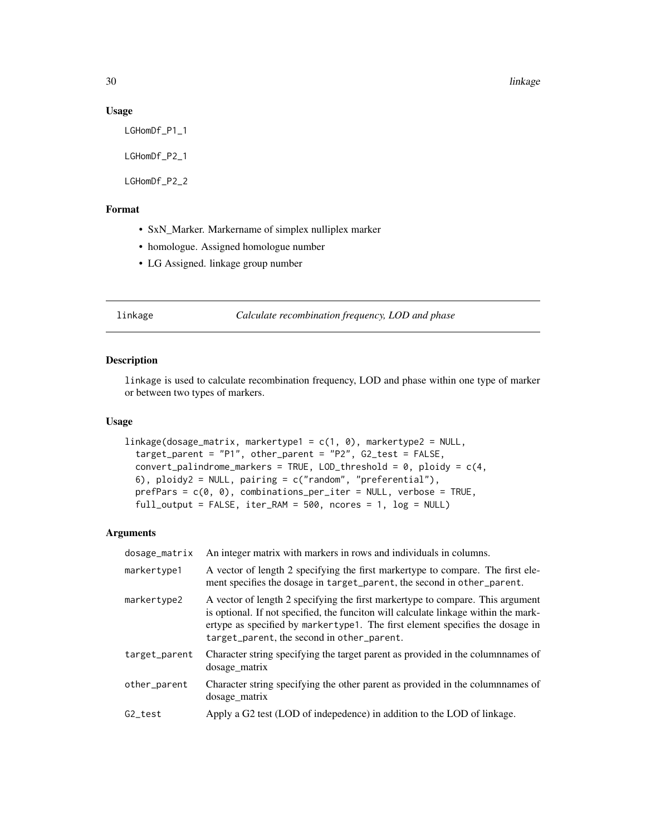#### 30 linkage beste beste beste beste beste beste beste beste beste beste beste beste beste beste beste beste bes

#### Usage

LGHomDf\_P1\_1

LGHomDf\_P2\_1

LGHomDf\_P2\_2

# Format

- SxN\_Marker. Markername of simplex nulliplex marker
- homologue. Assigned homologue number
- LG Assigned. linkage group number

#### <span id="page-29-1"></span>linkage *Calculate recombination frequency, LOD and phase*

#### Description

linkage is used to calculate recombination frequency, LOD and phase within one type of marker or between two types of markers.

#### Usage

```
linkage(dosage_matrix, markertype1 = c(1, 0), markertype2 = NULL,
  target_parent = "P1", other_parent = "P2", G2_test = FALSE,
 convert_palindrome_markers = TRUE, LOD_threshold = 0, ploidy = c(4),
  6), ploidy2 = NULL, pairing = c("random", "preferential"),
 prefParse = c(0, 0), combinations_per_iter = NULL, verbose = TRUE,
 full_output = FALSE, iter_RAM = 500, ncores = 1, log = NULL)
```

| dosage_matrix | An integer matrix with markers in rows and individuals in columns.                                                                                                                                                                                                                                   |
|---------------|------------------------------------------------------------------------------------------------------------------------------------------------------------------------------------------------------------------------------------------------------------------------------------------------------|
| markertype1   | A vector of length 2 specifying the first markertype to compare. The first ele-<br>ment specifies the dosage in target_parent, the second in other_parent.                                                                                                                                           |
| markertype2   | A vector of length 2 specifying the first markertype to compare. This argument<br>is optional. If not specified, the funciton will calculate linkage within the mark-<br>ertype as specified by markertype1. The first element specifies the dosage in<br>target_parent, the second in other_parent. |
| target_parent | Character string specifying the target parent as provided in the columnnames of<br>dosage_matrix                                                                                                                                                                                                     |
| other_parent  | Character string specifying the other parent as provided in the columnames of<br>dosage matrix                                                                                                                                                                                                       |
| G2 test       | Apply a G2 test (LOD of indepedence) in addition to the LOD of linkage.                                                                                                                                                                                                                              |
|               |                                                                                                                                                                                                                                                                                                      |

<span id="page-29-0"></span>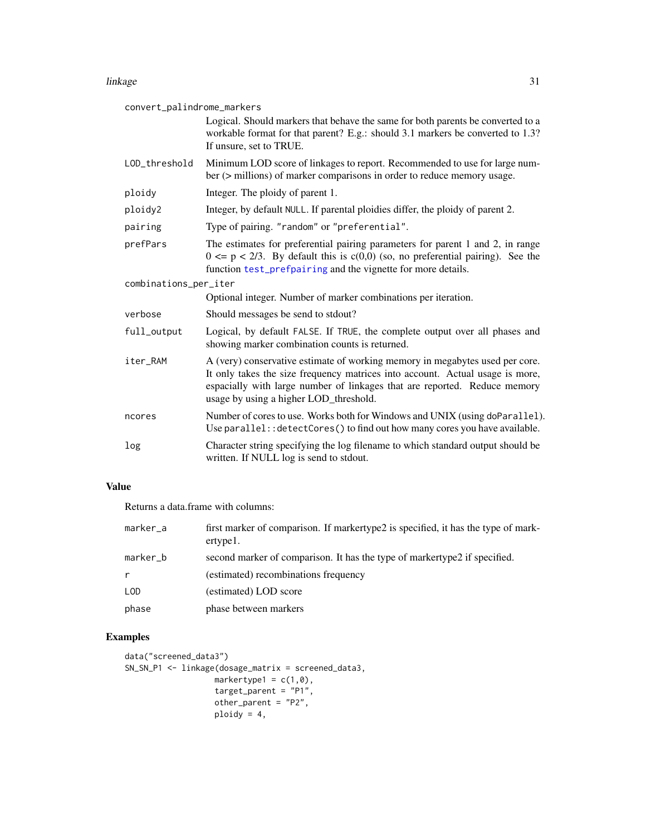#### <span id="page-30-0"></span>linkage 31 and 31 and 32 and 32 and 32 and 32 and 32 and 32 and 32 and 32 and 32 and 32 and 32 and 32 and 32 and 32 and 32 and 32 and 32 and 32 and 32 and 32 and 32 and 32 and 32 and 32 and 32 and 32 and 32 and 32 and 32 a

| convert_palindrome_markers |                                                                                                                                                                                                                                                                                      |  |
|----------------------------|--------------------------------------------------------------------------------------------------------------------------------------------------------------------------------------------------------------------------------------------------------------------------------------|--|
|                            | Logical. Should markers that behave the same for both parents be converted to a<br>workable format for that parent? E.g.: should 3.1 markers be converted to 1.3?<br>If unsure, set to TRUE.                                                                                         |  |
| LOD_threshold              | Minimum LOD score of linkages to report. Recommended to use for large num-<br>ber (> millions) of marker comparisons in order to reduce memory usage.                                                                                                                                |  |
| ploidy                     | Integer. The ploidy of parent 1.                                                                                                                                                                                                                                                     |  |
| ploidy2                    | Integer, by default NULL. If parental ploidies differ, the ploidy of parent 2.                                                                                                                                                                                                       |  |
| pairing                    | Type of pairing. "random" or "preferential".                                                                                                                                                                                                                                         |  |
| prefPars                   | The estimates for preferential pairing parameters for parent 1 and 2, in range<br>$0 \le p \le 2/3$ . By default this is $c(0,0)$ (so, no preferential pairing). See the<br>function test_prefpairing and the vignette for more details.                                             |  |
| combinations_per_iter      |                                                                                                                                                                                                                                                                                      |  |
|                            | Optional integer. Number of marker combinations per iteration.                                                                                                                                                                                                                       |  |
| verbose                    | Should messages be send to stdout?                                                                                                                                                                                                                                                   |  |
| full_output                | Logical, by default FALSE. If TRUE, the complete output over all phases and<br>showing marker combination counts is returned.                                                                                                                                                        |  |
| iter_RAM                   | A (very) conservative estimate of working memory in megabytes used per core.<br>It only takes the size frequency matrices into account. Actual usage is more,<br>espacially with large number of linkages that are reported. Reduce memory<br>usage by using a higher LOD_threshold. |  |
| ncores                     | Number of cores to use. Works both for Windows and UNIX (using doParallel).<br>Use parallel:: detectCores() to find out how many cores you have available.                                                                                                                           |  |
| log                        | Character string specifying the log filename to which standard output should be<br>written. If NULL log is send to stdout.                                                                                                                                                           |  |

# Value

Returns a data.frame with columns:

| marker_a | first marker of comparison. If markertype2 is specified, it has the type of mark-<br>ertype1. |
|----------|-----------------------------------------------------------------------------------------------|
| marker_b | second marker of comparison. It has the type of markertype2 if specified.                     |
| r        | (estimated) recombinations frequency                                                          |
| LOD      | (estimated) LOD score                                                                         |
| phase    | phase between markers                                                                         |

```
data("screened_data3")
SN_SN_P1 <- linkage(dosage_matrix = screened_data3,
                  markertype1 = c(1,0),
                  target_parent = "P1",
                  other_parent = "P2",
                  ploidy = 4,
```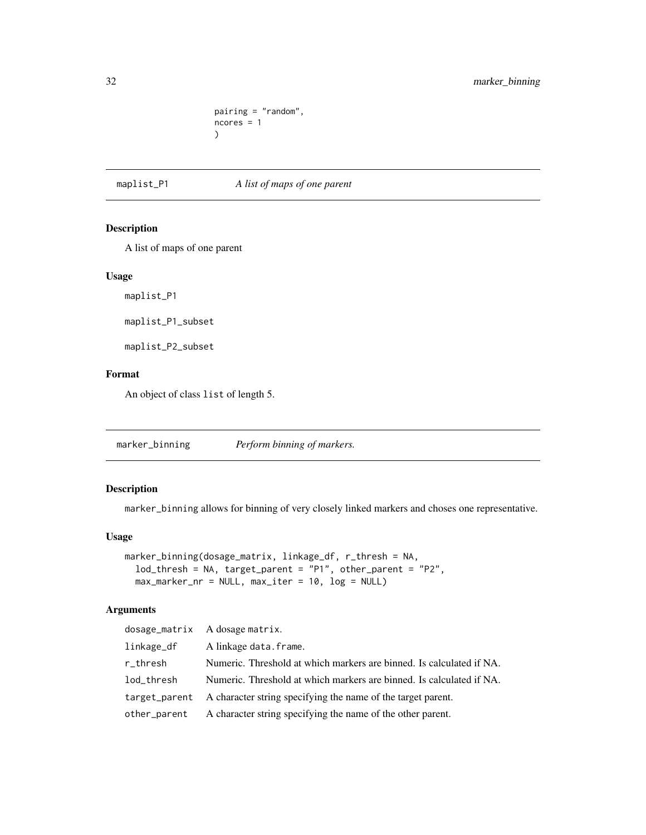```
pairing = "random",
ncores = 1
)
```
<span id="page-31-0"></span>maplist\_P1 *A list of maps of one parent*

#### Description

A list of maps of one parent

#### Usage

maplist\_P1

maplist\_P1\_subset

maplist\_P2\_subset

#### Format

An object of class list of length 5.

<span id="page-31-1"></span>marker\_binning *Perform binning of markers.*

# Description

marker\_binning allows for binning of very closely linked markers and choses one representative.

# Usage

```
marker_binning(dosage_matrix, linkage_df, r_thresh = NA,
  lod_thresh = NA, target_parent = "P1", other_parent = "P2",
 max\_marker\_nr = NULL, max\_iter = 10, log = NULL)
```

|            | dosage_matrix A dosage matrix.                                             |
|------------|----------------------------------------------------------------------------|
| linkage_df | A linkage data.frame.                                                      |
| r_thresh   | Numeric. Threshold at which markers are binned. Is calculated if NA.       |
| lod_thresh | Numeric. Threshold at which markers are binned. Is calculated if NA.       |
|            | target_parent A character string specifying the name of the target parent. |
|            | other_parent A character string specifying the name of the other parent.   |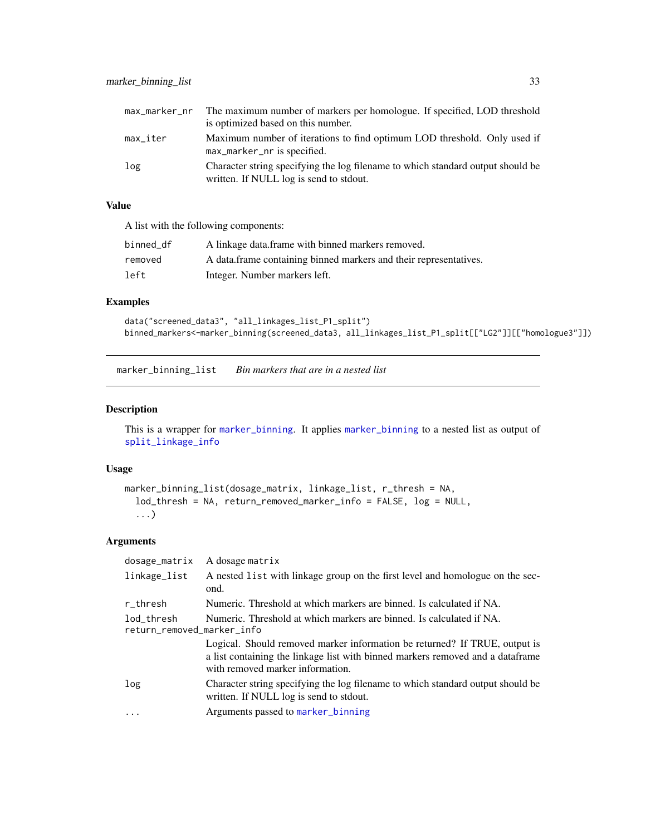<span id="page-32-0"></span>

|          | max_marker_nr The maximum number of markers per homologue. If specified, LOD threshold                                     |
|----------|----------------------------------------------------------------------------------------------------------------------------|
|          | is optimized based on this number.                                                                                         |
| max_iter | Maximum number of iterations to find optimum LOD threshold. Only used if<br>max_marker_nr is specified.                    |
| log      | Character string specifying the log filename to which standard output should be<br>written. If NULL log is send to stdout. |

A list with the following components:

| binned_df | A linkage data frame with binned markers removed.                 |
|-----------|-------------------------------------------------------------------|
| removed   | A data frame containing binned markers and their representatives. |
| left      | Integer. Number markers left.                                     |

# Examples

```
data("screened_data3", "all_linkages_list_P1_split")
binned_markers<-marker_binning(screened_data3, all_linkages_list_P1_split[["LG2"]][["homologue3"]])
```
marker\_binning\_list *Bin markers that are in a nested list*

# Description

This is a wrapper for [marker\\_binning](#page-31-1). It applies [marker\\_binning](#page-31-1) to a nested list as output of [split\\_linkage\\_info](#page-54-1)

# Usage

```
marker_binning_list(dosage_matrix, linkage_list, r_thresh = NA,
 lod_thresh = NA, return_removed_marker_info = FALSE, log = NULL,
  ...)
```

| dosage_matrix                                                                                                    | A dosage matrix                                                                                                                                                                                   |
|------------------------------------------------------------------------------------------------------------------|---------------------------------------------------------------------------------------------------------------------------------------------------------------------------------------------------|
| linkage_list                                                                                                     | A nested list with linkage group on the first level and homologue on the sec-<br>ond.                                                                                                             |
| r_thresh                                                                                                         | Numeric. Threshold at which markers are binned. Is calculated if NA.                                                                                                                              |
| Numeric. Threshold at which markers are binned. Is calculated if NA.<br>lod_thresh<br>return_removed_marker_info |                                                                                                                                                                                                   |
|                                                                                                                  | Logical. Should removed marker information be returned? If TRUE, output is<br>a list containing the linkage list with binned markers removed and a data frame<br>with removed marker information. |
| log                                                                                                              | Character string specifying the log filename to which standard output should be<br>written. If NULL log is send to stdout.                                                                        |
| $\cdot\cdot\cdot$                                                                                                | Arguments passed to marker_binning                                                                                                                                                                |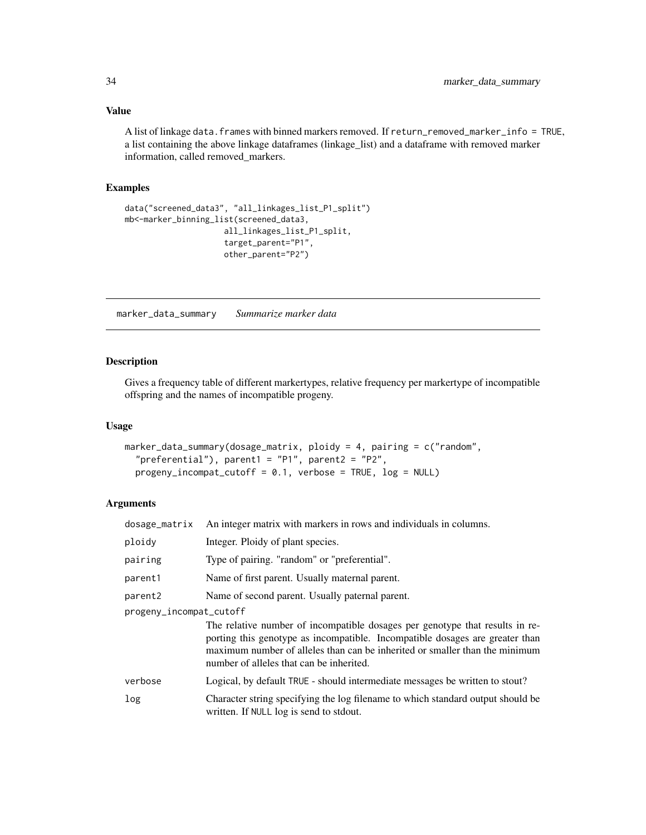<span id="page-33-0"></span>A list of linkage data.frames with binned markers removed. If return\_removed\_marker\_info = TRUE, a list containing the above linkage dataframes (linkage\_list) and a dataframe with removed marker information, called removed\_markers.

#### Examples

```
data("screened_data3", "all_linkages_list_P1_split")
mb<-marker_binning_list(screened_data3,
                    all_linkages_list_P1_split,
                    target_parent="P1",
                    other_parent="P2")
```
marker\_data\_summary *Summarize marker data*

#### Description

Gives a frequency table of different markertypes, relative frequency per markertype of incompatible offspring and the names of incompatible progeny.

#### Usage

```
marker_data_summary(dosage_matrix, ploidy = 4, pairing = c("random",
  "preferential"), parent1 = "P1", parent2 = "P2",
 progeny_incompat_cutoff = 0.1, verbose = TRUE, log = NULL)
```

| dosage_matrix           | An integer matrix with markers in rows and individuals in columns.                                                                                                                                                                                                                      |
|-------------------------|-----------------------------------------------------------------------------------------------------------------------------------------------------------------------------------------------------------------------------------------------------------------------------------------|
| ploidy                  | Integer. Ploidy of plant species.                                                                                                                                                                                                                                                       |
| pairing                 | Type of pairing. "random" or "preferential".                                                                                                                                                                                                                                            |
| parent1                 | Name of first parent. Usually maternal parent.                                                                                                                                                                                                                                          |
| parent2                 | Name of second parent. Usually paternal parent.                                                                                                                                                                                                                                         |
| progeny_incompat_cutoff |                                                                                                                                                                                                                                                                                         |
|                         | The relative number of incompatible dosages per genotype that results in re-<br>porting this genotype as incompatible. Incompatible dosages are greater than<br>maximum number of alleles than can be inherited or smaller than the minimum<br>number of alleles that can be inherited. |
| verbose                 | Logical, by default TRUE - should intermediate messages be written to stout?                                                                                                                                                                                                            |
| log                     | Character string specifying the log filename to which standard output should be<br>written. If NULL log is send to stdout.                                                                                                                                                              |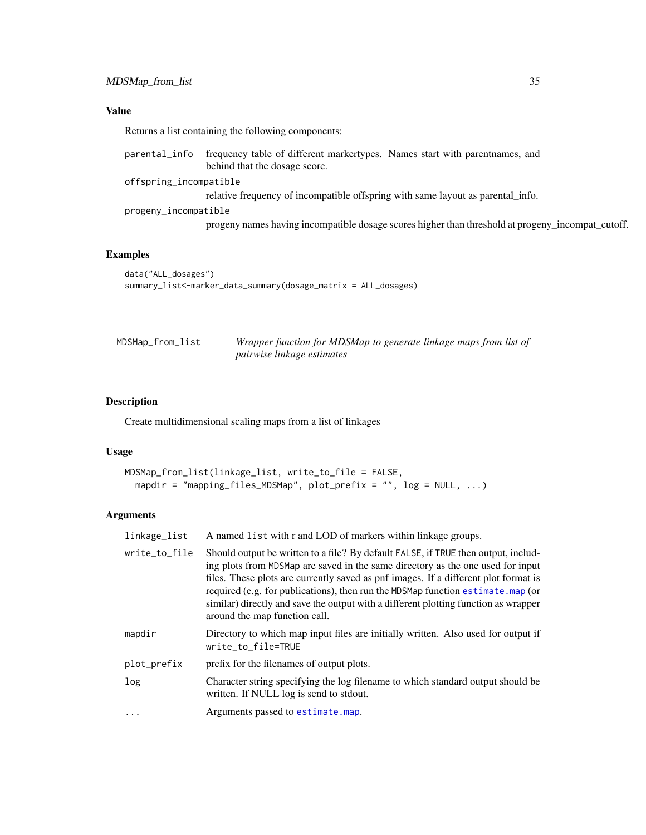<span id="page-34-0"></span>Returns a list containing the following components:

| parental_info          | frequency table of different markertypes. Names start with parent names, and                      |
|------------------------|---------------------------------------------------------------------------------------------------|
|                        | behind that the dosage score.                                                                     |
| offspring_incompatible |                                                                                                   |
|                        | relative frequency of incompatible offspring with same layout as parental info.                   |
| progeny_incompatible   |                                                                                                   |
|                        | progeny names having incompatible dosage scores higher than threshold at progeny_incompat_cutoff. |

# Examples

```
data("ALL_dosages")
summary_list<-marker_data_summary(dosage_matrix = ALL_dosages)
```
<span id="page-34-1"></span>

| MDSMap_from_list | Wrapper function for MDSMap to generate linkage maps from list of |
|------------------|-------------------------------------------------------------------|
|                  | pairwise linkage estimates                                        |

# Description

Create multidimensional scaling maps from a list of linkages

# Usage

```
MDSMap_from_list(linkage_list, write_to_file = FALSE,
 mapdir = "mapping_files_MDSMap", plot_prefix = "", log = NULL, ...)
```

| linkage_list  | A named list with r and LOD of markers within linkage groups.                                                                                                                                                                                                                                                                                                                                                                                                            |
|---------------|--------------------------------------------------------------------------------------------------------------------------------------------------------------------------------------------------------------------------------------------------------------------------------------------------------------------------------------------------------------------------------------------------------------------------------------------------------------------------|
| write_to_file | Should output be written to a file? By default FALSE, if TRUE then output, includ-<br>ing plots from MDSMap are saved in the same directory as the one used for input<br>files. These plots are currently saved as pnf images. If a different plot format is<br>required (e.g. for publications), then run the MDSMap function estimate. map (or<br>similar) directly and save the output with a different plotting function as wrapper<br>around the map function call. |
| mapdir        | Directory to which map input files are initially written. Also used for output if<br>write_to_file=TRUE                                                                                                                                                                                                                                                                                                                                                                  |
| plot_prefix   | prefix for the filenames of output plots.                                                                                                                                                                                                                                                                                                                                                                                                                                |
| log           | Character string specifying the log filename to which standard output should be<br>written. If NULL log is send to stdout.                                                                                                                                                                                                                                                                                                                                               |
| $\ddotsc$     | Arguments passed to estimate.map.                                                                                                                                                                                                                                                                                                                                                                                                                                        |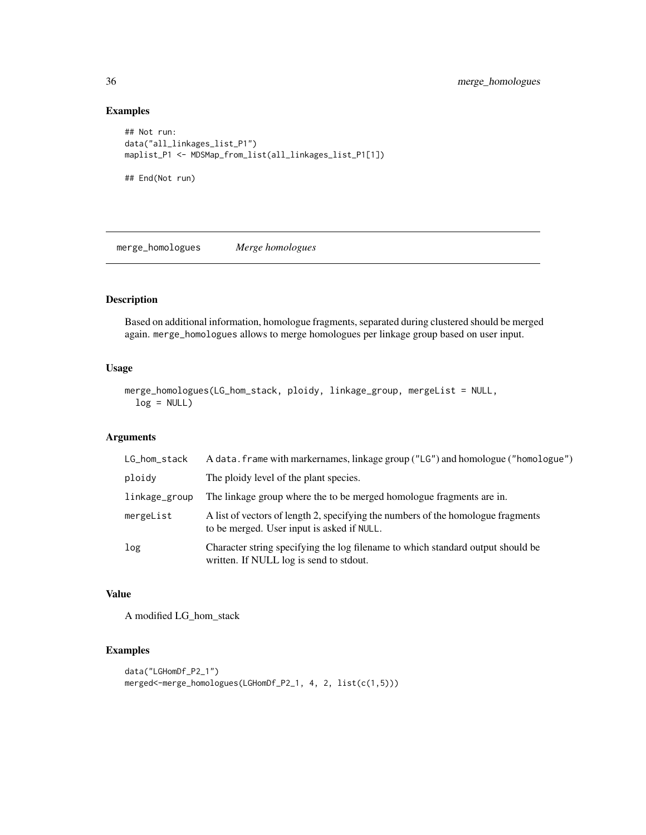# Examples

```
## Not run:
data("all_linkages_list_P1")
maplist_P1 <- MDSMap_from_list(all_linkages_list_P1[1])
## End(Not run)
```
merge\_homologues *Merge homologues*

# Description

Based on additional information, homologue fragments, separated during clustered should be merged again. merge\_homologues allows to merge homologues per linkage group based on user input.

#### Usage

```
merge_homologues(LG_hom_stack, ploidy, linkage_group, mergeList = NULL,
 log = NULL)
```
# Arguments

| LG_hom_stack  | A data. frame with markernames, linkage group ("LG") and homologue ("homologue")                                               |
|---------------|--------------------------------------------------------------------------------------------------------------------------------|
| ploidy        | The ploidy level of the plant species.                                                                                         |
| linkage_group | The linkage group where the to be merged homologue fragments are in.                                                           |
| mergeList     | A list of vectors of length 2, specifying the numbers of the homologue fragments<br>to be merged. User input is asked if NULL. |
| log           | Character string specifying the log filename to which standard output should be<br>written. If NULL log is send to stdout.     |

#### Value

A modified LG\_hom\_stack

```
data("LGHomDf_P2_1")
merged<-merge_homologues(LGHomDf_P2_1, 4, 2, list(c(1,5)))
```
<span id="page-35-0"></span>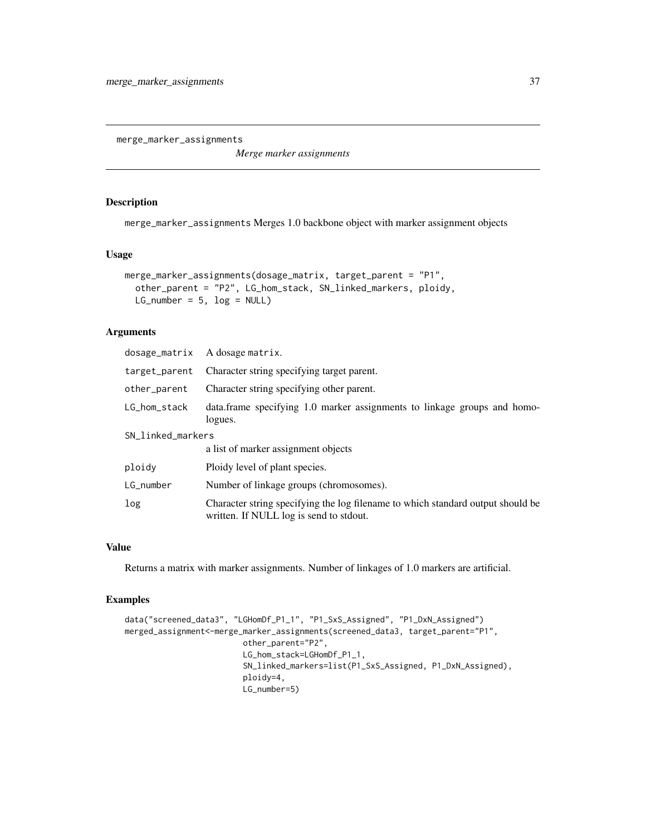<span id="page-36-0"></span>merge\_marker\_assignments

*Merge marker assignments*

# Description

merge\_marker\_assignments Merges 1.0 backbone object with marker assignment objects

#### Usage

```
merge_marker_assignments(dosage_matrix, target_parent = "P1",
  other_parent = "P2", LG_hom_stack, SN_linked_markers, ploidy,
 LG_number = 5, \log = \text{NULL})
```
# Arguments

| dosage_matrix     | A dosage matrix.                                                                                                           |
|-------------------|----------------------------------------------------------------------------------------------------------------------------|
| target_parent     | Character string specifying target parent.                                                                                 |
| other_parent      | Character string specifying other parent.                                                                                  |
| LG_hom_stack      | data.frame specifying 1.0 marker assignments to linkage groups and homo-<br>logues.                                        |
| SN_linked_markers |                                                                                                                            |
|                   | a list of marker assignment objects                                                                                        |
| ploidy            | Ploidy level of plant species.                                                                                             |
| LG_number         | Number of linkage groups (chromosomes).                                                                                    |
| log               | Character string specifying the log filename to which standard output should be<br>written. If NULL log is send to stdout. |

#### Value

Returns a matrix with marker assignments. Number of linkages of 1.0 markers are artificial.

```
data("screened_data3", "LGHomDf_P1_1", "P1_SxS_Assigned", "P1_DxN_Assigned")
merged_assignment<-merge_marker_assignments(screened_data3, target_parent="P1",
                        other_parent="P2",
                        LG_hom_stack=LGHomDf_P1_1,
                         SN_linked_markers=list(P1_SxS_Assigned, P1_DxN_Assigned),
                        ploidy=4,
                        LG_number=5)
```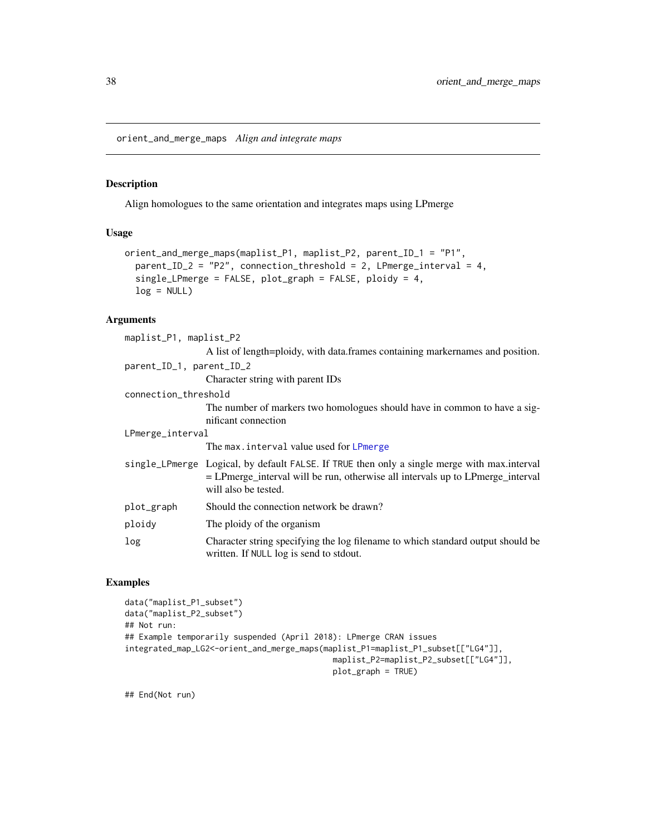<span id="page-37-0"></span>orient\_and\_merge\_maps *Align and integrate maps*

#### Description

Align homologues to the same orientation and integrates maps using LPmerge

#### Usage

```
orient_and_merge_maps(maplist_P1, maplist_P2, parent_ID_1 = "P1",
  parent_ID_2 = "P2", connection_threshold = 2, LPmerge_interval = 4,
  single_LPmerge = FALSE, plot_graph = FALSE, ploidy = 4,
  log = NULL)
```
#### Arguments

| maplist_P1, maplist_P2   |                                                                                                                                                                                                        |  |
|--------------------------|--------------------------------------------------------------------------------------------------------------------------------------------------------------------------------------------------------|--|
|                          | A list of length=ploidy, with data.frames containing markernames and position.                                                                                                                         |  |
| parent_ID_1, parent_ID_2 |                                                                                                                                                                                                        |  |
|                          | Character string with parent IDs                                                                                                                                                                       |  |
| connection_threshold     |                                                                                                                                                                                                        |  |
|                          | The number of markers two homologues should have in common to have a sig-<br>nificant connection                                                                                                       |  |
| LPmerge_interval         |                                                                                                                                                                                                        |  |
|                          | The max.interval value used for LPmerge                                                                                                                                                                |  |
|                          | single_LPmerge Logical, by default FALSE. If TRUE then only a single merge with max.interval<br>= LPmerge_interval will be run, otherwise all intervals up to LPmerge_interval<br>will also be tested. |  |
| plot_graph               | Should the connection network be drawn?                                                                                                                                                                |  |
| ploidy                   | The ploidy of the organism                                                                                                                                                                             |  |
| log                      | Character string specifying the log filename to which standard output should be<br>written. If NULL log is send to stdout.                                                                             |  |

#### Examples

```
data("maplist_P1_subset")
data("maplist_P2_subset")
## Not run:
## Example temporarily suspended (April 2018): LPmerge CRAN issues
integrated_map_LG2<-orient_and_merge_maps(maplist_P1=maplist_P1_subset[["LG4"]],
                                            maplist_P2=maplist_P2_subset[["LG4"]],
                                            plot_graph = TRUE)
```
## End(Not run)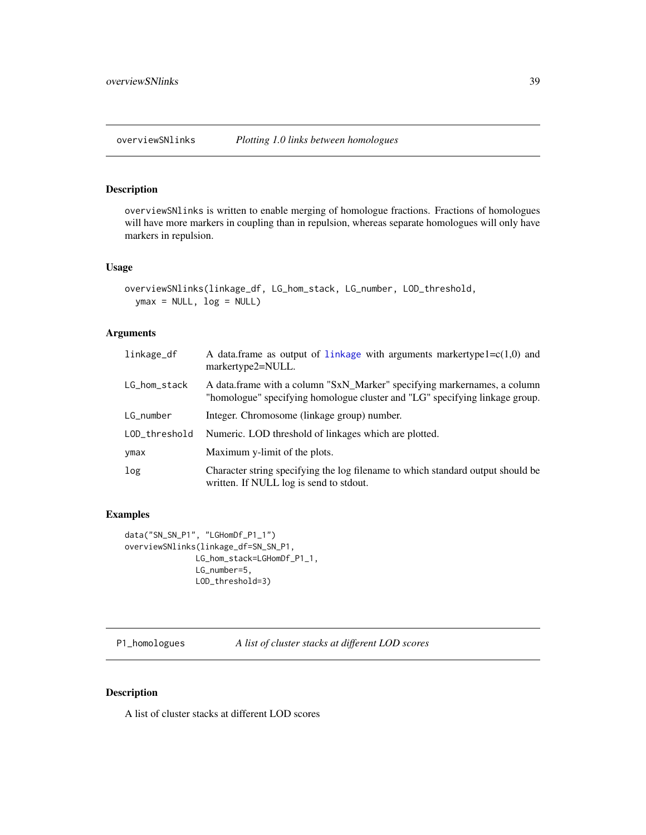<span id="page-38-0"></span>

# Description

overviewSNlinks is written to enable merging of homologue fractions. Fractions of homologues will have more markers in coupling than in repulsion, whereas separate homologues will only have markers in repulsion.

#### Usage

```
overviewSNlinks(linkage_df, LG_hom_stack, LG_number, LOD_threshold,
 ymax = NULL, log = NULL)
```
#### Arguments

| linkage_df    | A data.frame as output of linkage with arguments markertype $1 = c(1,0)$ and<br>markertype2=NULL.                                                       |
|---------------|---------------------------------------------------------------------------------------------------------------------------------------------------------|
| LG_hom_stack  | A data.frame with a column "SxN_Marker" specifying markernames, a column<br>"homologue" specifying homologue cluster and "LG" specifying linkage group. |
| LG_number     | Integer. Chromosome (linkage group) number.                                                                                                             |
| LOD_threshold | Numeric. LOD threshold of linkages which are plotted.                                                                                                   |
| ymax          | Maximum y-limit of the plots.                                                                                                                           |
| log           | Character string specifying the log filename to which standard output should be<br>written. If NULL log is send to stdout.                              |

#### Examples

```
data("SN_SN_P1", "LGHomDf_P1_1")
overviewSNlinks(linkage_df=SN_SN_P1,
               LG_hom_stack=LGHomDf_P1_1,
               LG_number=5,
               LOD_threshold=3)
```
P1\_homologues *A list of cluster stacks at different LOD scores*

#### Description

A list of cluster stacks at different LOD scores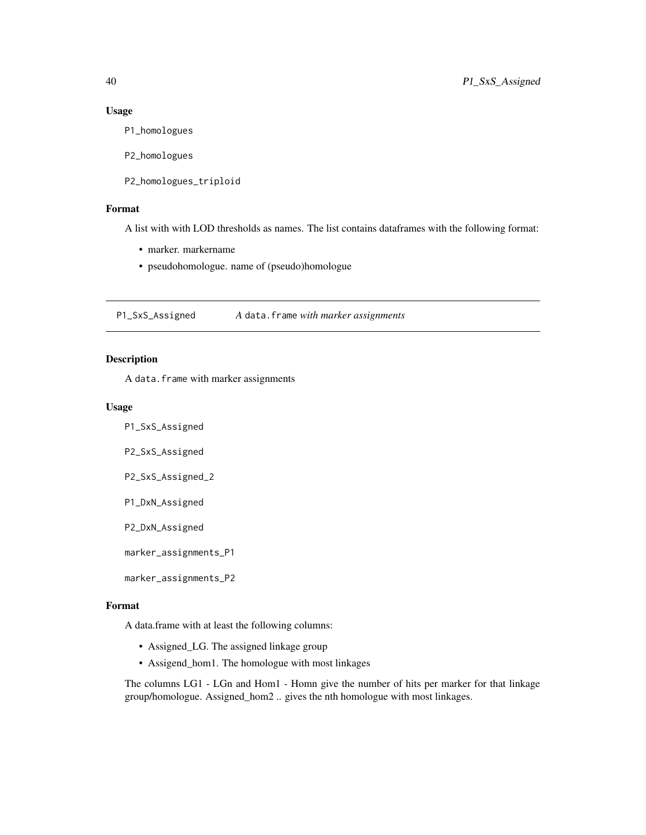#### Usage

P1\_homologues

P2\_homologues

P2\_homologues\_triploid

# Format

A list with with LOD thresholds as names. The list contains dataframes with the following format:

- marker. markername
- pseudohomologue. name of (pseudo)homologue

P1\_SxS\_Assigned *A* data.frame *with marker assignments*

# Description

A data.frame with marker assignments

#### Usage

P1\_SxS\_Assigned

P2\_SxS\_Assigned

P2\_SxS\_Assigned\_2

P1\_DxN\_Assigned

P2\_DxN\_Assigned

marker\_assignments\_P1

marker\_assignments\_P2

#### Format

A data.frame with at least the following columns:

- Assigned\_LG. The assigned linkage group
- Assigend\_hom1. The homologue with most linkages

The columns LG1 - LGn and Hom1 - Homn give the number of hits per marker for that linkage group/homologue. Assigned\_hom2 .. gives the nth homologue with most linkages.

<span id="page-39-0"></span>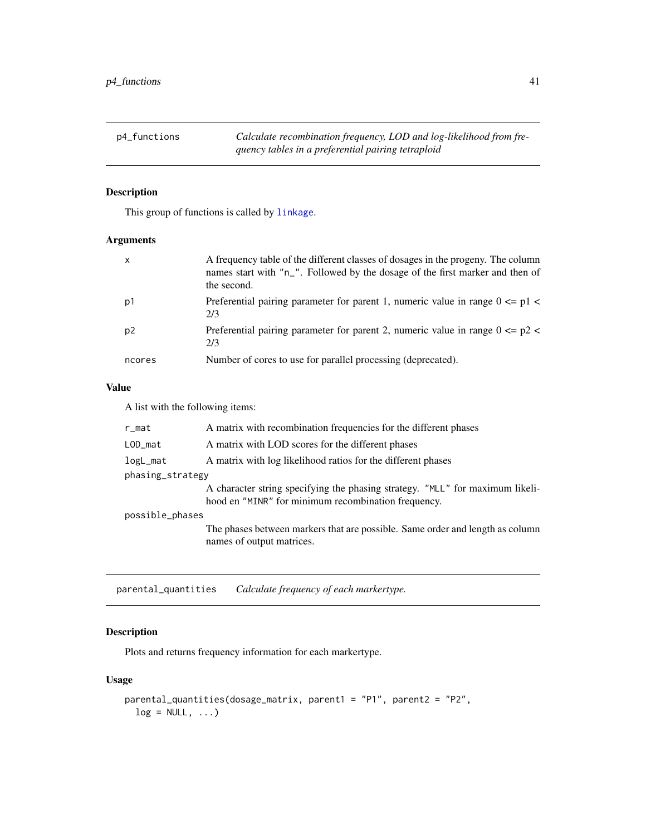<span id="page-40-0"></span>p4\_functions *Calculate recombination frequency, LOD and log-likelihood from frequency tables in a preferential pairing tetraploid*

# Description

This group of functions is called by [linkage](#page-29-1).

#### Arguments

| $\mathsf{x}$   | A frequency table of the different classes of dosages in the progeny. The column<br>names start with "n_". Followed by the dosage of the first marker and then of<br>the second. |
|----------------|----------------------------------------------------------------------------------------------------------------------------------------------------------------------------------|
| p1             | Preferential pairing parameter for parent 1, numeric value in range $0 \leq p1 \leq$<br>2/3                                                                                      |
| p <sub>2</sub> | Preferential pairing parameter for parent 2, numeric value in range $0 \le p2$<br>2/3                                                                                            |
| ncores         | Number of cores to use for parallel processing (deprecated).                                                                                                                     |

#### Value

A list with the following items:

| r_mat            | A matrix with recombination frequencies for the different phases                                                                     |  |
|------------------|--------------------------------------------------------------------------------------------------------------------------------------|--|
| LOD_mat          | A matrix with LOD scores for the different phases                                                                                    |  |
| logL_mat         | A matrix with log likelihood ratios for the different phases                                                                         |  |
| phasing_strategy |                                                                                                                                      |  |
|                  | A character string specifying the phasing strategy. "MLL" for maximum likeli-<br>hood en "MINR" for minimum recombination frequency. |  |
| possible_phases  |                                                                                                                                      |  |
|                  | The phases between markers that are possible. Same order and length as column<br>names of output matrices.                           |  |

parental\_quantities *Calculate frequency of each markertype.*

# Description

Plots and returns frequency information for each markertype.

#### Usage

```
parental_quantities(dosage_matrix, parent1 = "P1", parent2 = "P2",
  log = NULL, ...
```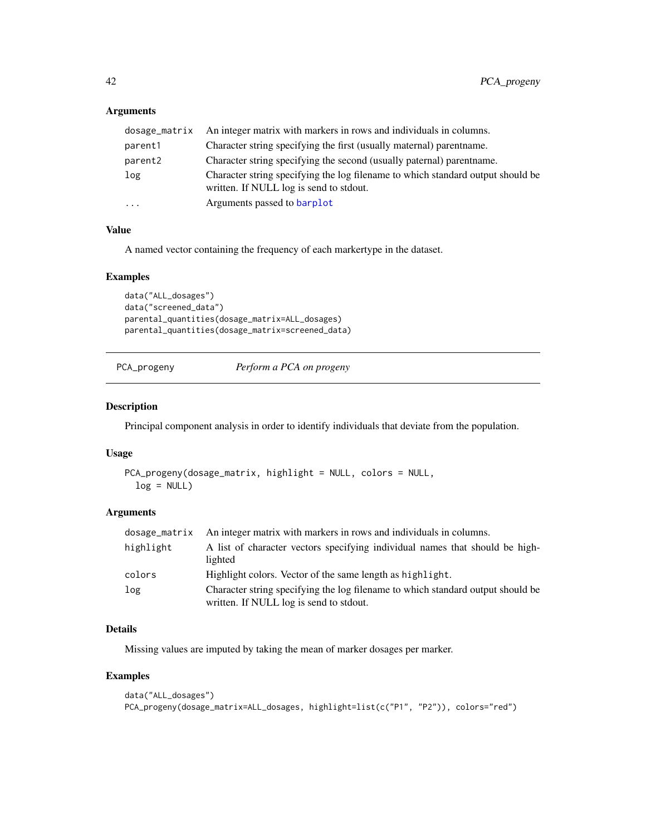# <span id="page-41-0"></span>Arguments

| dosage_matrix | An integer matrix with markers in rows and individuals in columns.                                                         |
|---------------|----------------------------------------------------------------------------------------------------------------------------|
| parent1       | Character string specifying the first (usually maternal) parent name.                                                      |
| parent2       | Character string specifying the second (usually paternal) parent name.                                                     |
| log           | Character string specifying the log filename to which standard output should be<br>written. If NULL log is send to stdout. |
| $\ddots$      | Arguments passed to barplot                                                                                                |

# Value

A named vector containing the frequency of each markertype in the dataset.

#### Examples

```
data("ALL_dosages")
data("screened_data")
parental_quantities(dosage_matrix=ALL_dosages)
parental_quantities(dosage_matrix=screened_data)
```

| PCA_progeny |
|-------------|
|             |

Perform a PCA on progeny

#### Description

Principal component analysis in order to identify individuals that deviate from the population.

#### Usage

```
PCA_progeny(dosage_matrix, highlight = NULL, colors = NULL,
  log = NULL)
```
# Arguments

|           | dosage_matrix An integer matrix with markers in rows and individuals in columns.                                           |
|-----------|----------------------------------------------------------------------------------------------------------------------------|
| highlight | A list of character vectors specifying individual names that should be high-                                               |
|           | lighted                                                                                                                    |
| colors    | Highlight colors. Vector of the same length as highlight.                                                                  |
| log       | Character string specifying the log filename to which standard output should be<br>written. If NULL log is send to stdout. |

#### Details

Missing values are imputed by taking the mean of marker dosages per marker.

```
data("ALL_dosages")
PCA_progeny(dosage_matrix=ALL_dosages, highlight=list(c("P1", "P2")), colors="red")
```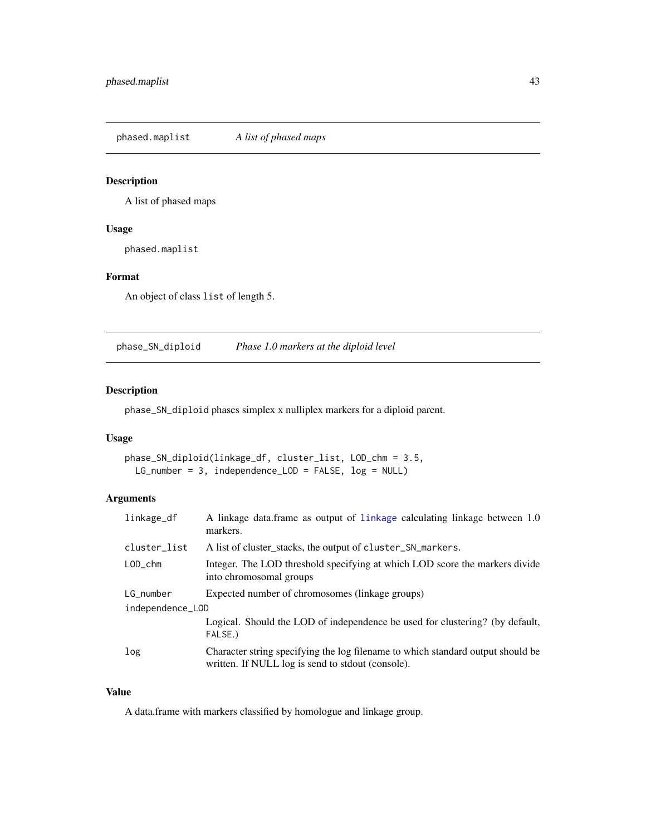<span id="page-42-0"></span>phased.maplist *A list of phased maps*

# Description

A list of phased maps

#### Usage

phased.maplist

# Format

An object of class list of length 5.

phase\_SN\_diploid *Phase 1.0 markers at the diploid level*

# Description

phase\_SN\_diploid phases simplex x nulliplex markers for a diploid parent.

#### Usage

```
phase_SN_diploid(linkage_df, cluster_list, LOD_chm = 3.5,
 LG_number = 3, independence_LOD = FALSE, log = NULL)
```
# Arguments

| linkage_df       | A linkage data.frame as output of linkage calculating linkage between 1.0<br>markers.                                                |  |
|------------------|--------------------------------------------------------------------------------------------------------------------------------------|--|
| cluster_list     | A list of cluster_stacks, the output of cluster_SN_markers.                                                                          |  |
| $LOD_{c}$ chm    | Integer. The LOD threshold specifying at which LOD score the markers divide<br>into chromosomal groups                               |  |
| LG_number        | Expected number of chromosomes (linkage groups)                                                                                      |  |
| independence_LOD |                                                                                                                                      |  |
|                  | Logical. Should the LOD of independence be used for clustering? (by default,<br>FALSE.)                                              |  |
| log              | Character string specifying the log filename to which standard output should be<br>written. If NULL log is send to stdout (console). |  |

# Value

A data.frame with markers classified by homologue and linkage group.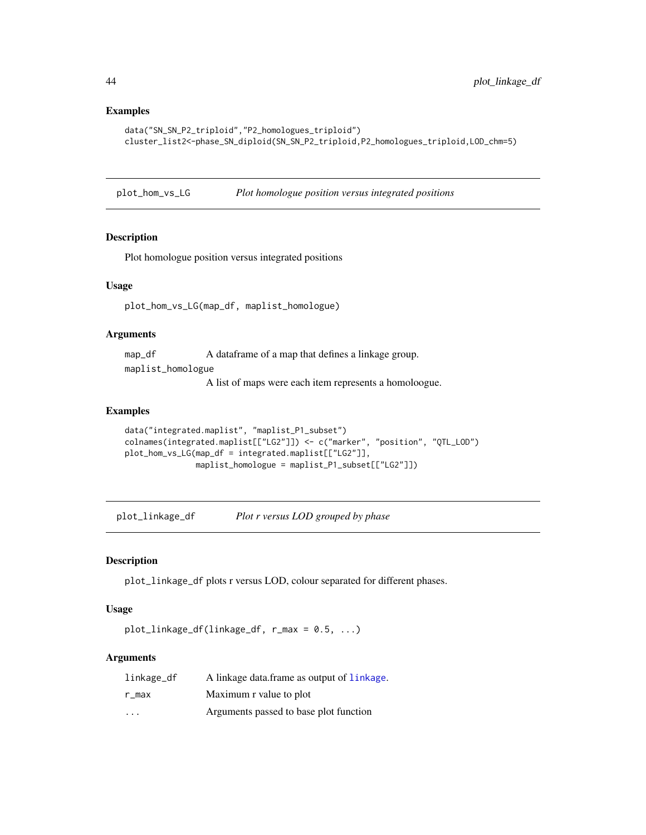#### <span id="page-43-0"></span>Examples

```
data("SN_SN_P2_triploid","P2_homologues_triploid")
cluster_list2<-phase_SN_diploid(SN_SN_P2_triploid,P2_homologues_triploid,LOD_chm=5)
```
plot\_hom\_vs\_LG *Plot homologue position versus integrated positions*

#### Description

Plot homologue position versus integrated positions

#### Usage

plot\_hom\_vs\_LG(map\_df, maplist\_homologue)

#### Arguments

map\_df A dataframe of a map that defines a linkage group. maplist\_homologue

A list of maps were each item represents a homoloogue.

#### Examples

```
data("integrated.maplist", "maplist_P1_subset")
colnames(integrated.maplist[["LG2"]]) <- c("marker", "position", "QTL_LOD")
plot_hom_vs_LG(map_df = integrated.maplist[["LG2"]],
              maplist_homologue = maplist_P1_subset[["LG2"]])
```
plot\_linkage\_df *Plot r versus LOD grouped by phase*

#### Description

plot\_linkage\_df plots r versus LOD, colour separated for different phases.

# Usage

plot\_linkage\_df(linkage\_df, r\_max = 0.5, ...)

| linkage_df              | A linkage data.frame as output of linkage. |
|-------------------------|--------------------------------------------|
| r max                   | Maximum r value to plot                    |
| $\cdot$ $\cdot$ $\cdot$ | Arguments passed to base plot function     |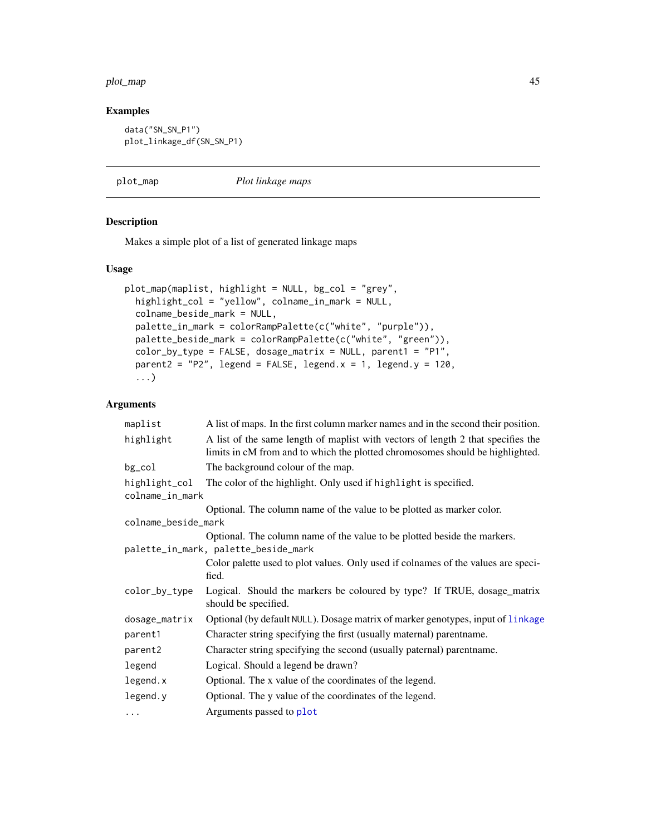#### <span id="page-44-0"></span>plot\_map 45

# Examples

```
data("SN_SN_P1")
plot_linkage_df(SN_SN_P1)
```
<span id="page-44-1"></span>plot\_map *Plot linkage maps*

#### Description

Makes a simple plot of a list of generated linkage maps

#### Usage

```
plot_map(maplist, highlight = NULL, bg_col = "grey",
 highlight_col = "yellow", colname_in_mark = NULL,
 colname_beside_mark = NULL,
 palette_in_mark = colorRampPalette(c("white", "purple")),
 palette_beside_mark = colorRampPalette(c("white", "green")),
  color_by_type = FALSE, dosage_matrix = NULL, parent1 = "P1",
 parent2 = "P2", legend = FALSE, legend.x = 1, legend.y = 120,
  ...)
```

| maplist                              | A list of maps. In the first column marker names and in the second their position.                                                                                |
|--------------------------------------|-------------------------------------------------------------------------------------------------------------------------------------------------------------------|
| highlight                            | A list of the same length of maplist with vectors of length 2 that specifies the<br>limits in cM from and to which the plotted chromosomes should be highlighted. |
| bg_col                               | The background colour of the map.                                                                                                                                 |
| highlight_col                        | The color of the highlight. Only used if highlight is specified.                                                                                                  |
| colname_in_mark                      |                                                                                                                                                                   |
|                                      | Optional. The column name of the value to be plotted as marker color.                                                                                             |
| colname_beside_mark                  |                                                                                                                                                                   |
|                                      | Optional. The column name of the value to be plotted beside the markers.                                                                                          |
| palette_in_mark, palette_beside_mark |                                                                                                                                                                   |
|                                      | Color palette used to plot values. Only used if colnames of the values are speci-<br>fied.                                                                        |
| color_by_type                        | Logical. Should the markers be coloured by type? If TRUE, dosage_matrix<br>should be specified.                                                                   |
| dosage_matrix                        | Optional (by default NULL). Dosage matrix of marker genotypes, input of linkage                                                                                   |
| parent1                              | Character string specifying the first (usually maternal) parentname.                                                                                              |
| parent2                              | Character string specifying the second (usually paternal) parentname.                                                                                             |
| legend                               | Logical. Should a legend be drawn?                                                                                                                                |
| legend.x                             | Optional. The x value of the coordinates of the legend.                                                                                                           |
| legend.y                             | Optional. The y value of the coordinates of the legend.                                                                                                           |
| $\cdots$                             | Arguments passed to plot                                                                                                                                          |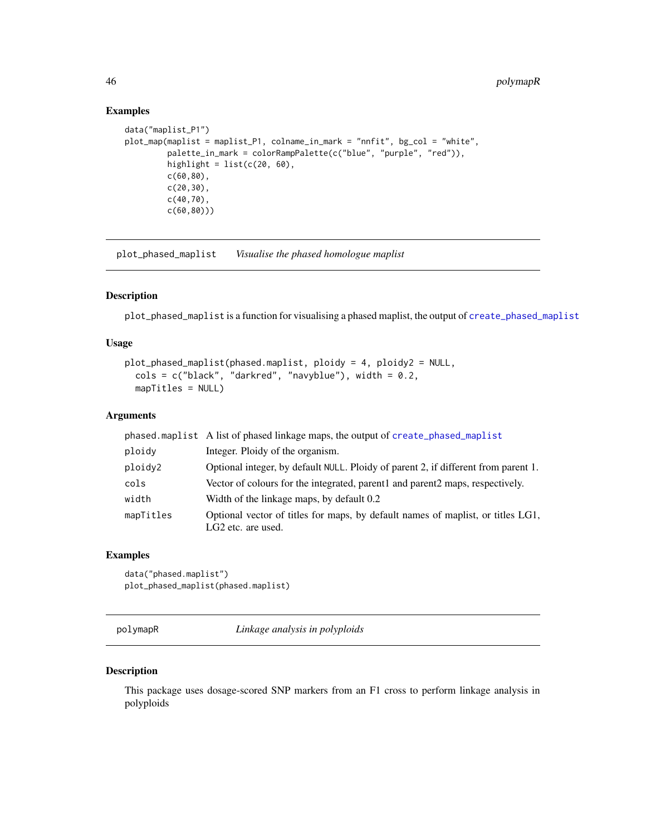# Examples

```
data("maplist_P1")
plot_map(maplist = maplist_P1, colname_in_mark = "nnfit", bg_col = "white",
         palette_in_mark = colorRampPalette(c("blue", "purple", "red")),
        highlight = list(c(20, 60)),
        c(60,80),
        c(20,30),
        c(40,70),
         c(60,80)))
```
plot\_phased\_maplist *Visualise the phased homologue maplist*

#### Description

plot\_phased\_maplist is a function for visualising a phased maplist, the output of [create\\_phased\\_maplist](#page-22-1)

### Usage

```
plot_phased_maplist(phased.maplist, ploidy = 4, ploidy2 = NULL,
  cols = c("black", "darkred", "navyblue"), width = 0.2,mapTitles = NULL)
```
#### Arguments

|           | phased maplist A list of phased linkage maps, the output of create_phased_maplist                                 |
|-----------|-------------------------------------------------------------------------------------------------------------------|
| ploidy    | Integer. Ploidy of the organism.                                                                                  |
| ploidy2   | Optional integer, by default NULL. Ploidy of parent 2, if different from parent 1.                                |
| cols      | Vector of colours for the integrated, parent and parent 2 maps, respectively.                                     |
| width     | Width of the linkage maps, by default 0.2                                                                         |
| mapTitles | Optional vector of titles for maps, by default names of maplist, or titles LG1,<br>LG <sub>2</sub> etc. are used. |

#### Examples

data("phased.maplist") plot\_phased\_maplist(phased.maplist)

polymapR *Linkage analysis in polyploids*

#### Description

This package uses dosage-scored SNP markers from an F1 cross to perform linkage analysis in polyploids

<span id="page-45-0"></span>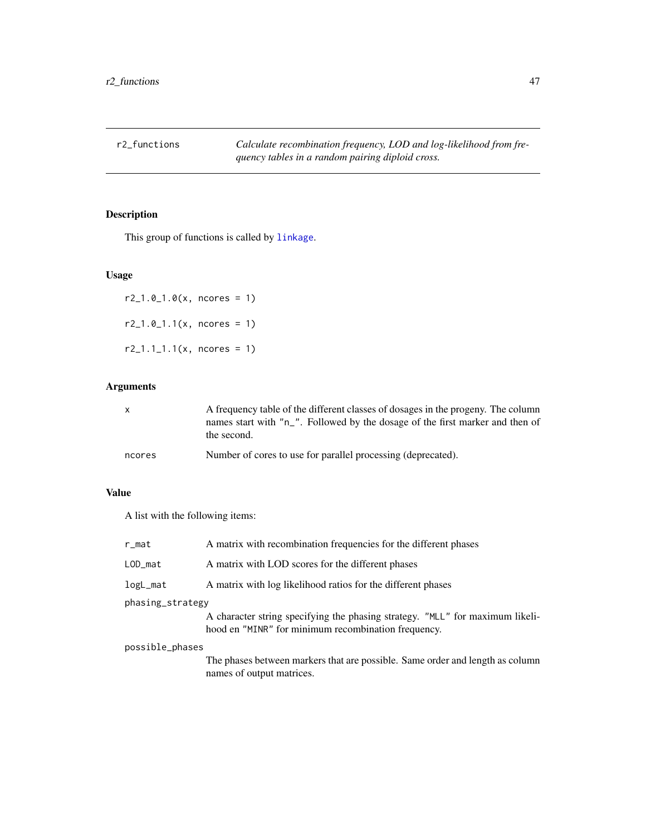<span id="page-46-0"></span>r2\_functions *Calculate recombination frequency, LOD and log-likelihood from frequency tables in a random pairing diploid cross.*

# Description

This group of functions is called by [linkage](#page-29-1).

# Usage

 $r2_1.0_1.0(x,$  ncores = 1) r2\_1.0\_1.1(x, ncores = 1)  $r2_1.1_1.1(x,$  ncores = 1)

# Arguments

| $\mathsf{x}$ | A frequency table of the different classes of dosages in the progeny. The column<br>names start with "n_". Followed by the dosage of the first marker and then of<br>the second. |
|--------------|----------------------------------------------------------------------------------------------------------------------------------------------------------------------------------|
| ncores       | Number of cores to use for parallel processing (deprecated).                                                                                                                     |

# Value

A list with the following items:

| r_mat            | A matrix with recombination frequencies for the different phases                                                                     |  |
|------------------|--------------------------------------------------------------------------------------------------------------------------------------|--|
| LOD_mat          | A matrix with LOD scores for the different phases                                                                                    |  |
| logL_mat         | A matrix with log likelihood ratios for the different phases                                                                         |  |
| phasing_strategy |                                                                                                                                      |  |
|                  | A character string specifying the phasing strategy. "MLL" for maximum likeli-<br>hood en "MINR" for minimum recombination frequency. |  |
| possible_phases  |                                                                                                                                      |  |
|                  | The phases between markers that are possible. Same order and length as column<br>names of output matrices.                           |  |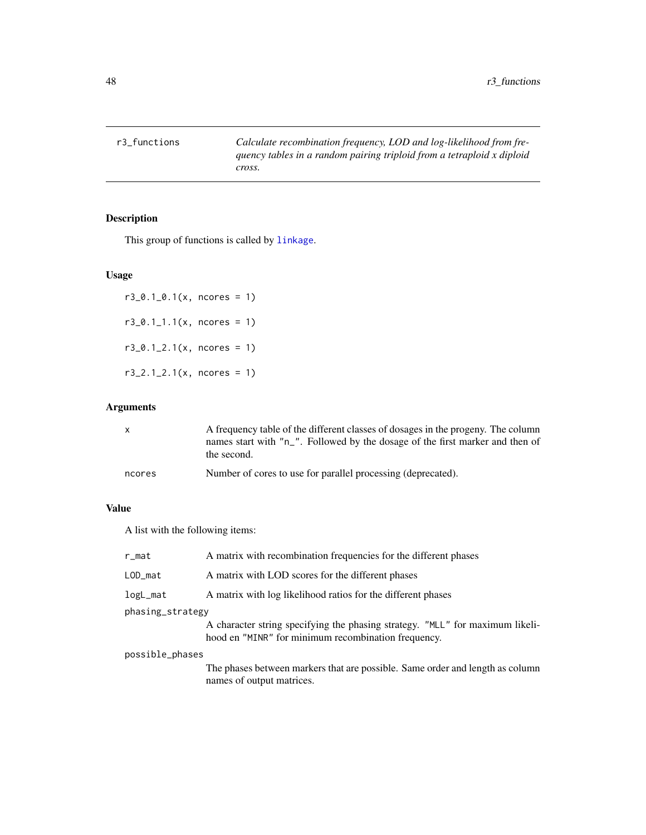<span id="page-47-0"></span>r3\_functions *Calculate recombination frequency, LOD and log-likelihood from frequency tables in a random pairing triploid from a tetraploid x diploid cross.*

# Description

This group of functions is called by [linkage](#page-29-1).

#### Usage

```
r3_0.1_0.1(x, ncores = 1)
r3_0.1_1.1(x, ncores = 1)
r3_0.1_2.1(x, ncores = 1)
r3_2.1_2.1(x, ncores = 1)
```
# Arguments

| $\mathsf{x}$ | A frequency table of the different classes of dosages in the progeny. The column<br>names start with "n_". Followed by the dosage of the first marker and then of<br>the second. |
|--------------|----------------------------------------------------------------------------------------------------------------------------------------------------------------------------------|
| ncores       | Number of cores to use for parallel processing (deprecated).                                                                                                                     |

# Value

A list with the following items:

| r_mat            | A matrix with recombination frequencies for the different phases                                                                     |
|------------------|--------------------------------------------------------------------------------------------------------------------------------------|
| LOD_mat          | A matrix with LOD scores for the different phases                                                                                    |
| logL_mat         | A matrix with log likelihood ratios for the different phases                                                                         |
| phasing_strategy |                                                                                                                                      |
|                  | A character string specifying the phasing strategy. "MLL" for maximum likeli-<br>hood en "MINR" for minimum recombination frequency. |
| possible_phases  |                                                                                                                                      |

The phases between markers that are possible. Same order and length as column names of output matrices.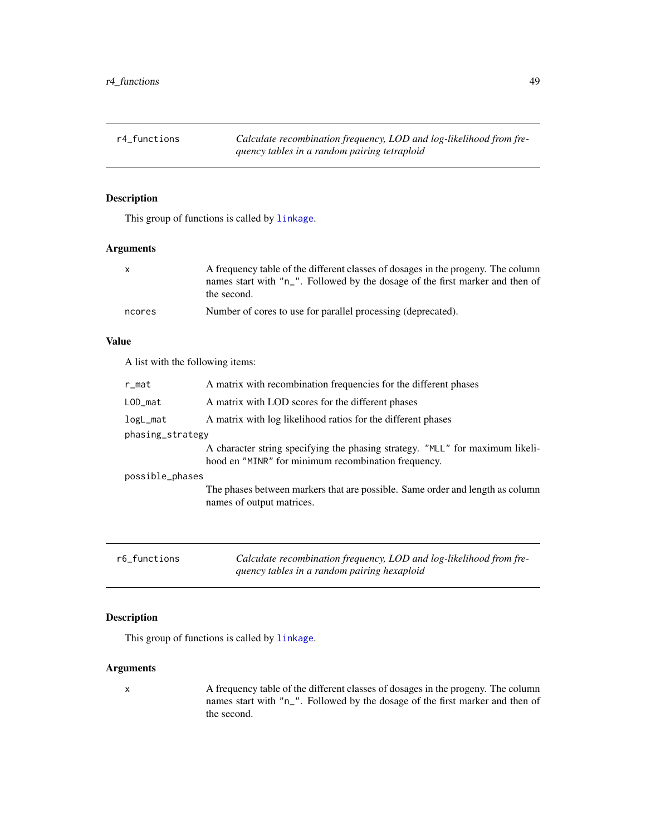<span id="page-48-0"></span>r4\_functions *Calculate recombination frequency, LOD and log-likelihood from frequency tables in a random pairing tetraploid*

#### Description

This group of functions is called by [linkage](#page-29-1).

# Arguments

| $\mathbf{x}$ | A frequency table of the different classes of dosages in the progeny. The column<br>names start with "n_". Followed by the dosage of the first marker and then of<br>the second. |
|--------------|----------------------------------------------------------------------------------------------------------------------------------------------------------------------------------|
| ncores       | Number of cores to use for parallel processing (deprecated).                                                                                                                     |

#### Value

A list with the following items:

| r_mat            | A matrix with recombination frequencies for the different phases                                                                     |
|------------------|--------------------------------------------------------------------------------------------------------------------------------------|
| $LOD_mat$        | A matrix with LOD scores for the different phases                                                                                    |
| logL_mat         | A matrix with log likelihood ratios for the different phases                                                                         |
| phasing_strategy |                                                                                                                                      |
|                  | A character string specifying the phasing strategy. "MLL" for maximum likeli-<br>hood en "MINR" for minimum recombination frequency. |
| possible_phases  |                                                                                                                                      |
|                  | The phases between markers that are possible. Same order and length as column<br>names of output matrices.                           |
|                  |                                                                                                                                      |
|                  |                                                                                                                                      |

| r6 functions | Calculate recombination frequency, LOD and log-likelihood from fre- |
|--------------|---------------------------------------------------------------------|
|              | quency tables in a random pairing hexaploid                         |

# Description

This group of functions is called by [linkage](#page-29-1).

# Arguments

x A frequency table of the different classes of dosages in the progeny. The column names start with "n\_". Followed by the dosage of the first marker and then of the second.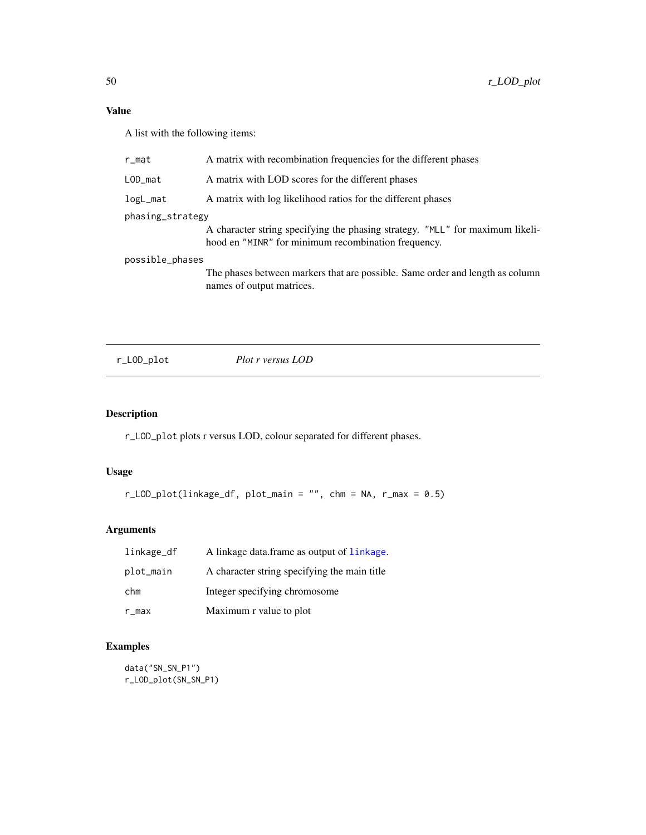<span id="page-49-0"></span>A list with the following items:

| r_mat            | A matrix with recombination frequencies for the different phases                                                                     |  |
|------------------|--------------------------------------------------------------------------------------------------------------------------------------|--|
| $LOD_m$ at       | A matrix with LOD scores for the different phases                                                                                    |  |
| logL_mat         | A matrix with log likelihood ratios for the different phases                                                                         |  |
| phasing_strategy |                                                                                                                                      |  |
|                  | A character string specifying the phasing strategy. "MLL" for maximum likeli-<br>hood en "MINR" for minimum recombination frequency. |  |
| possible_phases  |                                                                                                                                      |  |
|                  | The phases between markers that are possible. Same order and length as column<br>names of output matrices.                           |  |

r\_LOD\_plot *Plot r versus LOD*

# Description

r\_LOD\_plot plots r versus LOD, colour separated for different phases.

# Usage

```
r\text{\_LOD}\text{\_plot}(\text{linkage\_df}, \text{plot\_main} = "", \text{chn} = \text{NA}, \text{r\_max} = 0.5)
```
# Arguments

| linkage_df | A linkage data frame as output of linkage.   |
|------------|----------------------------------------------|
| plot_main  | A character string specifying the main title |
| chm        | Integer specifying chromosome                |
| r_max      | Maximum r value to plot                      |

# Examples

data("SN\_SN\_P1") r\_LOD\_plot(SN\_SN\_P1)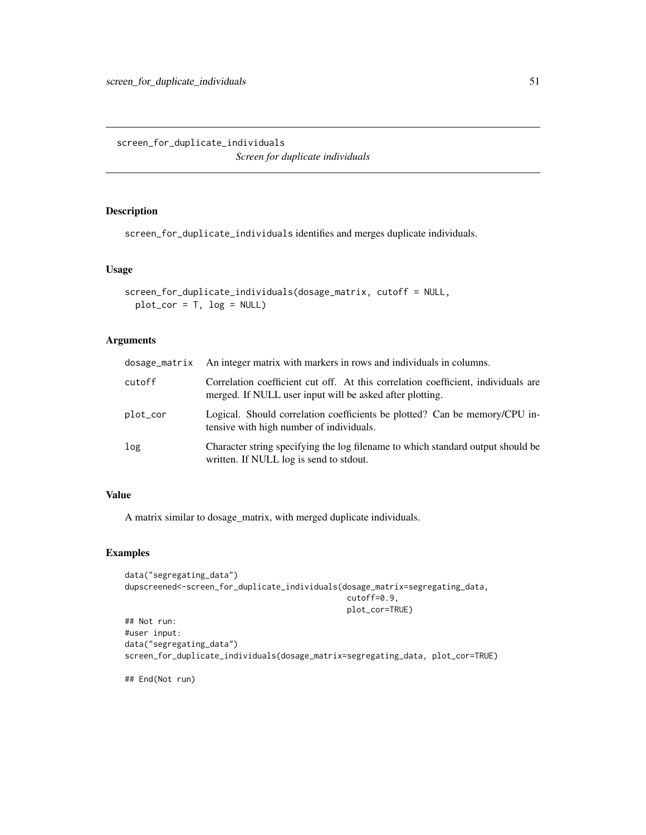# <span id="page-50-0"></span>Description

screen\_for\_duplicate\_individuals identifies and merges duplicate individuals.

#### Usage

```
screen_for_duplicate_individuals(dosage_matrix, cutoff = NULL,
 plot\_cor = T, log = NULL
```
# Arguments

|          | dosage_matrix An integer matrix with markers in rows and individuals in columns.                                                              |
|----------|-----------------------------------------------------------------------------------------------------------------------------------------------|
| cutoff   | Correlation coefficient cut off. At this correlation coefficient, individuals are<br>merged. If NULL user input will be asked after plotting. |
| plot_cor | Logical. Should correlation coefficients be plotted? Can be memory/CPU in-<br>tensive with high number of individuals.                        |
| log      | Character string specifying the log filename to which standard output should be<br>written. If NULL log is send to stdout.                    |

# Value

A matrix similar to dosage\_matrix, with merged duplicate individuals.

#### Examples

```
data("segregating_data")
dupscreened<-screen_for_duplicate_individuals(dosage_matrix=segregating_data,
                                               cutoff=0.9,
                                               plot_cor=TRUE)
## Not run:
#user input:
data("segregating_data")
screen_for_duplicate_individuals(dosage_matrix=segregating_data, plot_cor=TRUE)
```
## End(Not run)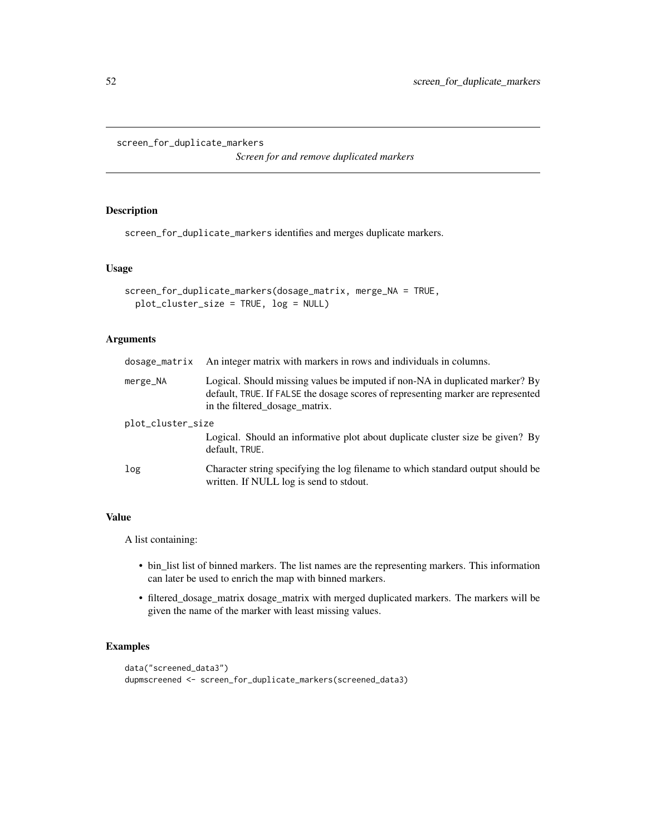```
screen_for_duplicate_markers
```
*Screen for and remove duplicated markers*

#### Description

screen\_for\_duplicate\_markers identifies and merges duplicate markers.

#### Usage

```
screen_for_duplicate_markers(dosage_matrix, merge_NA = TRUE,
 plot_cluster_size = TRUE, log = NULL)
```
# Arguments

| dosage_matrix     | An integer matrix with markers in rows and individuals in columns.                                                                                                                                 |  |
|-------------------|----------------------------------------------------------------------------------------------------------------------------------------------------------------------------------------------------|--|
| merge_NA          | Logical. Should missing values be imputed if non-NA in duplicated marker? By<br>default, TRUE. If FALSE the dosage scores of representing marker are represented<br>in the filtered_dosage_matrix. |  |
| plot_cluster_size |                                                                                                                                                                                                    |  |
|                   | Logical. Should an informative plot about duplicate cluster size be given? By<br>default, TRUE.                                                                                                    |  |
| log               | Character string specifying the log filename to which standard output should be<br>written. If NULL log is send to stdout.                                                                         |  |

# Value

A list containing:

- bin\_list list of binned markers. The list names are the representing markers. This information can later be used to enrich the map with binned markers.
- filtered\_dosage\_matrix dosage\_matrix with merged duplicated markers. The markers will be given the name of the marker with least missing values.

```
data("screened_data3")
dupmscreened <- screen_for_duplicate_markers(screened_data3)
```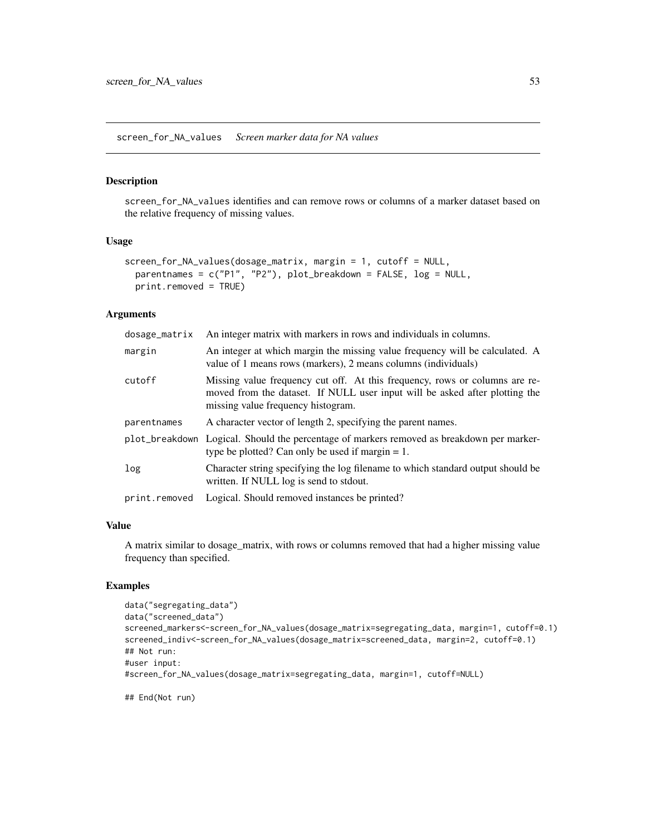<span id="page-52-0"></span>screen\_for\_NA\_values *Screen marker data for NA values*

#### Description

screen\_for\_NA\_values identifies and can remove rows or columns of a marker dataset based on the relative frequency of missing values.

#### Usage

```
screen_for_NA_values(dosage_matrix, margin = 1, cutoff = NULL,
 parentnames = c("P1", "P2"), plot_breakdown = FALSE, log = NULL,
 print.removed = TRUE)
```
#### Arguments

| dosage_matrix | An integer matrix with markers in rows and individuals in columns.                                                                                                                               |  |
|---------------|--------------------------------------------------------------------------------------------------------------------------------------------------------------------------------------------------|--|
| margin        | An integer at which margin the missing value frequency will be calculated. A<br>value of 1 means rows (markers), 2 means columns (individuals)                                                   |  |
| cutoff        | Missing value frequency cut off. At this frequency, rows or columns are re-<br>moved from the dataset. If NULL user input will be asked after plotting the<br>missing value frequency histogram. |  |
| parentnames   | A character vector of length 2, specifying the parent names.                                                                                                                                     |  |
|               | plot_breakdown Logical. Should the percentage of markers removed as breakdown per marker-<br>type be plotted? Can only be used if margin $= 1$ .                                                 |  |
| log           | Character string specifying the log filename to which standard output should be<br>written. If NULL log is send to stdout.                                                                       |  |
| print.removed | Logical. Should removed instances be printed?                                                                                                                                                    |  |

#### Value

A matrix similar to dosage\_matrix, with rows or columns removed that had a higher missing value frequency than specified.

# Examples

```
data("segregating_data")
data("screened_data")
screened_markers<-screen_for_NA_values(dosage_matrix=segregating_data, margin=1, cutoff=0.1)
screened_indiv<-screen_for_NA_values(dosage_matrix=screened_data, margin=2, cutoff=0.1)
## Not run:
#user input:
#screen_for_NA_values(dosage_matrix=segregating_data, margin=1, cutoff=NULL)
```
## End(Not run)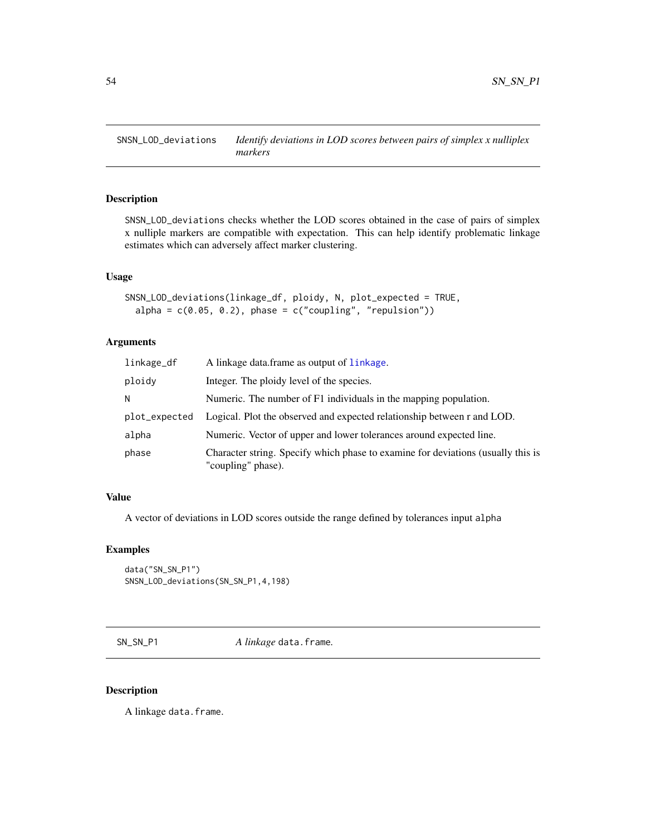<span id="page-53-0"></span>

# Description

SNSN\_LOD\_deviations checks whether the LOD scores obtained in the case of pairs of simplex x nulliple markers are compatible with expectation. This can help identify problematic linkage estimates which can adversely affect marker clustering.

#### Usage

```
SNSN_LOD_deviations(linkage_df, ploidy, N, plot_expected = TRUE,
  alpha = c(0.05, 0.2), phase = c("coupling", "repulsion"))
```
# Arguments

| linkage_df    | A linkage data frame as output of linkage.                                                             |
|---------------|--------------------------------------------------------------------------------------------------------|
| ploidy        | Integer. The ploidy level of the species.                                                              |
| N             | Numeric. The number of $F1$ individuals in the mapping population.                                     |
| plot_expected | Logical. Plot the observed and expected relationship between r and LOD.                                |
| alpha         | Numeric. Vector of upper and lower tolerances around expected line.                                    |
| phase         | Character string. Specify which phase to examine for deviations (usually this is<br>"coupling" phase). |

#### Value

A vector of deviations in LOD scores outside the range defined by tolerances input alpha

#### Examples

```
data("SN_SN_P1")
SNSN_LOD_deviations(SN_SN_P1,4,198)
```
SN\_SN\_P1 *A linkage* data.frame*.*

#### Description

A linkage data.frame.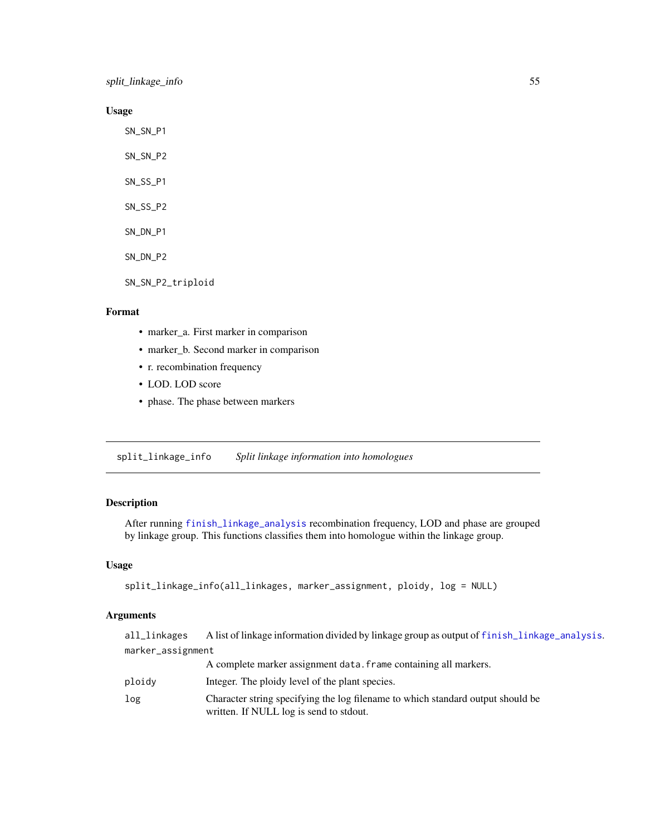<span id="page-54-0"></span>split\_linkage\_info 55

# Usage

SN\_SN\_P1 SN\_SN\_P2 SN\_SS\_P1 SN\_SS\_P2 SN\_DN\_P1 SN\_DN\_P2 SN\_SN\_P2\_triploid

#### Format

- marker\_a. First marker in comparison
- marker\_b. Second marker in comparison
- r. recombination frequency
- LOD. LOD score
- phase. The phase between markers

<span id="page-54-1"></span>split\_linkage\_info *Split linkage information into homologues*

# Description

After running [finish\\_linkage\\_analysis](#page-25-1) recombination frequency, LOD and phase are grouped by linkage group. This functions classifies them into homologue within the linkage group.

#### Usage

```
split_linkage_info(all_linkages, marker_assignment, ploidy, log = NULL)
```

| all_linkages      | A list of linkage information divided by linkage group as output of finish_linkage_analysis. |
|-------------------|----------------------------------------------------------------------------------------------|
| marker_assignment |                                                                                              |
|                   | A complete marker assignment data. frame containing all markers.                             |

- ploidy Integer. The ploidy level of the plant species.
- log Character string specifying the log filename to which standard output should be written. If NULL log is send to stdout.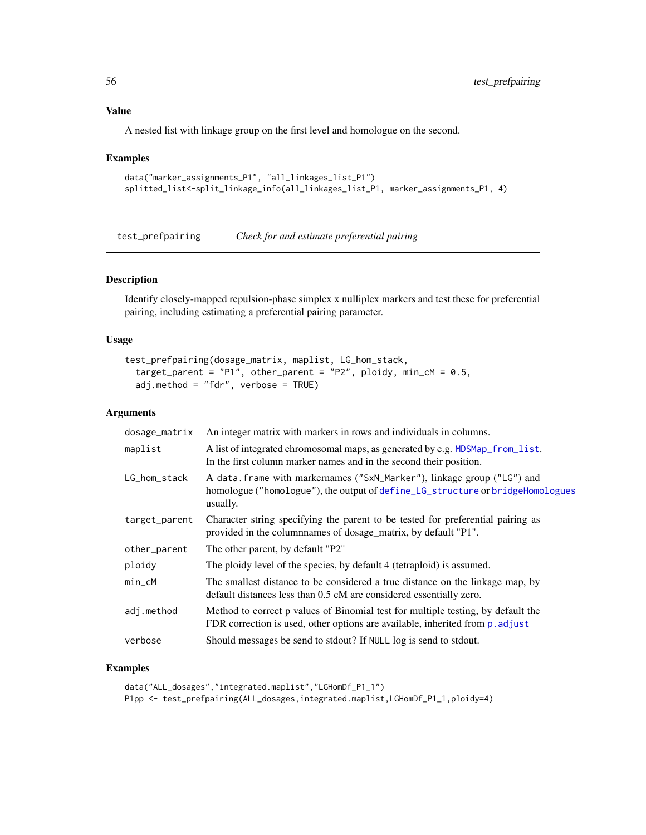<span id="page-55-0"></span>A nested list with linkage group on the first level and homologue on the second.

#### Examples

```
data("marker_assignments_P1", "all_linkages_list_P1")
splitted_list<-split_linkage_info(all_linkages_list_P1, marker_assignments_P1, 4)
```
<span id="page-55-1"></span>test\_prefpairing *Check for and estimate preferential pairing*

#### Description

Identify closely-mapped repulsion-phase simplex x nulliplex markers and test these for preferential pairing, including estimating a preferential pairing parameter.

#### Usage

```
test_prefpairing(dosage_matrix, maplist, LG_hom_stack,
 target_parent = "P1", other_parent = "P2", ploidy, min_cM = 0.5,
  adj.method = "fdr", verbose = TRUE)
```
# Arguments

| dosage_matrix | An integer matrix with markers in rows and individuals in columns.                                                                                                    |  |
|---------------|-----------------------------------------------------------------------------------------------------------------------------------------------------------------------|--|
| maplist       | A list of integrated chromosomal maps, as generated by e.g. MDSMap_from_list.<br>In the first column marker names and in the second their position.                   |  |
| LG_hom_stack  | A data. frame with markernames ("SxN_Marker"), linkage group ("LG") and<br>homologue ("homologue"), the output of define_LG_structure or bridgeHomologues<br>usually. |  |
| target_parent | Character string specifying the parent to be tested for preferential pairing as<br>provided in the columnnames of dosage_matrix, by default "P1".                     |  |
| other_parent  | The other parent, by default "P2"                                                                                                                                     |  |
| ploidy        | The ploidy level of the species, by default 4 (tetraploid) is assumed.                                                                                                |  |
| $min\_cM$     | The smallest distance to be considered a true distance on the linkage map, by<br>default distances less than 0.5 cM are considered essentially zero.                  |  |
| adj.method    | Method to correct p values of Binomial test for multiple testing, by default the<br>FDR correction is used, other options are available, inherited from p. adjust     |  |
| verbose       | Should messages be send to stdout? If NULL log is send to stdout.                                                                                                     |  |

```
data("ALL_dosages","integrated.maplist","LGHomDf_P1_1")
P1pp <- test_prefpairing(ALL_dosages,integrated.maplist,LGHomDf_P1_1,ploidy=4)
```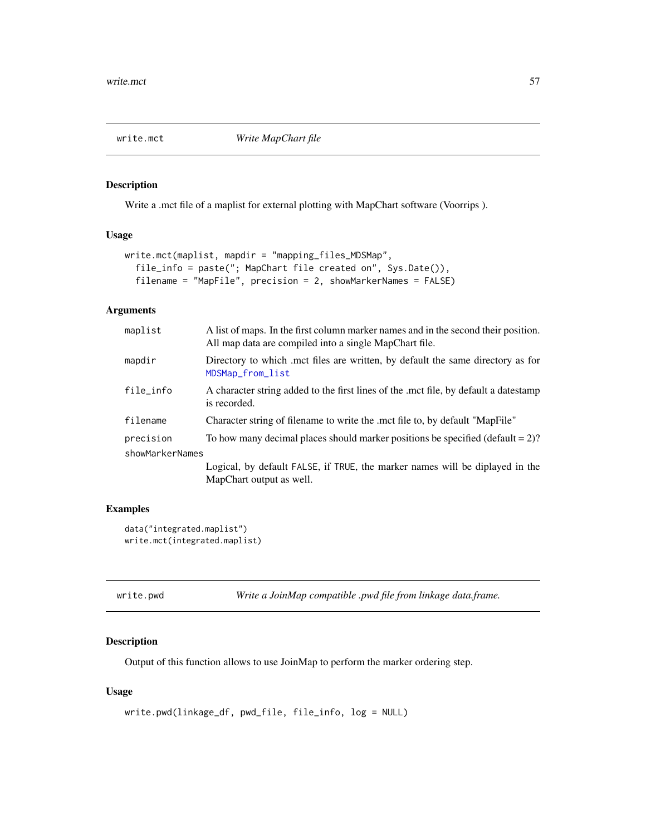<span id="page-56-0"></span>

# Description

Write a .mct file of a maplist for external plotting with MapChart software (Voorrips ).

#### Usage

```
write.mct(maplist, mapdir = "mapping_files_MDSMap",
  file_info = paste("; MapChart file created on", Sys.Date()),
  filename = "MapFile", precision = 2, showMarkerNames = FALSE)
```
#### Arguments

| maplist         | A list of maps. In the first column marker names and in the second their position.<br>All map data are compiled into a single MapChart file. |
|-----------------|----------------------------------------------------------------------------------------------------------------------------------------------|
| mapdir          | Directory to which met files are written, by default the same directory as for<br>MDSMap_from_list                                           |
| file_info       | A character string added to the first lines of the met file, by default a datestamp<br>is recorded.                                          |
| filename        | Character string of filename to write the .mct file to, by default "MapFile"                                                                 |
| precision       | To how many decimal places should marker positions be specified (default $= 2$ )?                                                            |
| showMarkerNames |                                                                                                                                              |
|                 | Logical, by default FALSE, if TRUE, the marker names will be diplayed in the<br>MapChart output as well.                                     |
|                 |                                                                                                                                              |

#### Examples

```
data("integrated.maplist")
write.mct(integrated.maplist)
```
<span id="page-56-1"></span>

| write.pwd | Write a JoinMap compatible .pwd file from linkage data.frame. |
|-----------|---------------------------------------------------------------|

# Description

Output of this function allows to use JoinMap to perform the marker ordering step.

#### Usage

```
write.pwd(linkage_df, pwd_file, file_info, log = NULL)
```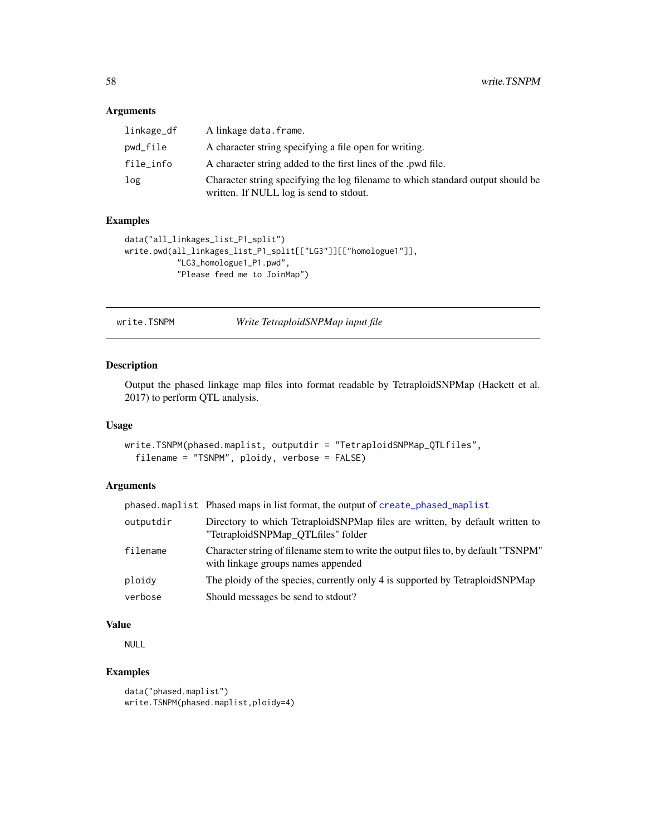#### <span id="page-57-0"></span>Arguments

| linkage_df | A linkage data.frame.                                                                                                      |
|------------|----------------------------------------------------------------------------------------------------------------------------|
| pwd_file   | A character string specifying a file open for writing.                                                                     |
| file_info  | A character string added to the first lines of the .pwd file.                                                              |
| log        | Character string specifying the log filename to which standard output should be<br>written. If NULL log is send to stdout. |

# Examples

```
data("all_linkages_list_P1_split")
write.pwd(all_linkages_list_P1_split[["LG3"]][["homologue1"]],
           "LG3_homologue1_P1.pwd",
           "Please feed me to JoinMap")
```
write.TSNPM *Write TetraploidSNPMap input file*

# Description

Output the phased linkage map files into format readable by TetraploidSNPMap (Hackett et al. 2017) to perform QTL analysis.

#### Usage

```
write.TSNPM(phased.maplist, outputdir = "TetraploidSNPMap_QTLfiles",
  filename = "TSNPM", ploidy, verbose = FALSE)
```
#### Arguments

|           | phased.maplist Phased maps in list format, the output of create_phased_maplist                                           |
|-----------|--------------------------------------------------------------------------------------------------------------------------|
| outputdir | Directory to which TetraploidSNPMap files are written, by default written to<br>"TetraploidSNPMap QTLfiles" folder       |
| filename  | Character string of filename stem to write the output files to, by default "TSNPM"<br>with linkage groups names appended |
| ploidy    | The ploidy of the species, currently only 4 is supported by TetraploidSNPMap                                             |
| verbose   | Should messages be send to stdout?                                                                                       |

#### Value

NULL

```
data("phased.maplist")
write.TSNPM(phased.maplist,ploidy=4)
```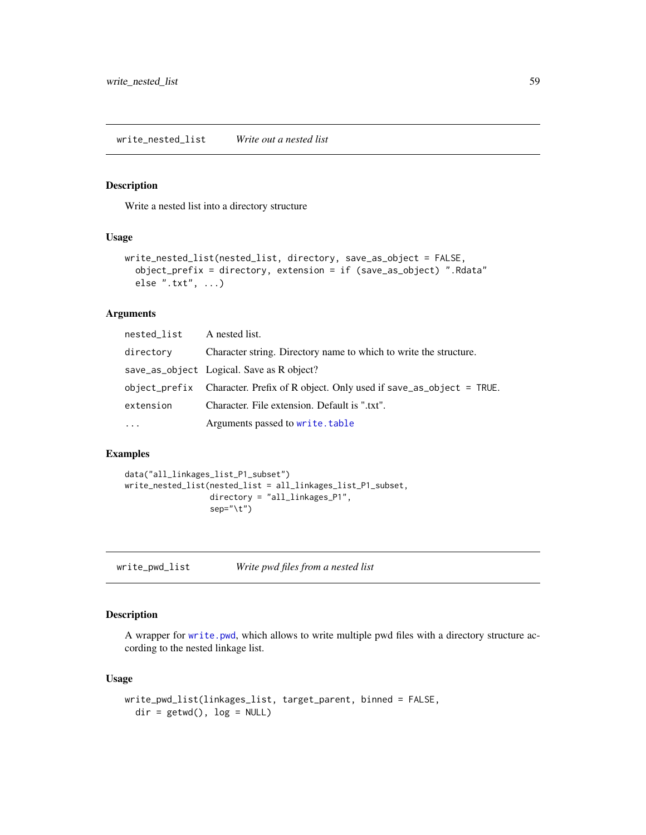# <span id="page-58-0"></span>Description

Write a nested list into a directory structure

#### Usage

```
write_nested_list(nested_list, directory, save_as_object = FALSE,
  object_prefix = directory, extension = if (save_as_object) ".Rdata"
  else ".txt", ...)
```
# Arguments

| nested_list | A nested list.                                                                   |
|-------------|----------------------------------------------------------------------------------|
| directory   | Character string. Directory name to which to write the structure.                |
|             | save_as_object Logical. Save as R object?                                        |
|             | object_prefix Character. Prefix of R object. Only used if save_as_object = TRUE. |
| extension   | Character. File extension. Default is ".txt".                                    |
| $\cdot$     | Arguments passed to write.table                                                  |

#### Examples

```
data("all_linkages_list_P1_subset")
write_nested_list(nested_list = all_linkages_list_P1_subset,
                  directory = "all_linkages_P1",
                  sep="\t")
```
write\_pwd\_list *Write pwd files from a nested list*

#### Description

A wrapper for [write.pwd](#page-56-1), which allows to write multiple pwd files with a directory structure according to the nested linkage list.

#### Usage

```
write_pwd_list(linkages_list, target_parent, binned = FALSE,
  dir = getwd(), log = NULL)
```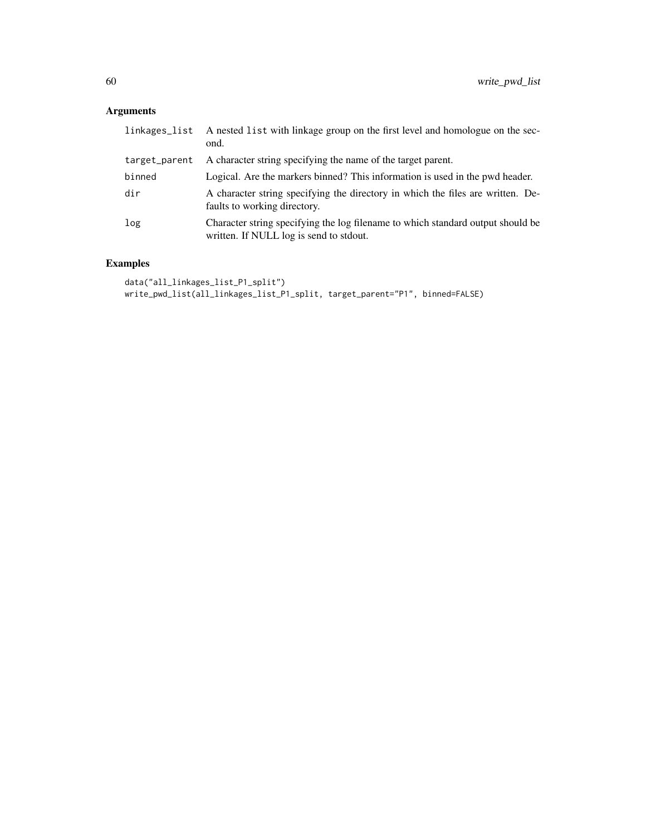# Arguments

| linkages_list | A nested list with linkage group on the first level and homologue on the sec-<br>ond.                                      |
|---------------|----------------------------------------------------------------------------------------------------------------------------|
| target_parent | A character string specifying the name of the target parent.                                                               |
| binned        | Logical. Are the markers binned? This information is used in the pwd header.                                               |
| dir           | A character string specifying the directory in which the files are written. De-<br>faults to working directory.            |
| log           | Character string specifying the log filename to which standard output should be<br>written. If NULL log is send to stdout. |

```
data("all_linkages_list_P1_split")
write_pwd_list(all_linkages_list_P1_split, target_parent="P1", binned=FALSE)
```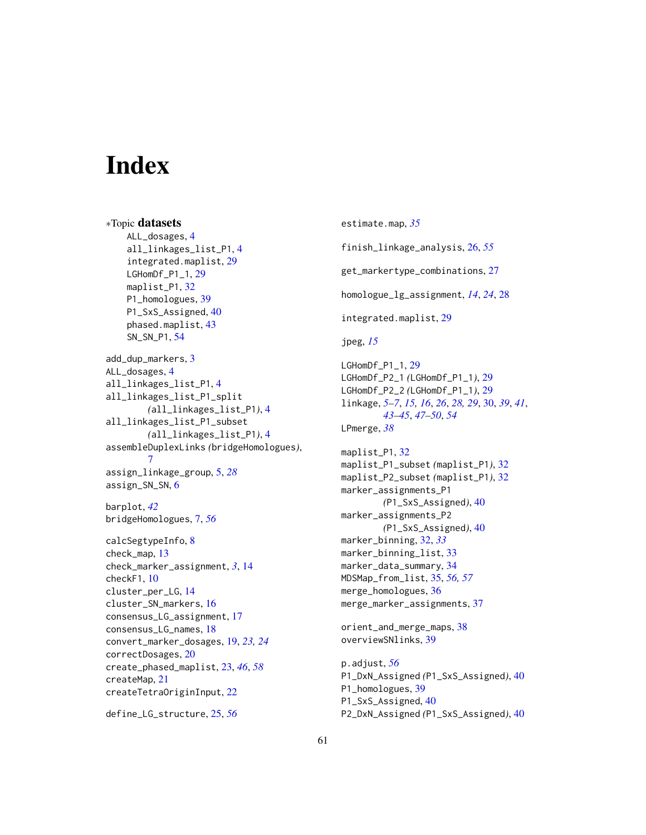# <span id="page-60-0"></span>**Index**

∗Topic datasets ALL\_dosages, [4](#page-3-0) all\_linkages\_list\_P1, [4](#page-3-0) integrated.maplist, [29](#page-28-0) LGHomDf\_P1\_1, [29](#page-28-0) maplist\_P1, [32](#page-31-0) P1\_homologues, [39](#page-38-0) P1\_SxS\_Assigned, [40](#page-39-0) phased.maplist, [43](#page-42-0) SN\_SN\_P1, [54](#page-53-0) add\_dup\_markers, [3](#page-2-0) ALL\_dosages, [4](#page-3-0) all\_linkages\_list\_P1, [4](#page-3-0) all\_linkages\_list\_P1\_split *(*all\_linkages\_list\_P1*)*, [4](#page-3-0) all\_linkages\_list\_P1\_subset *(*all\_linkages\_list\_P1*)*, [4](#page-3-0) assembleDuplexLinks *(*bridgeHomologues*)*, [7](#page-6-0) assign\_linkage\_group, [5,](#page-4-0) *[28](#page-27-0)* assign\_SN\_SN, [6](#page-5-0) barplot, *[42](#page-41-0)* bridgeHomologues, [7,](#page-6-0) *[56](#page-55-0)* calcSegtypeInfo, [8](#page-7-0) check\_map, [13](#page-12-0) check\_marker\_assignment, *[3](#page-2-0)*, [14](#page-13-0) checkF1, [10](#page-9-0) cluster\_per\_LG, [14](#page-13-0) cluster\_SN\_markers, [16](#page-15-0) consensus\_LG\_assignment, [17](#page-16-0) consensus\_LG\_names, [18](#page-17-0) convert\_marker\_dosages, [19,](#page-18-0) *[23,](#page-22-0) [24](#page-23-0)* correctDosages, [20](#page-19-0) create\_phased\_maplist, [23,](#page-22-0) *[46](#page-45-0)*, *[58](#page-57-0)* createMap, [21](#page-20-0) createTetraOriginInput, [22](#page-21-0)

define\_LG\_structure, [25,](#page-24-0) *[56](#page-55-0)*

estimate.map, *[35](#page-34-0)* finish\_linkage\_analysis, [26,](#page-25-0) *[55](#page-54-0)* get\_markertype\_combinations, [27](#page-26-0) homologue\_lg\_assignment, *[14](#page-13-0)*, *[24](#page-23-0)*, [28](#page-27-0) integrated.maplist, [29](#page-28-0) jpeg, *[15](#page-14-0)* LGHomDf\_P1\_1, [29](#page-28-0) LGHomDf\_P2\_1 *(*LGHomDf\_P1\_1*)*, [29](#page-28-0) LGHomDf\_P2\_2 *(*LGHomDf\_P1\_1*)*, [29](#page-28-0) linkage, *[5](#page-4-0)[–7](#page-6-0)*, *[15,](#page-14-0) [16](#page-15-0)*, *[26](#page-25-0)*, *[28,](#page-27-0) [29](#page-28-0)*, [30,](#page-29-0) *[39](#page-38-0)*, *[41](#page-40-0)*, *[43](#page-42-0)[–45](#page-44-0)*, *[47](#page-46-0)[–50](#page-49-0)*, *[54](#page-53-0)* LPmerge, *[38](#page-37-0)* maplist\_P1, [32](#page-31-0) maplist\_P1\_subset *(*maplist\_P1*)*, [32](#page-31-0) maplist\_P2\_subset *(*maplist\_P1*)*, [32](#page-31-0) marker\_assignments\_P1 *(*P1\_SxS\_Assigned*)*, [40](#page-39-0) marker\_assignments\_P2 *(*P1\_SxS\_Assigned*)*, [40](#page-39-0) marker\_binning, [32,](#page-31-0) *[33](#page-32-0)* marker\_binning\_list, [33](#page-32-0) marker\_data\_summary, [34](#page-33-0) MDSMap\_from\_list, [35,](#page-34-0) *[56,](#page-55-0) [57](#page-56-0)* merge\_homologues, [36](#page-35-0) merge\_marker\_assignments, [37](#page-36-0) orient\_and\_merge\_maps, [38](#page-37-0) overviewSNlinks, [39](#page-38-0) p.adjust, *[56](#page-55-0)* P1\_DxN\_Assigned *(*P1\_SxS\_Assigned*)*, [40](#page-39-0) P1\_homologues, [39](#page-38-0) P1\_SxS\_Assigned, [40](#page-39-0) P2\_DxN\_Assigned *(*P1\_SxS\_Assigned*)*, [40](#page-39-0)